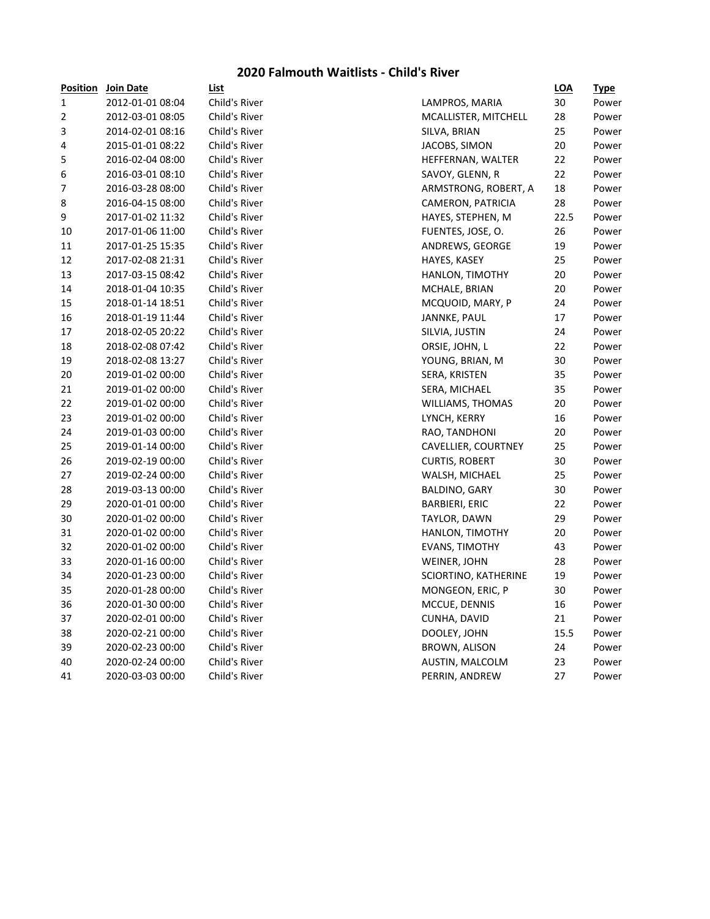### **2020 Falmouth Waitlists - Child's River**

| <u>Position</u> | <u>Join Date</u> | <u>List</u>   |                       | <u>LOA</u> | <b>Type</b> |
|-----------------|------------------|---------------|-----------------------|------------|-------------|
| 1               | 2012-01-01 08:04 | Child's River | LAMPROS, MARIA        | 30         | Power       |
| 2               | 2012-03-01 08:05 | Child's River | MCALLISTER, MITCHELL  | 28         | Power       |
| 3               | 2014-02-01 08:16 | Child's River | SILVA, BRIAN          | 25         | Power       |
| 4               | 2015-01-01 08:22 | Child's River | JACOBS, SIMON         | 20         | Power       |
| 5               | 2016-02-04 08:00 | Child's River | HEFFERNAN, WALTER     | 22         | Power       |
| 6               | 2016-03-01 08:10 | Child's River | SAVOY, GLENN, R       | 22         | Power       |
| 7               | 2016-03-28 08:00 | Child's River | ARMSTRONG, ROBERT, A  | 18         | Power       |
| 8               | 2016-04-15 08:00 | Child's River | CAMERON, PATRICIA     | 28         | Power       |
| 9               | 2017-01-02 11:32 | Child's River | HAYES, STEPHEN, M     | 22.5       | Power       |
| 10              | 2017-01-06 11:00 | Child's River | FUENTES, JOSE, O.     | 26         | Power       |
| 11              | 2017-01-25 15:35 | Child's River | ANDREWS, GEORGE       | 19         | Power       |
| 12              | 2017-02-08 21:31 | Child's River | HAYES, KASEY          | 25         | Power       |
| 13              | 2017-03-15 08:42 | Child's River | HANLON, TIMOTHY       | 20         | Power       |
| 14              | 2018-01-04 10:35 | Child's River | MCHALE, BRIAN         | 20         | Power       |
| 15              | 2018-01-14 18:51 | Child's River | MCQUOID, MARY, P      | 24         | Power       |
| 16              | 2018-01-19 11:44 | Child's River | JANNKE, PAUL          | 17         | Power       |
| 17              | 2018-02-05 20:22 | Child's River | SILVIA, JUSTIN        | 24         | Power       |
| 18              | 2018-02-08 07:42 | Child's River | ORSIE, JOHN, L        | 22         | Power       |
| 19              | 2018-02-08 13:27 | Child's River | YOUNG, BRIAN, M       | 30         | Power       |
| 20              | 2019-01-02 00:00 | Child's River | SERA, KRISTEN         | 35         | Power       |
| 21              | 2019-01-02 00:00 | Child's River | SERA, MICHAEL         | 35         | Power       |
| 22              | 2019-01-02 00:00 | Child's River | WILLIAMS, THOMAS      | 20         | Power       |
| 23              | 2019-01-02 00:00 | Child's River | LYNCH, KERRY          | 16         | Power       |
| 24              | 2019-01-03 00:00 | Child's River | RAO, TANDHONI         | 20         | Power       |
| 25              | 2019-01-14 00:00 | Child's River | CAVELLIER, COURTNEY   | 25         | Power       |
| 26              | 2019-02-19 00:00 | Child's River | <b>CURTIS, ROBERT</b> | 30         | Power       |
| 27              | 2019-02-24 00:00 | Child's River | WALSH, MICHAEL        | 25         | Power       |
| 28              | 2019-03-13 00:00 | Child's River | BALDINO, GARY         | 30         | Power       |
| 29              | 2020-01-01 00:00 | Child's River | <b>BARBIERI, ERIC</b> | 22         | Power       |
| 30              | 2020-01-02 00:00 | Child's River | TAYLOR, DAWN          | 29         | Power       |
| 31              | 2020-01-02 00:00 | Child's River | HANLON, TIMOTHY       | 20         | Power       |
| 32              | 2020-01-02 00:00 | Child's River | <b>EVANS, TIMOTHY</b> | 43         | Power       |
| 33              | 2020-01-16 00:00 | Child's River | WEINER, JOHN          | 28         | Power       |
| 34              | 2020-01-23 00:00 | Child's River | SCIORTINO, KATHERINE  | 19         | Power       |
| 35              | 2020-01-28 00:00 | Child's River | MONGEON, ERIC, P      | 30         | Power       |
| 36              | 2020-01-30 00:00 | Child's River | MCCUE, DENNIS         | 16         | Power       |
| 37              | 2020-02-01 00:00 | Child's River | CUNHA, DAVID          | 21         | Power       |
| 38              | 2020-02-21 00:00 | Child's River | DOOLEY, JOHN          | 15.5       | Power       |
| 39              | 2020-02-23 00:00 | Child's River | BROWN, ALISON         | 24         | Power       |
| 40              | 2020-02-24 00:00 | Child's River | AUSTIN, MALCOLM       | 23         | Power       |
| 41              | 2020-03-03 00:00 | Child's River | PERRIN, ANDREW        | 27         | Power       |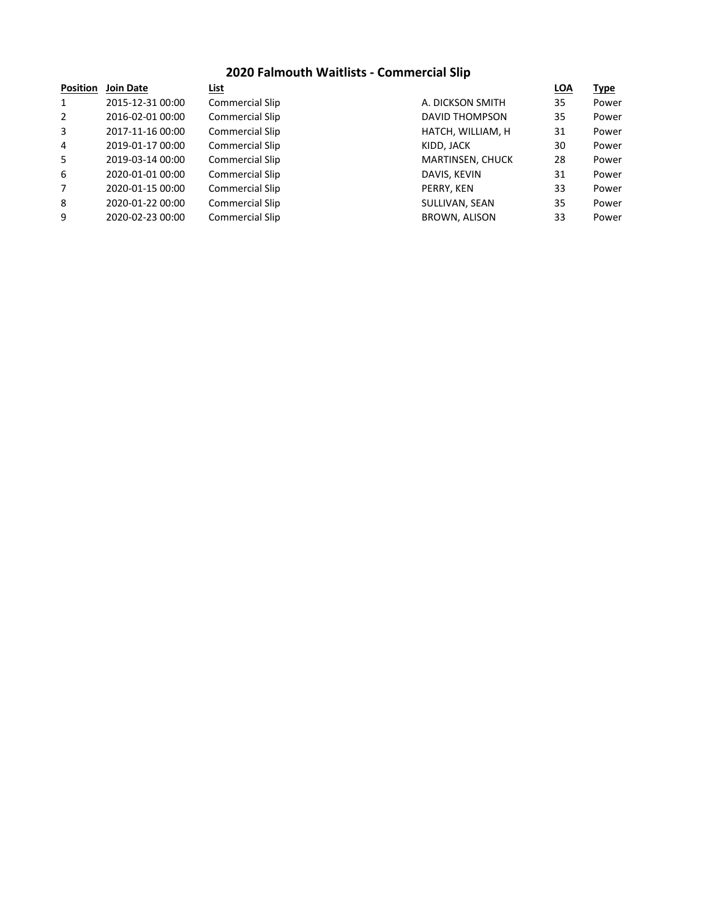## **2020 Falmouth Waitlists - Commercial Slip**

| <b>Position</b> | <b>Join Date</b> | List                   |                      | <b>LOA</b> | <b>Type</b> |
|-----------------|------------------|------------------------|----------------------|------------|-------------|
| $\mathbf{1}$    | 2015-12-31 00:00 | <b>Commercial Slip</b> | A. DICKSON SMITH     | 35         | Power       |
| $\overline{2}$  | 2016-02-01 00:00 | <b>Commercial Slip</b> | DAVID THOMPSON       | 35         | Power       |
| 3               | 2017-11-16 00:00 | <b>Commercial Slip</b> | HATCH, WILLIAM, H    | 31         | Power       |
| 4               | 2019-01-17 00:00 | <b>Commercial Slip</b> | KIDD, JACK           | 30         | Power       |
| 5               | 2019-03-14 00:00 | <b>Commercial Slip</b> | MARTINSEN, CHUCK     | 28         | Power       |
| 6               | 2020-01-01 00:00 | <b>Commercial Slip</b> | DAVIS, KEVIN         | 31         | Power       |
| $\overline{7}$  | 2020-01-15 00:00 | <b>Commercial Slip</b> | PERRY, KEN           | 33         | Power       |
| 8               | 2020-01-22 00:00 | <b>Commercial Slip</b> | SULLIVAN, SEAN       | 35         | Power       |
| 9               | 2020-02-23 00:00 | <b>Commercial Slip</b> | <b>BROWN, ALISON</b> | 33         | Power       |
|                 |                  |                        |                      |            |             |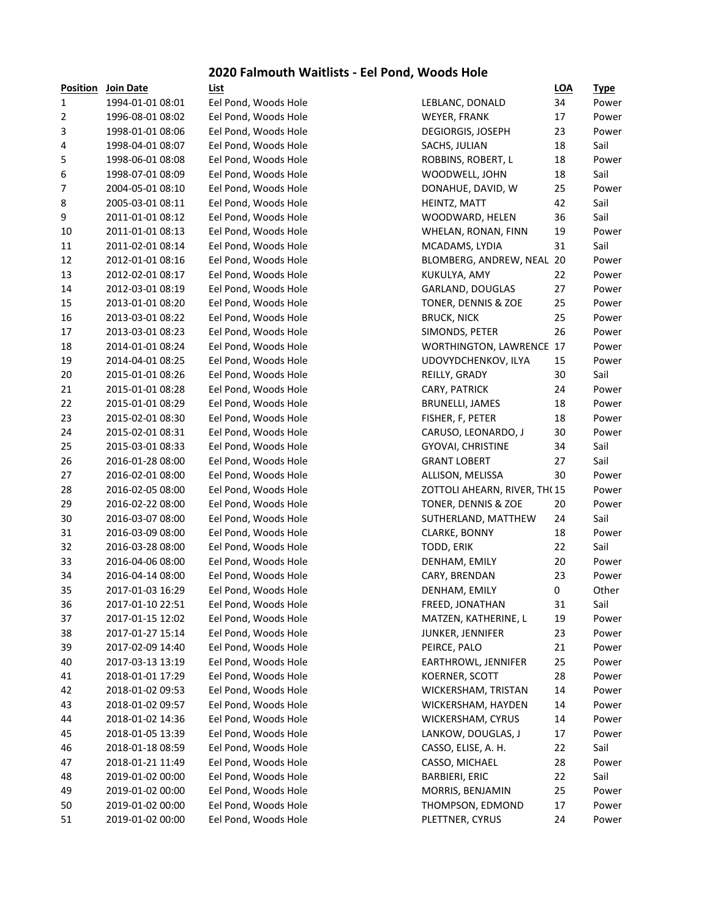### **2020 Falmouth Waitlists - Eel Pond, Woods Hole**

| <b>Position</b>  | <b>Join Date</b> | List                 |                                 | <u>LOA</u> | <u>Type</u> |
|------------------|------------------|----------------------|---------------------------------|------------|-------------|
| 1                | 1994-01-01 08:01 | Eel Pond, Woods Hole | LEBLANC, DONALD                 | 34         | Power       |
| 2                | 1996-08-01 08:02 | Eel Pond, Woods Hole | WEYER, FRANK                    | 17         | Power       |
| 3                | 1998-01-01 08:06 | Eel Pond, Woods Hole | <b>DEGIORGIS, JOSEPH</b>        | 23         | Power       |
| 4                | 1998-04-01 08:07 | Eel Pond, Woods Hole | SACHS, JULIAN                   | 18         | Sail        |
| 5                | 1998-06-01 08:08 | Eel Pond, Woods Hole | ROBBINS, ROBERT, L              | 18         | Power       |
| 6                | 1998-07-01 08:09 | Eel Pond, Woods Hole | WOODWELL, JOHN                  | 18         | Sail        |
| $\boldsymbol{7}$ | 2004-05-01 08:10 | Eel Pond, Woods Hole | DONAHUE, DAVID, W               | 25         | Power       |
| 8                | 2005-03-01 08:11 | Eel Pond, Woods Hole | HEINTZ, MATT                    | 42         | Sail        |
| 9                | 2011-01-01 08:12 | Eel Pond, Woods Hole | WOODWARD, HELEN                 | 36         | Sail        |
| 10               | 2011-01-01 08:13 | Eel Pond, Woods Hole | WHELAN, RONAN, FINN             | 19         | Power       |
| 11               | 2011-02-01 08:14 | Eel Pond, Woods Hole | MCADAMS, LYDIA                  | 31         | Sail        |
| 12               | 2012-01-01 08:16 | Eel Pond, Woods Hole | BLOMBERG, ANDREW, NEAL 20       |            | Power       |
| 13               | 2012-02-01 08:17 | Eel Pond, Woods Hole | KUKULYA, AMY                    | 22         | Power       |
| 14               | 2012-03-01 08:19 | Eel Pond, Woods Hole | GARLAND, DOUGLAS                | 27         | Power       |
| 15               | 2013-01-01 08:20 | Eel Pond, Woods Hole | TONER, DENNIS & ZOE             | 25         | Power       |
| 16               | 2013-03-01 08:22 | Eel Pond, Woods Hole | <b>BRUCK, NICK</b>              | 25         | Power       |
| 17               | 2013-03-01 08:23 | Eel Pond, Woods Hole | SIMONDS, PETER                  | 26         | Power       |
| 18               | 2014-01-01 08:24 | Eel Pond, Woods Hole | <b>WORTHINGTON, LAWRENCE 17</b> |            | Power       |
| 19               | 2014-04-01 08:25 | Eel Pond, Woods Hole | UDOVYDCHENKOV, ILYA             | 15         | Power       |
| 20               | 2015-01-01 08:26 | Eel Pond, Woods Hole | REILLY, GRADY                   | 30         | Sail        |
| 21               | 2015-01-01 08:28 | Eel Pond, Woods Hole | CARY, PATRICK                   | 24         | Power       |
| 22               | 2015-01-01 08:29 | Eel Pond, Woods Hole | BRUNELLI, JAMES                 | 18         | Power       |
| 23               | 2015-02-01 08:30 | Eel Pond, Woods Hole | FISHER, F, PETER                | 18         | Power       |
| 24               | 2015-02-01 08:31 | Eel Pond, Woods Hole | CARUSO, LEONARDO, J             | 30         | Power       |
| 25               | 2015-03-01 08:33 | Eel Pond, Woods Hole | <b>GYOVAI, CHRISTINE</b>        | 34         | Sail        |
| 26               | 2016-01-28 08:00 | Eel Pond, Woods Hole | <b>GRANT LOBERT</b>             | 27         | Sail        |
| 27               | 2016-02-01 08:00 | Eel Pond, Woods Hole | ALLISON, MELISSA                | 30         | Power       |
| 28               | 2016-02-05 08:00 | Eel Pond, Woods Hole | ZOTTOLI AHEARN, RIVER, TH(15    |            | Power       |
| 29               | 2016-02-22 08:00 | Eel Pond, Woods Hole | TONER, DENNIS & ZOE             | 20         | Power       |
| 30               | 2016-03-07 08:00 | Eel Pond, Woods Hole | SUTHERLAND, MATTHEW             | 24         | Sail        |
| 31               | 2016-03-09 08:00 | Eel Pond, Woods Hole | CLARKE, BONNY                   | 18         | Power       |
| 32               | 2016-03-28 08:00 | Eel Pond, Woods Hole | TODD, ERIK                      | 22         | Sail        |
| 33               | 2016-04-06 08:00 | Eel Pond, Woods Hole | DENHAM, EMILY                   | 20         | Power       |
| 34               | 2016-04-14 08:00 | Eel Pond, Woods Hole | CARY, BRENDAN                   | 23         | Power       |
| 35               | 2017-01-03 16:29 | Eel Pond, Woods Hole | DENHAM, EMILY                   | 0          | Other       |
| 36               | 2017-01-10 22:51 | Eel Pond, Woods Hole | FREED, JONATHAN                 | 31         | Sail        |
| 37               | 2017-01-15 12:02 | Eel Pond, Woods Hole | MATZEN, KATHERINE, L            | 19         | Power       |
| 38               | 2017-01-27 15:14 | Eel Pond, Woods Hole | JUNKER, JENNIFER                | 23         | Power       |
| 39               | 2017-02-09 14:40 | Eel Pond, Woods Hole | PEIRCE, PALO                    | 21         | Power       |
| 40               | 2017-03-13 13:19 | Eel Pond, Woods Hole | EARTHROWL, JENNIFER             | 25         | Power       |
| 41               | 2018-01-01 17:29 | Eel Pond, Woods Hole | KOERNER, SCOTT                  | 28         | Power       |
| 42               | 2018-01-02 09:53 | Eel Pond, Woods Hole | WICKERSHAM, TRISTAN             | 14         | Power       |
| 43               | 2018-01-02 09:57 | Eel Pond, Woods Hole | WICKERSHAM, HAYDEN              | 14         | Power       |
| 44               | 2018-01-02 14:36 | Eel Pond, Woods Hole | WICKERSHAM, CYRUS               | 14         | Power       |
| 45               | 2018-01-05 13:39 | Eel Pond, Woods Hole | LANKOW, DOUGLAS, J              | 17         | Power       |
| 46               | 2018-01-18 08:59 | Eel Pond, Woods Hole | CASSO, ELISE, A. H.             | 22         | Sail        |
| 47               | 2018-01-21 11:49 | Eel Pond, Woods Hole | CASSO, MICHAEL                  | 28         | Power       |
| 48               | 2019-01-02 00:00 | Eel Pond, Woods Hole | <b>BARBIERI, ERIC</b>           | 22         | Sail        |
| 49               | 2019-01-02 00:00 | Eel Pond, Woods Hole | MORRIS, BENJAMIN                | 25         | Power       |
| 50               | 2019-01-02 00:00 | Eel Pond, Woods Hole | THOMPSON, EDMOND                | 17         | Power       |
| 51               | 2019-01-02 00:00 | Eel Pond. Woods Hole | PLETTNER, CYRUS                 | 24         | Power       |
|                  |                  |                      |                                 |            |             |

| гизнийн | <b>JUILL</b> Date | <u>LISL</u>          |                              | <u> шм</u> | <u>турс</u> |
|---------|-------------------|----------------------|------------------------------|------------|-------------|
| 1       | 1994-01-01 08:01  | Eel Pond, Woods Hole | LEBLANC, DONALD              | 34         | Power       |
| 2       | 1996-08-01 08:02  | Eel Pond, Woods Hole | WEYER, FRANK                 | 17         | Power       |
| 3       | 1998-01-01 08:06  | Eel Pond, Woods Hole | <b>DEGIORGIS, JOSEPH</b>     | 23         | Power       |
| 4       | 1998-04-01 08:07  | Eel Pond, Woods Hole | SACHS, JULIAN                | 18         | Sail        |
| 5       | 1998-06-01 08:08  | Eel Pond, Woods Hole | ROBBINS, ROBERT, L           | 18         | Power       |
| 6       | 1998-07-01 08:09  | Eel Pond, Woods Hole | WOODWELL, JOHN               | 18         | Sail        |
| 7       | 2004-05-01 08:10  | Eel Pond, Woods Hole | DONAHUE, DAVID, W            | 25         | Power       |
| 8       | 2005-03-01 08:11  | Eel Pond, Woods Hole | HEINTZ, MATT                 | 42         | Sail        |
| 9       | 2011-01-01 08:12  | Eel Pond, Woods Hole | WOODWARD, HELEN              | 36         | Sail        |
| 10      | 2011-01-01 08:13  | Eel Pond, Woods Hole | WHELAN, RONAN, FINN          | 19         | Power       |
| 11      | 2011-02-01 08:14  | Eel Pond, Woods Hole | MCADAMS, LYDIA               | 31         | Sail        |
| 12      | 2012-01-01 08:16  | Eel Pond, Woods Hole | BLOMBERG, ANDREW, NEAL 20    |            | Power       |
| 13      | 2012-02-01 08:17  | Eel Pond, Woods Hole | KUKULYA, AMY                 | 22         | Power       |
| 14      | 2012-03-01 08:19  | Eel Pond, Woods Hole | GARLAND, DOUGLAS             | 27         | Power       |
| 15      | 2013-01-01 08:20  | Eel Pond, Woods Hole | TONER, DENNIS & ZOE          | 25         | Power       |
| 16      | 2013-03-01 08:22  | Eel Pond, Woods Hole | <b>BRUCK, NICK</b>           | 25         | Power       |
| 17      | 2013-03-01 08:23  | Eel Pond, Woods Hole | SIMONDS, PETER               | 26         | Power       |
| 18      | 2014-01-01 08:24  | Eel Pond, Woods Hole | WORTHINGTON, LAWRENCE 17     |            | Power       |
| 19      | 2014-04-01 08:25  | Eel Pond, Woods Hole | UDOVYDCHENKOV, ILYA          | 15         | Power       |
| 20      | 2015-01-01 08:26  | Eel Pond, Woods Hole | REILLY, GRADY                | 30         | Sail        |
| 21      | 2015-01-01 08:28  | Eel Pond, Woods Hole | CARY, PATRICK                | 24         | Power       |
| 22      | 2015-01-01 08:29  | Eel Pond, Woods Hole | <b>BRUNELLI, JAMES</b>       | 18         | Power       |
| 23      | 2015-02-01 08:30  | Eel Pond, Woods Hole | FISHER, F, PETER             | 18         | Power       |
| 24      | 2015-02-01 08:31  | Eel Pond, Woods Hole | CARUSO, LEONARDO, J          | 30         | Power       |
| 25      | 2015-03-01 08:33  | Eel Pond, Woods Hole | <b>GYOVAI, CHRISTINE</b>     | 34         | Sail        |
| 26      | 2016-01-28 08:00  | Eel Pond, Woods Hole | <b>GRANT LOBERT</b>          | 27         | Sail        |
| 27      | 2016-02-01 08:00  | Eel Pond, Woods Hole | ALLISON, MELISSA             | 30         | Power       |
| 28      | 2016-02-05 08:00  | Eel Pond, Woods Hole | ZOTTOLI AHEARN, RIVER, TH(15 |            | Power       |
| 29      | 2016-02-22 08:00  | Eel Pond, Woods Hole | TONER, DENNIS & ZOE          | 20         | Power       |
| 30      | 2016-03-07 08:00  | Eel Pond, Woods Hole | SUTHERLAND, MATTHEW          | 24         | Sail        |
| 31      | 2016-03-09 08:00  | Eel Pond, Woods Hole | CLARKE, BONNY                | 18         | Power       |
| 32      | 2016-03-28 08:00  | Eel Pond, Woods Hole | TODD, ERIK                   | 22         | Sail        |
| 33      | 2016-04-06 08:00  | Eel Pond, Woods Hole | DENHAM, EMILY                | 20         | Power       |
| 34      | 2016-04-14 08:00  | Eel Pond, Woods Hole | CARY, BRENDAN                | 23         | Power       |
| 35      | 2017-01-03 16:29  | Eel Pond, Woods Hole | DENHAM, EMILY                | 0          | Other       |
| 36      | 2017-01-10 22:51  | Eel Pond, Woods Hole | FREED, JONATHAN              | 31         | Sail        |
| 37      | 2017-01-15 12:02  | Eel Pond, Woods Hole | MATZEN, KATHERINE, L         | 19         | Power       |
| 38      | 2017-01-27 15:14  | Eel Pond, Woods Hole | JUNKER, JENNIFER             | 23         | Power       |
| 39      | 2017-02-09 14:40  | Eel Pond, Woods Hole | PEIRCE, PALO                 | 21         | Power       |
| 40      | 2017-03-13 13:19  | Eel Pond, Woods Hole | EARTHROWL, JENNIFER          | 25         | Power       |
| 41      | 2018-01-01 17:29  | Eel Pond, Woods Hole | KOERNER, SCOTT               | 28         | Power       |
| 42      | 2018-01-02 09:53  | Eel Pond, Woods Hole | WICKERSHAM, TRISTAN          | 14         | Power       |
| 43      | 2018-01-02 09:57  | Eel Pond, Woods Hole | WICKERSHAM, HAYDEN           | 14         | Power       |
| 44      | 2018-01-02 14:36  | Eel Pond, Woods Hole | WICKERSHAM, CYRUS            | 14         | Power       |
| 45      | 2018-01-05 13:39  | Eel Pond, Woods Hole | LANKOW, DOUGLAS, J           | 17         | Power       |
| 46      | 2018-01-18 08:59  | Eel Pond, Woods Hole | CASSO, ELISE, A. H.          | 22         | Sail        |
| 47      | 2018-01-21 11:49  | Eel Pond, Woods Hole | CASSO, MICHAEL               | 28         | Power       |
| 48      | 2019-01-02 00:00  | Eel Pond, Woods Hole | <b>BARBIERI, ERIC</b>        | 22         | Sail        |
| 49      | 2019-01-02 00:00  | Eel Pond, Woods Hole | MORRIS, BENJAMIN             | 25         | Power       |
| 50      | 2019-01-02 00:00  | Eel Pond, Woods Hole | THOMPSON, EDMOND             | 17         | Power       |
| 51      | 2019-01-02 00:00  | Eel Pond, Woods Hole | PLETTNER, CYRUS              | 24         | Power       |
|         |                   |                      |                              |            |             |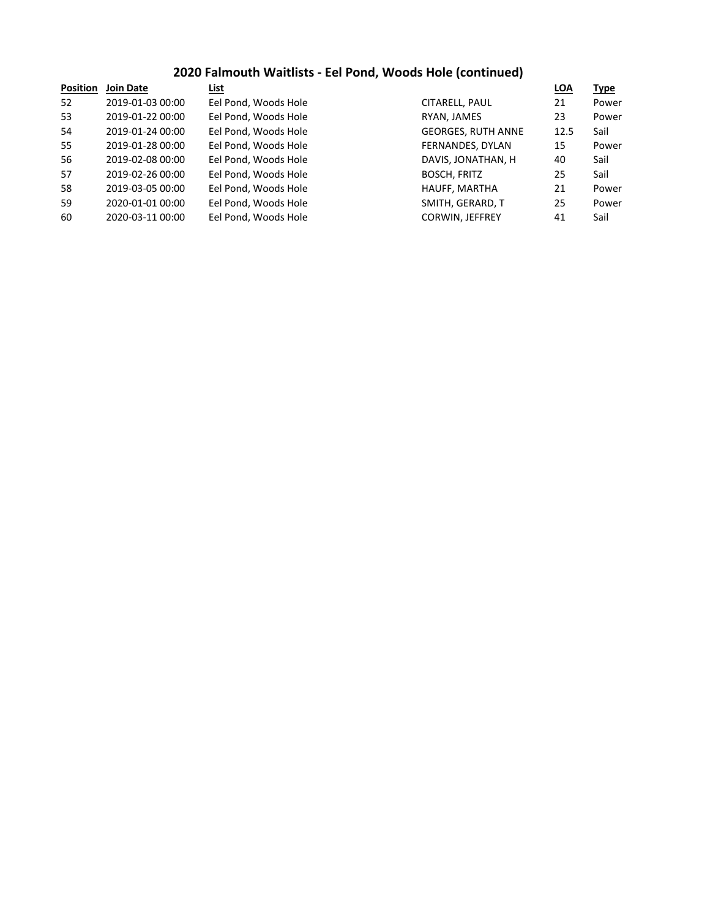## **2020 Falmouth Waitlists - Eel Pond, Woods Hole (continued)**

| <b>Position</b> | Join Date        | List                 |                           | <b>LOA</b> | <u>Type</u> |
|-----------------|------------------|----------------------|---------------------------|------------|-------------|
| 52              | 2019-01-03 00:00 | Eel Pond, Woods Hole | CITARELL, PAUL            | 21         | Power       |
| 53              | 2019-01-22 00:00 | Eel Pond, Woods Hole | RYAN, JAMES               | 23         | Power       |
| 54              | 2019-01-24 00:00 | Eel Pond, Woods Hole | <b>GEORGES, RUTH ANNE</b> | 12.5       | Sail        |
| 55              | 2019-01-28 00:00 | Eel Pond, Woods Hole | FERNANDES, DYLAN          | 15         | Power       |
| 56              | 2019-02-08 00:00 | Eel Pond, Woods Hole | DAVIS, JONATHAN, H        | 40         | Sail        |
| 57              | 2019-02-26 00:00 | Eel Pond, Woods Hole | <b>BOSCH, FRITZ</b>       | 25         | Sail        |
| 58              | 2019-03-05 00:00 | Eel Pond, Woods Hole | HAUFF, MARTHA             | 21         | Power       |
| 59              | 2020-01-01 00:00 | Eel Pond, Woods Hole | SMITH, GERARD, T          | 25         | Power       |
| 60              | 2020-03-11 00:00 | Eel Pond, Woods Hole | <b>CORWIN, JEFFREY</b>    | 41         | Sail        |
|                 |                  |                      |                           |            |             |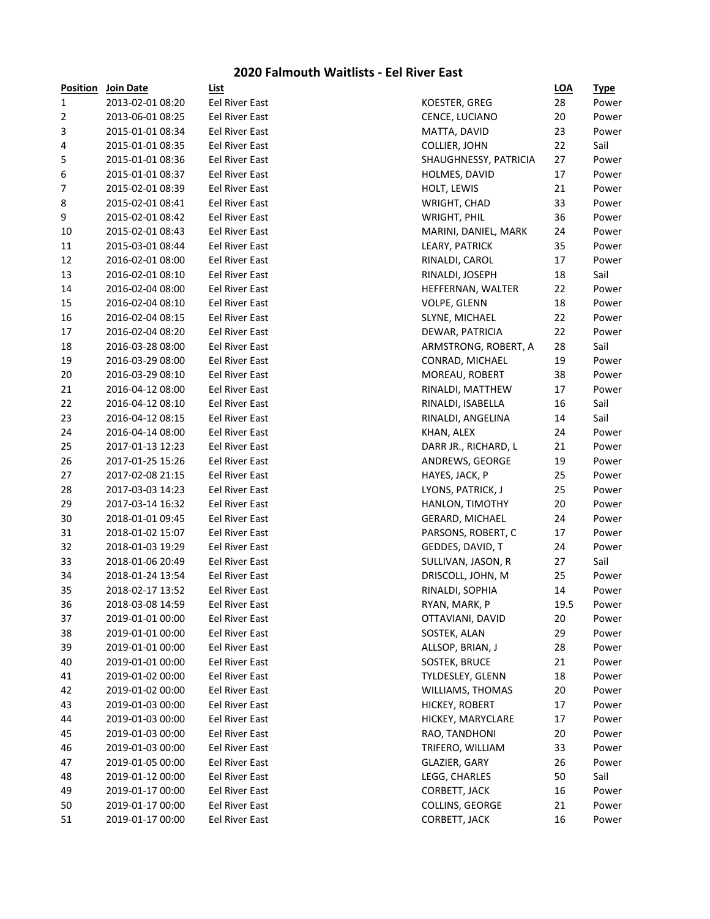#### **2020 Falmouth Waitlists - Eel River East**

| <b>Position</b> | Join Date        | <b>List</b>                             |                       | <b>LOA</b> | <b>Type</b> |
|-----------------|------------------|-----------------------------------------|-----------------------|------------|-------------|
| 1               | 2013-02-01 08:20 | Eel River East                          | KOESTER, GREG         | 28         | Power       |
| $\overline{2}$  | 2013-06-01 08:25 | Eel River East                          | CENCE, LUCIANO        | 20         | Power       |
| 3               | 2015-01-01 08:34 | Eel River East                          | MATTA, DAVID          | 23         | Power       |
| 4               | 2015-01-01 08:35 | Eel River East                          | COLLIER, JOHN         | 22         | Sail        |
| 5               | 2015-01-01 08:36 | <b>Eel River East</b>                   | SHAUGHNESSY, PATRICIA | 27         | Power       |
| 6               | 2015-01-01 08:37 | <b>Eel River East</b>                   | HOLMES, DAVID         | 17         | Power       |
| 7               | 2015-02-01 08:39 | Eel River East                          | HOLT, LEWIS           | 21         | Power       |
| 8               | 2015-02-01 08:41 | Eel River East                          | WRIGHT, CHAD          | 33         | Power       |
| 9               | 2015-02-01 08:42 | <b>Eel River East</b>                   | <b>WRIGHT, PHIL</b>   | 36         | Power       |
| 10              | 2015-02-01 08:43 | Eel River East                          | MARINI, DANIEL, MARK  | 24         | Power       |
| 11              | 2015-03-01 08:44 | Eel River East                          | LEARY, PATRICK        | 35         | Power       |
| 12              | 2016-02-01 08:00 | Eel River East                          | RINALDI, CAROL        | 17         | Power       |
| 13              | 2016-02-01 08:10 | Eel River East                          | RINALDI, JOSEPH       | 18         | Sail        |
| 14              | 2016-02-04 08:00 | Eel River East                          | HEFFERNAN, WALTER     | 22         | Power       |
| 15              | 2016-02-04 08:10 | Eel River East                          | VOLPE, GLENN          | 18         | Power       |
| 16              | 2016-02-04 08:15 | Eel River East                          | SLYNE, MICHAEL        | 22         | Power       |
| 17              | 2016-02-04 08:20 | Eel River East                          | DEWAR, PATRICIA       | 22         | Power       |
| 18              | 2016-03-28 08:00 | Eel River East                          | ARMSTRONG, ROBERT, A  | 28         | Sail        |
| 19              | 2016-03-29 08:00 | Eel River East                          | CONRAD, MICHAEL       | 19         | Power       |
| 20              | 2016-03-29 08:10 | Eel River East                          | MOREAU, ROBERT        | 38         | Power       |
| 21              | 2016-04-12 08:00 | Eel River East                          | RINALDI, MATTHEW      | 17         | Power       |
| 22              | 2016-04-12 08:10 | <b>Eel River East</b>                   | RINALDI, ISABELLA     | 16         | Sail        |
| 23              | 2016-04-12 08:15 | Eel River East                          | RINALDI, ANGELINA     | 14         | Sail        |
| 24              | 2016-04-14 08:00 | Eel River East                          | KHAN, ALEX            | 24         | Power       |
| 25              | 2017-01-13 12:23 | Eel River East                          | DARR JR., RICHARD, L  | 21         | Power       |
| 26              | 2017-01-25 15:26 | <b>Eel River East</b>                   | ANDREWS, GEORGE       | 19         | Power       |
| 27              | 2017-02-08 21:15 | <b>Eel River East</b>                   | HAYES, JACK, P        | 25         | Power       |
| 28              | 2017-03-03 14:23 | Eel River East                          | LYONS, PATRICK, J     | 25         | Power       |
| 29              | 2017-03-14 16:32 | Eel River East                          | HANLON, TIMOTHY       | 20         | Power       |
| 30              | 2018-01-01 09:45 | Eel River East                          | GERARD, MICHAEL       | 24         | Power       |
| 31              | 2018-01-02 15:07 | Eel River East                          | PARSONS, ROBERT, C    | 17         | Power       |
| 32              | 2018-01-03 19:29 | <b>Eel River East</b>                   | GEDDES, DAVID, T      | 24         | Power       |
| 33              | 2018-01-06 20:49 | Eel River East                          | SULLIVAN, JASON, R    | 27         | Sail        |
| 34              | 2018-01-24 13:54 | Eel River East                          | DRISCOLL, JOHN, M     | 25         | Power       |
| 35              | 2018-02-17 13:52 | Eel River East                          | RINALDI, SOPHIA       | 14         | Power       |
| 36              | 2018-03-08 14:59 | Eel River East                          | RYAN, MARK, P         | 19.5       | Power       |
| 37              | 2019-01-01 00:00 | Eel River East                          | OTTAVIANI, DAVID      | 20         | Power       |
| 38              | 2019-01-01 00:00 | Eel River East                          | SOSTEK, ALAN          | 29         | Power       |
| 39              | 2019-01-01 00:00 | Eel River East                          | ALLSOP, BRIAN, J      | 28         | Power       |
|                 | 2019-01-01 00:00 | Eel River East                          | SOSTEK, BRUCE         | 21         | Power       |
| 40              | 2019-01-02 00:00 | Eel River East                          | TYLDESLEY, GLENN      | 18         |             |
| 41              |                  |                                         |                       |            | Power       |
| 42              | 2019-01-02 00:00 | Eel River East<br><b>Eel River East</b> | WILLIAMS, THOMAS      | 20         | Power       |
| 43              | 2019-01-03 00:00 | <b>Eel River East</b>                   | HICKEY, ROBERT        | 17         | Power       |
| 44              | 2019-01-03 00:00 |                                         | HICKEY, MARYCLARE     | 17         | Power       |
| 45              | 2019-01-03 00:00 | Eel River East                          | RAO, TANDHONI         | 20         | Power       |
| 46              | 2019-01-03 00:00 | Eel River East                          | TRIFERO, WILLIAM      | 33         | Power       |
| 47              | 2019-01-05 00:00 | Eel River East                          | GLAZIER, GARY         | 26         | Power       |
| 48              | 2019-01-12 00:00 | Eel River East                          | LEGG, CHARLES         | 50         | Sail        |
| 49              | 2019-01-17 00:00 | Eel River East                          | CORBETT, JACK         | 16         | Power       |
| 50              | 2019-01-17 00:00 | Eel River East                          | COLLINS, GEORGE       | 21         | Power       |
| 51              | 2019-01-17 00:00 | Eel River East                          | CORBETT, JACK         | 16         | Power       |

| <u>r ositioni</u>       | <b>JUIL Date</b> | <u>LIJL</u>           |                       | <u>-55</u> | <u>турс</u> |
|-------------------------|------------------|-----------------------|-----------------------|------------|-------------|
| 1                       | 2013-02-01 08:20 | Eel River East        | KOESTER, GREG         | 28         | Power       |
| $\overline{\mathbf{c}}$ | 2013-06-01 08:25 | Eel River East        | CENCE, LUCIANO        | 20         | Power       |
| 3                       | 2015-01-01 08:34 | Eel River East        | MATTA, DAVID          | 23         | Power       |
| 4                       | 2015-01-01 08:35 | Eel River East        | COLLIER, JOHN         | 22         | Sail        |
| 5                       | 2015-01-01 08:36 | Eel River East        | SHAUGHNESSY, PATRICIA | 27         | Power       |
| 6                       | 2015-01-01 08:37 | Eel River East        | HOLMES, DAVID         | 17         | Power       |
| 7                       | 2015-02-01 08:39 | Eel River East        | HOLT, LEWIS           | 21         | Power       |
| 8                       | 2015-02-01 08:41 | Eel River East        | WRIGHT, CHAD          | 33         | Power       |
| 9                       | 2015-02-01 08:42 | Eel River East        | WRIGHT, PHIL          | 36         | Power       |
| 10                      | 2015-02-01 08:43 | Eel River East        | MARINI, DANIEL, MARK  | 24         | Power       |
| 11                      | 2015-03-01 08:44 | Eel River East        | LEARY, PATRICK        | 35         | Power       |
| 12                      | 2016-02-01 08:00 | <b>Eel River East</b> | RINALDI, CAROL        | 17         | Power       |
| 13                      | 2016-02-01 08:10 | Eel River East        | RINALDI, JOSEPH       | 18         | Sail        |
| 14                      | 2016-02-04 08:00 | Eel River East        | HEFFERNAN, WALTER     | 22         | Power       |
| 15                      | 2016-02-04 08:10 | Eel River East        | VOLPE, GLENN          | 18         | Power       |
| 16                      | 2016-02-04 08:15 | Eel River East        | SLYNE, MICHAEL        | 22         | Power       |
| 17                      | 2016-02-04 08:20 | Eel River East        | DEWAR, PATRICIA       | 22         | Power       |
| 18                      | 2016-03-28 08:00 | Eel River East        | ARMSTRONG, ROBERT, A  | 28         | Sail        |
| 19                      | 2016-03-29 08:00 | Eel River East        | CONRAD, MICHAEL       | 19         | Power       |
| 20                      | 2016-03-29 08:10 | Eel River East        | MOREAU, ROBERT        | 38         | Power       |
| 21                      | 2016-04-12 08:00 | Eel River East        | RINALDI, MATTHEW      | 17         | Power       |
| 22                      | 2016-04-12 08:10 | Eel River East        | RINALDI, ISABELLA     | 16         | Sail        |
| 23                      | 2016-04-12 08:15 | Eel River East        | RINALDI, ANGELINA     | 14         | Sail        |
| 24                      | 2016-04-14 08:00 | Eel River East        | KHAN, ALEX            | 24         | Power       |
| 25                      | 2017-01-13 12:23 | Eel River East        | DARR JR., RICHARD, L  | 21         | Power       |
| 26                      | 2017-01-25 15:26 | Eel River East        | ANDREWS, GEORGE       | 19         | Power       |
| 27                      | 2017-02-08 21:15 | Eel River East        | HAYES, JACK, P        | 25         | Power       |
| 28                      | 2017-03-03 14:23 | Eel River East        | LYONS, PATRICK, J     | 25         | Power       |
| 29                      | 2017-03-14 16:32 | Eel River East        | HANLON, TIMOTHY       | 20         | Power       |
| 30                      | 2018-01-01 09:45 | Eel River East        | GERARD, MICHAEL       | 24         | Power       |
| 31                      | 2018-01-02 15:07 | Eel River East        | PARSONS, ROBERT, C    | 17         | Power       |
| 32                      | 2018-01-03 19:29 | Eel River East        | GEDDES, DAVID, T      | 24         | Power       |
| 33                      | 2018-01-06 20:49 | Eel River East        | SULLIVAN, JASON, R    | 27         | Sail        |
| 34                      | 2018-01-24 13:54 | Eel River East        | DRISCOLL, JOHN, M     | 25         | Power       |
| 35                      | 2018-02-17 13:52 | Eel River East        | RINALDI, SOPHIA       | 14         | Power       |
| 36                      | 2018-03-08 14:59 | Eel River East        | RYAN, MARK, P         | 19.5       | Power       |
| 37                      | 2019-01-01 00:00 | Eel River East        | OTTAVIANI, DAVID      | 20         | Power       |
| 38                      | 2019-01-01 00:00 | Eel River East        | SOSTEK, ALAN          | 29         | Power       |
| 39                      | 2019-01-01 00:00 | Eel River East        | ALLSOP, BRIAN, J      | 28         | Power       |
| 40                      | 2019-01-01 00:00 | Eel River East        | SOSTEK, BRUCE         | 21         | Power       |
| 41                      | 2019-01-02 00:00 | Eel River East        | TYLDESLEY, GLENN      | 18         | Power       |
| 42                      | 2019-01-02 00:00 | <b>Eel River East</b> | WILLIAMS, THOMAS      | 20         | Power       |
| 43                      | 2019-01-03 00:00 | <b>Eel River East</b> | HICKEY, ROBERT        | 17         | Power       |
| 44                      | 2019-01-03 00:00 | Eel River East        | HICKEY, MARYCLARE     | 17         | Power       |
| 45                      | 2019-01-03 00:00 | Eel River East        | RAO, TANDHONI         | 20         | Power       |
| 46                      | 2019-01-03 00:00 | <b>Eel River East</b> | TRIFERO, WILLIAM      | 33         | Power       |
| 47                      | 2019-01-05 00:00 | Eel River East        | GLAZIER, GARY         | 26         | Power       |
| 48                      | 2019-01-12 00:00 | Eel River East        | LEGG, CHARLES         | 50         | Sail        |
| 49                      | 2019-01-17 00:00 | Eel River East        | CORBETT, JACK         | 16         | Power       |
| 50                      | 2019-01-17 00:00 | Eel River East        | COLLINS, GEORGE       | 21         | Power       |
| 51                      | 2019-01-17 00:00 | Eel River East        | CORBETT, JACK         | 16         | Power       |
|                         |                  |                       |                       |            |             |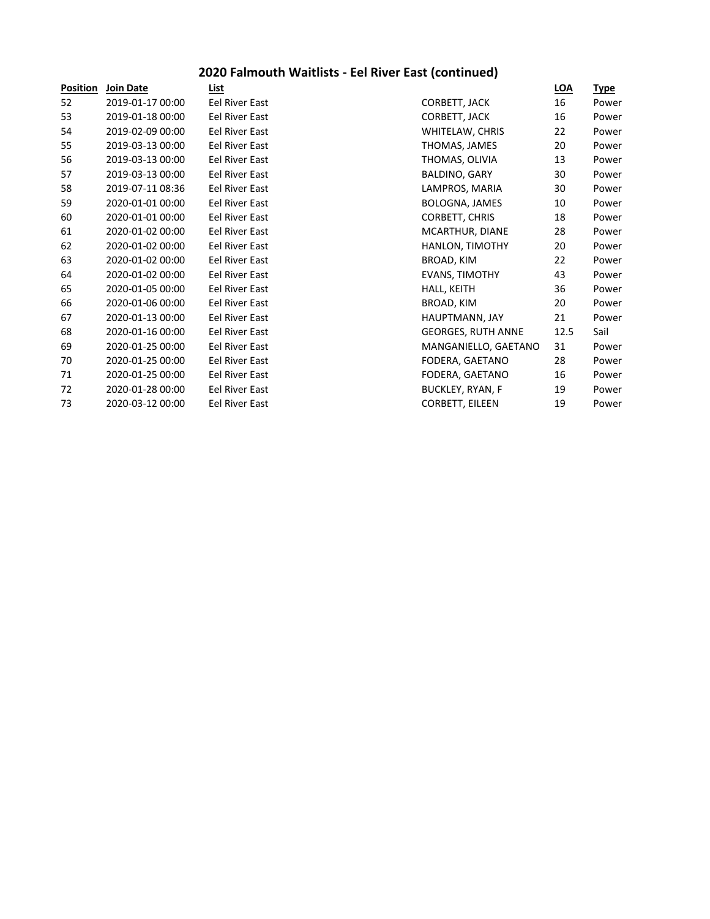## **2020 Falmouth Waitlists - Eel River East (continued)**

| <b>Position</b> | <b>Join Date</b> | List                  |                           | LOA  | <u>Type</u> |
|-----------------|------------------|-----------------------|---------------------------|------|-------------|
| 52              | 2019-01-17 00:00 | Eel River East        | CORBETT, JACK             | 16   | Power       |
| 53              | 2019-01-18 00:00 | Eel River East        | CORBETT, JACK             | 16   | Power       |
| 54              | 2019-02-09 00:00 | Eel River East        | WHITELAW, CHRIS           | 22   | Power       |
| 55              | 2019-03-13 00:00 | Eel River East        | THOMAS, JAMES             | 20   | Power       |
| 56              | 2019-03-13 00:00 | <b>Eel River East</b> | THOMAS, OLIVIA            | 13   | Power       |
| 57              | 2019-03-13 00:00 | Eel River East        | BALDINO, GARY             | 30   | Power       |
| 58              | 2019-07-11 08:36 | Eel River East        | LAMPROS, MARIA            | 30   | Power       |
| 59              | 2020-01-01 00:00 | Eel River East        | BOLOGNA, JAMES            | 10   | Power       |
| 60              | 2020-01-01 00:00 | Eel River East        | CORBETT, CHRIS            | 18   | Power       |
| 61              | 2020-01-02 00:00 | Eel River East        | MCARTHUR, DIANE           | 28   | Power       |
| 62              | 2020-01-02 00:00 | Eel River East        | HANLON, TIMOTHY           | 20   | Power       |
| 63              | 2020-01-02 00:00 | Eel River East        | BROAD, KIM                | 22   | Power       |
| 64              | 2020-01-02 00:00 | Eel River East        | <b>EVANS, TIMOTHY</b>     | 43   | Power       |
| 65              | 2020-01-05 00:00 | Eel River East        | HALL, KEITH               | 36   | Power       |
| 66              | 2020-01-06 00:00 | Eel River East        | BROAD, KIM                | 20   | Power       |
| 67              | 2020-01-13 00:00 | Eel River East        | HAUPTMANN, JAY            | 21   | Power       |
| 68              | 2020-01-16 00:00 | Eel River East        | <b>GEORGES, RUTH ANNE</b> | 12.5 | Sail        |
| 69              | 2020-01-25 00:00 | Eel River East        | MANGANIELLO, GAETANO      | 31   | Power       |
| 70              | 2020-01-25 00:00 | Eel River East        | FODERA, GAETANO           | 28   | Power       |
| 71              | 2020-01-25 00:00 | Eel River East        | FODERA, GAETANO           | 16   | Power       |
| 72              | 2020-01-28 00:00 | Eel River East        | <b>BUCKLEY, RYAN, F</b>   | 19   | Power       |
| 73              | 2020-03-12 00:00 | <b>Eel River East</b> | CORBETT, EILEEN           | 19   | Power       |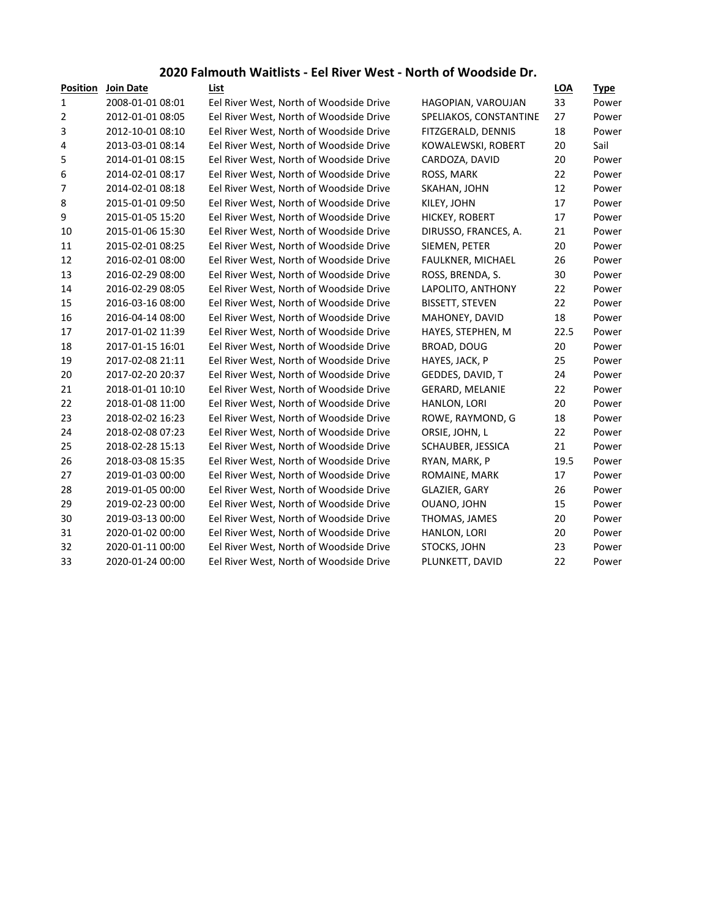### **2020 Falmouth Waitlists - Eel River West - North of Woodside Dr.**

| <b>Position</b> | <b>Join Date</b> | List                                    |                        | <b>LOA</b> | <b>Type</b> |
|-----------------|------------------|-----------------------------------------|------------------------|------------|-------------|
| 1               | 2008-01-01 08:01 | Eel River West, North of Woodside Drive | HAGOPIAN, VAROUJAN     | 33         | Power       |
| 2               | 2012-01-01 08:05 | Eel River West, North of Woodside Drive | SPELIAKOS, CONSTANTINE | 27         | Power       |
| 3               | 2012-10-01 08:10 | Eel River West, North of Woodside Drive | FITZGERALD, DENNIS     | 18         | Power       |
| 4               | 2013-03-01 08:14 | Eel River West, North of Woodside Drive | KOWALEWSKI, ROBERT     | 20         | Sail        |
| 5               | 2014-01-01 08:15 | Eel River West, North of Woodside Drive | CARDOZA, DAVID         | 20         | Power       |
| 6               | 2014-02-01 08:17 | Eel River West, North of Woodside Drive | ROSS, MARK             | 22         | Power       |
| 7               | 2014-02-01 08:18 | Eel River West, North of Woodside Drive | SKAHAN, JOHN           | 12         | Power       |
| 8               | 2015-01-01 09:50 | Eel River West, North of Woodside Drive | KILEY, JOHN            | 17         | Power       |
| 9               | 2015-01-05 15:20 | Eel River West, North of Woodside Drive | HICKEY, ROBERT         | 17         | Power       |
| 10              | 2015-01-06 15:30 | Eel River West, North of Woodside Drive | DIRUSSO, FRANCES, A.   | 21         | Power       |
| 11              | 2015-02-01 08:25 | Eel River West, North of Woodside Drive | SIEMEN, PETER          | 20         | Power       |
| 12              | 2016-02-01 08:00 | Eel River West, North of Woodside Drive | FAULKNER, MICHAEL      | 26         | Power       |
| 13              | 2016-02-29 08:00 | Eel River West, North of Woodside Drive | ROSS, BRENDA, S.       | 30         | Power       |
| 14              | 2016-02-29 08:05 | Eel River West, North of Woodside Drive | LAPOLITO, ANTHONY      | 22         | Power       |
| 15              | 2016-03-16 08:00 | Eel River West, North of Woodside Drive | <b>BISSETT, STEVEN</b> | 22         | Power       |
| 16              | 2016-04-14 08:00 | Eel River West, North of Woodside Drive | MAHONEY, DAVID         | 18         | Power       |
| 17              | 2017-01-02 11:39 | Eel River West, North of Woodside Drive | HAYES, STEPHEN, M      | 22.5       | Power       |
| 18              | 2017-01-15 16:01 | Eel River West, North of Woodside Drive | BROAD, DOUG            | 20         | Power       |
| 19              | 2017-02-08 21:11 | Eel River West, North of Woodside Drive | HAYES, JACK, P         | 25         | Power       |
| 20              | 2017-02-20 20:37 | Eel River West, North of Woodside Drive | GEDDES, DAVID, T       | 24         | Power       |
| 21              | 2018-01-01 10:10 | Eel River West, North of Woodside Drive | <b>GERARD, MELANIE</b> | 22         | Power       |
| 22              | 2018-01-08 11:00 | Eel River West, North of Woodside Drive | HANLON, LORI           | 20         | Power       |
| 23              | 2018-02-02 16:23 | Eel River West, North of Woodside Drive | ROWE, RAYMOND, G       | 18         | Power       |
| 24              | 2018-02-08 07:23 | Eel River West, North of Woodside Drive | ORSIE, JOHN, L         | 22         | Power       |
| 25              | 2018-02-28 15:13 | Eel River West, North of Woodside Drive | SCHAUBER, JESSICA      | 21         | Power       |
| 26              | 2018-03-08 15:35 | Eel River West, North of Woodside Drive | RYAN, MARK, P          | 19.5       | Power       |
| 27              | 2019-01-03 00:00 | Eel River West, North of Woodside Drive | ROMAINE, MARK          | 17         | Power       |
| 28              | 2019-01-05 00:00 | Eel River West, North of Woodside Drive | <b>GLAZIER, GARY</b>   | 26         | Power       |
| 29              | 2019-02-23 00:00 | Eel River West, North of Woodside Drive | OUANO, JOHN            | 15         | Power       |
| 30              | 2019-03-13 00:00 | Eel River West, North of Woodside Drive | THOMAS, JAMES          | 20         | Power       |
| 31              | 2020-01-02 00:00 | Eel River West, North of Woodside Drive | HANLON, LORI           | 20         | Power       |
| 32              | 2020-01-11 00:00 | Eel River West, North of Woodside Drive | STOCKS, JOHN           | 23         | Power       |
| 33              | 2020-01-24 00:00 | Eel River West, North of Woodside Drive | PLUNKETT, DAVID        | 22         | Power       |
|                 |                  |                                         |                        |            |             |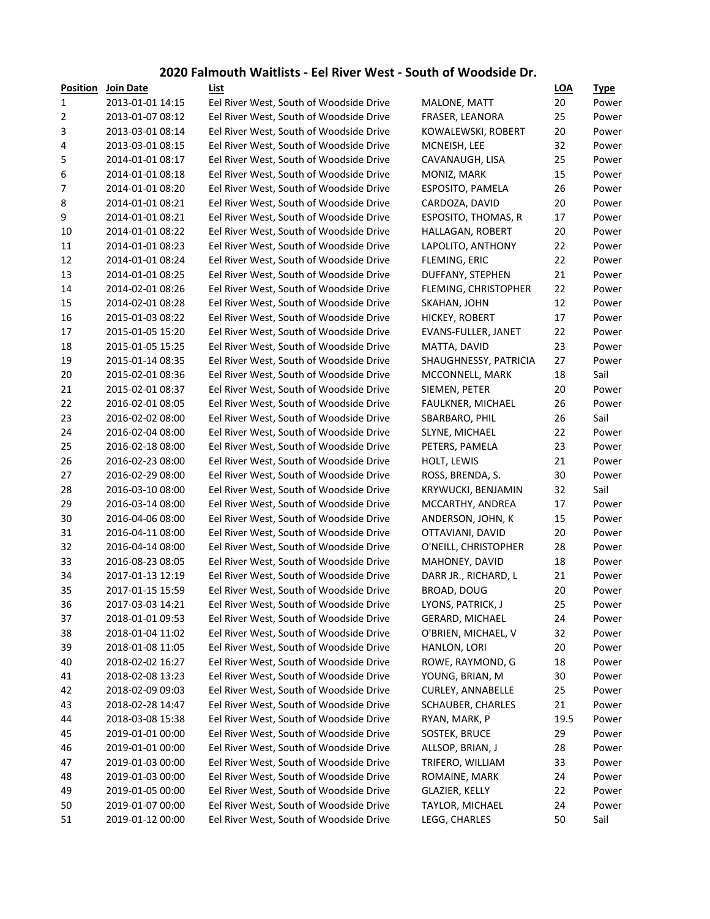### **2020 Falmouth Waitlists - Eel River West - South of Woodside Dr.**

| <b>Position</b>  | <b>Join Date</b> | <b>List</b>                             |                            | <b>LOA</b> | <u>Type</u> |
|------------------|------------------|-----------------------------------------|----------------------------|------------|-------------|
| 1                | 2013-01-01 14:15 | Eel River West, South of Woodside Drive | MALONE, MATT               | 20         | Power       |
| 2                | 2013-01-07 08:12 | Eel River West, South of Woodside Drive | FRASER, LEANORA            | 25         | Power       |
| 3                | 2013-03-01 08:14 | Eel River West, South of Woodside Drive | KOWALEWSKI, ROBERT         | 20         | Power       |
| 4                | 2013-03-01 08:15 | Eel River West, South of Woodside Drive | MCNEISH, LEE               | 32         | Power       |
| 5                | 2014-01-01 08:17 | Eel River West, South of Woodside Drive | CAVANAUGH, LISA            | 25         | Power       |
| 6                | 2014-01-01 08:18 | Eel River West, South of Woodside Drive | MONIZ, MARK                | 15         | Power       |
| $\boldsymbol{7}$ | 2014-01-01 08:20 | Eel River West, South of Woodside Drive | ESPOSITO, PAMELA           | 26         | Power       |
| 8                | 2014-01-01 08:21 | Eel River West, South of Woodside Drive | CARDOZA, DAVID             | 20         | Power       |
| 9                | 2014-01-01 08:21 | Eel River West, South of Woodside Drive | ESPOSITO, THOMAS, R        | 17         | Power       |
| 10               | 2014-01-01 08:22 | Eel River West, South of Woodside Drive | HALLAGAN, ROBERT           | 20         | Power       |
| 11               | 2014-01-01 08:23 | Eel River West, South of Woodside Drive | LAPOLITO, ANTHONY          | 22         | Power       |
| 12               | 2014-01-01 08:24 | Eel River West, South of Woodside Drive | FLEMING, ERIC              | 22         | Power       |
| 13               | 2014-01-01 08:25 | Eel River West, South of Woodside Drive | DUFFANY, STEPHEN           | 21         | Power       |
| 14               | 2014-02-01 08:26 | Eel River West, South of Woodside Drive | FLEMING, CHRISTOPHER       | 22         | Power       |
| 15               | 2014-02-01 08:28 | Eel River West, South of Woodside Drive | SKAHAN, JOHN               | 12         | Power       |
| 16               | 2015-01-03 08:22 | Eel River West, South of Woodside Drive | HICKEY, ROBERT             | 17         | Power       |
| 17               | 2015-01-05 15:20 | Eel River West, South of Woodside Drive | <b>EVANS-FULLER, JANET</b> | 22         | Power       |
| 18               | 2015-01-05 15:25 | Eel River West, South of Woodside Drive | MATTA, DAVID               | 23         | Power       |
| 19               | 2015-01-14 08:35 | Eel River West, South of Woodside Drive | SHAUGHNESSY, PATRICIA      | 27         | Power       |
| 20               | 2015-02-01 08:36 | Eel River West, South of Woodside Drive | MCCONNELL, MARK            | 18         | Sail        |
| 21               | 2015-02-01 08:37 | Eel River West, South of Woodside Drive | SIEMEN, PETER              | 20         | Power       |
| 22               | 2016-02-01 08:05 | Eel River West, South of Woodside Drive | FAULKNER, MICHAEL          | 26         | Power       |
| 23               | 2016-02-02 08:00 | Eel River West, South of Woodside Drive | SBARBARO, PHIL             | 26         | Sail        |
| 24               | 2016-02-04 08:00 | Eel River West, South of Woodside Drive | SLYNE, MICHAEL             | 22         | Power       |
| 25               | 2016-02-18 08:00 | Eel River West, South of Woodside Drive | PETERS, PAMELA             | 23         | Power       |
| 26               | 2016-02-23 08:00 | Eel River West, South of Woodside Drive | HOLT, LEWIS                | 21         | Power       |
| 27               | 2016-02-29 08:00 | Eel River West, South of Woodside Drive | ROSS, BRENDA, S.           | 30         | Power       |
| 28               | 2016-03-10 08:00 | Eel River West, South of Woodside Drive | KRYWUCKI, BENJAMIN         | 32         | Sail        |
| 29               | 2016-03-14 08:00 | Eel River West, South of Woodside Drive | MCCARTHY, ANDREA           | 17         | Power       |
| 30               | 2016-04-06 08:00 | Eel River West, South of Woodside Drive | ANDERSON, JOHN, K          | 15         | Power       |
| 31               | 2016-04-11 08:00 | Eel River West, South of Woodside Drive | OTTAVIANI, DAVID           | 20         | Power       |
| 32               | 2016-04-14 08:00 | Eel River West, South of Woodside Drive | O'NEILL, CHRISTOPHER       | 28         | Power       |
| 33               | 2016-08-23 08:05 | Eel River West, South of Woodside Drive | MAHONEY, DAVID             | 18         | Power       |
| 34               | 2017-01-13 12:19 | Eel River West, South of Woodside Drive | DARR JR., RICHARD, L       | 21         | Power       |
| 35               | 2017-01-15 15:59 | Eel River West, South of Woodside Drive | BROAD, DOUG                | 20         | Power       |
| 36               | 2017-03-03 14:21 | Eel River West, South of Woodside Drive | LYONS, PATRICK, J          | 25         | Power       |
| 37               | 2018-01-01 09:53 | Eel River West, South of Woodside Drive | GERARD, MICHAEL            | 24         | Power       |
| 38               | 2018-01-04 11:02 | Eel River West, South of Woodside Drive | O'BRIEN, MICHAEL, V        | 32         | Power       |
| 39               | 2018-01-08 11:05 | Eel River West, South of Woodside Drive | HANLON, LORI               | 20         | Power       |
| 40               | 2018-02-02 16:27 | Eel River West, South of Woodside Drive | ROWE, RAYMOND, G           | 18         | Power       |
| 41               | 2018-02-08 13:23 | Eel River West, South of Woodside Drive | YOUNG, BRIAN, M            | 30         | Power       |
| 42               | 2018-02-09 09:03 | Eel River West, South of Woodside Drive | CURLEY, ANNABELLE          | 25         | Power       |
| 43               | 2018-02-28 14:47 | Eel River West, South of Woodside Drive | SCHAUBER, CHARLES          | 21         | Power       |
| 44               | 2018-03-08 15:38 | Eel River West, South of Woodside Drive | RYAN, MARK, P              | 19.5       | Power       |
| 45               | 2019-01-01 00:00 | Eel River West, South of Woodside Drive | SOSTEK, BRUCE              | 29         | Power       |
| 46               | 2019-01-01 00:00 | Eel River West, South of Woodside Drive | ALLSOP, BRIAN, J           | 28         | Power       |
| 47               | 2019-01-03 00:00 | Eel River West, South of Woodside Drive | TRIFERO, WILLIAM           | 33         | Power       |
| 48               | 2019-01-03 00:00 | Eel River West, South of Woodside Drive | ROMAINE, MARK              | 24         | Power       |
| 49               | 2019-01-05 00:00 | Eel River West, South of Woodside Drive | GLAZIER, KELLY             | 22         | Power       |
| 50               | 2019-01-07 00:00 | Eel River West, South of Woodside Drive | TAYLOR, MICHAEL            | 24         | Power       |
| 51               | 2019-01-12 00:00 | Eel River West, South of Woodside Drive | LEGG, CHARLES              | 50         | Sail        |
|                  |                  |                                         |                            |            |             |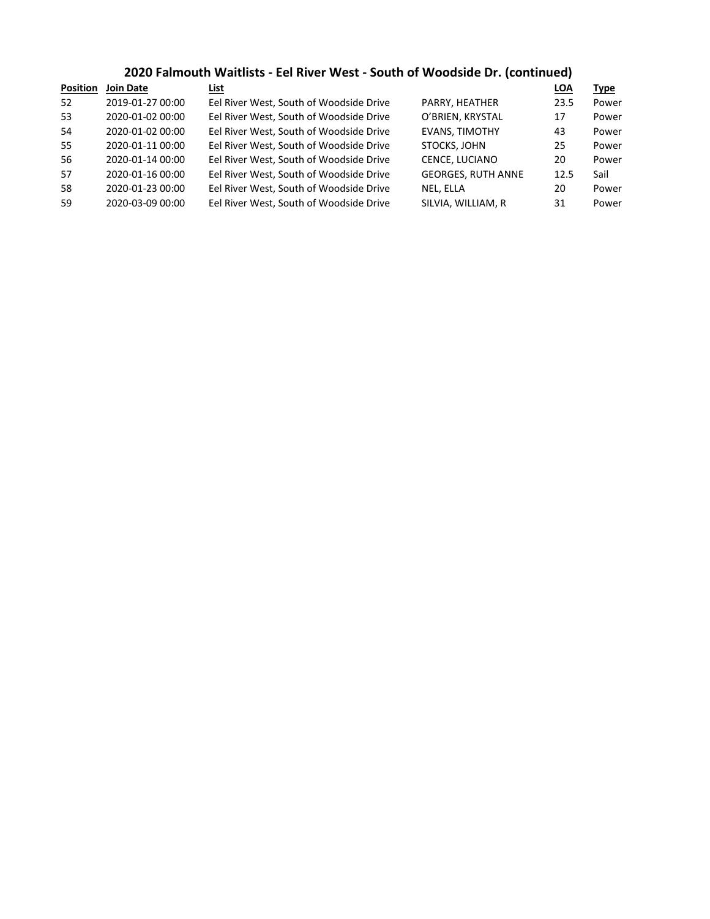## **2020 Falmouth Waitlists - Eel River West - South of Woodside Dr. (continued)**

| <b>Position</b> | <b>Join Date</b> | List                                    |                           | <b>LOA</b> | <b>Type</b> |
|-----------------|------------------|-----------------------------------------|---------------------------|------------|-------------|
| 52              | 2019-01-27 00:00 | Eel River West, South of Woodside Drive | PARRY, HEATHER            | 23.5       | Power       |
| 53              | 2020-01-02 00:00 | Eel River West, South of Woodside Drive | O'BRIEN, KRYSTAL          | 17         | Power       |
| 54              | 2020-01-02 00:00 | Eel River West, South of Woodside Drive | <b>EVANS, TIMOTHY</b>     | 43         | Power       |
| 55              | 2020-01-11 00:00 | Eel River West, South of Woodside Drive | STOCKS, JOHN              | 25         | Power       |
| 56              | 2020-01-14 00:00 | Eel River West, South of Woodside Drive | CENCE, LUCIANO            | 20         | Power       |
| 57              | 2020-01-16 00:00 | Eel River West, South of Woodside Drive | <b>GEORGES, RUTH ANNE</b> | 12.5       | Sail        |
| 58              | 2020-01-23 00:00 | Eel River West, South of Woodside Drive | NEL, ELLA                 | 20         | Power       |
| 59              | 2020-03-09 00:00 | Eel River West, South of Woodside Drive | SILVIA, WILLIAM, R        | 31         | Power       |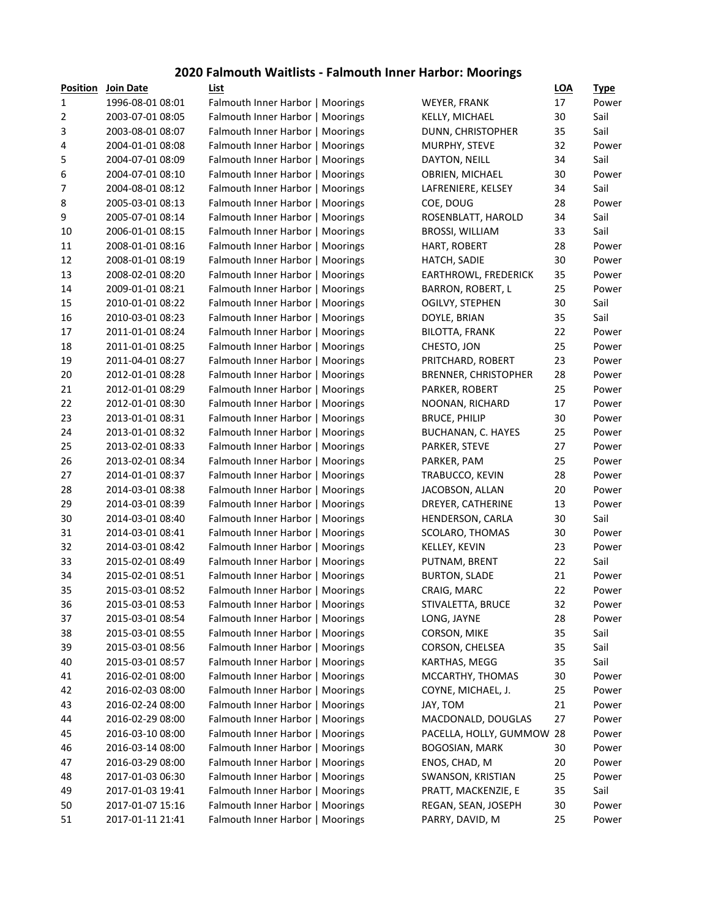## **2020 Falmouth Waitlists - Falmouth Inner Harbor: Moorings**

| <b>Position</b> | <b>Join Date</b> | List                             |                             | <b>LOA</b> | <u>Type</u> |
|-----------------|------------------|----------------------------------|-----------------------------|------------|-------------|
| 1               | 1996-08-01 08:01 | Falmouth Inner Harbor   Moorings | WEYER, FRANK                | 17         | Power       |
| 2               | 2003-07-01 08:05 | Falmouth Inner Harbor   Moorings | KELLY, MICHAEL              | 30         | Sail        |
| 3               | 2003-08-01 08:07 | Falmouth Inner Harbor   Moorings | DUNN, CHRISTOPHER           | 35         | Sail        |
| 4               | 2004-01-01 08:08 | Falmouth Inner Harbor   Moorings | MURPHY, STEVE               | 32         | Power       |
| 5               | 2004-07-01 08:09 | Falmouth Inner Harbor   Moorings | DAYTON, NEILL               | 34         | Sail        |
| 6               | 2004-07-01 08:10 | Falmouth Inner Harbor   Moorings | OBRIEN, MICHAEL             | 30         | Power       |
| 7               | 2004-08-01 08:12 | Falmouth Inner Harbor   Moorings | LAFRENIERE, KELSEY          | 34         | Sail        |
| 8               | 2005-03-01 08:13 | Falmouth Inner Harbor   Moorings | COE, DOUG                   | 28         | Power       |
| 9               | 2005-07-01 08:14 | Falmouth Inner Harbor   Moorings | ROSENBLATT, HAROLD          | 34         | Sail        |
| 10              | 2006-01-01 08:15 | Falmouth Inner Harbor   Moorings | <b>BROSSI, WILLIAM</b>      | 33         | Sail        |
| 11              | 2008-01-01 08:16 | Falmouth Inner Harbor   Moorings | HART, ROBERT                | 28         | Power       |
| 12              | 2008-01-01 08:19 | Falmouth Inner Harbor   Moorings | HATCH, SADIE                | 30         | Power       |
| 13              | 2008-02-01 08:20 | Falmouth Inner Harbor   Moorings | EARTHROWL, FREDERICK        | 35         | Power       |
| 14              | 2009-01-01 08:21 | Falmouth Inner Harbor   Moorings | BARRON, ROBERT, L           | 25         | Power       |
| 15              | 2010-01-01 08:22 | Falmouth Inner Harbor   Moorings | OGILVY, STEPHEN             | 30         | Sail        |
| 16              | 2010-03-01 08:23 | Falmouth Inner Harbor   Moorings | DOYLE, BRIAN                | 35         | Sail        |
| 17              | 2011-01-01 08:24 | Falmouth Inner Harbor   Moorings | <b>BILOTTA, FRANK</b>       | 22         | Power       |
| 18              | 2011-01-01 08:25 | Falmouth Inner Harbor   Moorings | CHESTO, JON                 | 25         | Power       |
| 19              | 2011-04-01 08:27 | Falmouth Inner Harbor   Moorings | PRITCHARD, ROBERT           | 23         | Power       |
| 20              | 2012-01-01 08:28 | Falmouth Inner Harbor   Moorings | <b>BRENNER, CHRISTOPHER</b> | 28         | Power       |
| 21              | 2012-01-01 08:29 | Falmouth Inner Harbor   Moorings | PARKER, ROBERT              | 25         | Power       |
| 22              | 2012-01-01 08:30 | Falmouth Inner Harbor   Moorings | NOONAN, RICHARD             | 17         | Power       |
| 23              | 2013-01-01 08:31 | Falmouth Inner Harbor   Moorings | <b>BRUCE, PHILIP</b>        | 30         | Power       |
| 24              | 2013-01-01 08:32 | Falmouth Inner Harbor   Moorings | <b>BUCHANAN, C. HAYES</b>   | 25         | Power       |
| 25              | 2013-02-01 08:33 | Falmouth Inner Harbor   Moorings | PARKER, STEVE               | 27         | Power       |
| 26              | 2013-02-01 08:34 | Falmouth Inner Harbor   Moorings | PARKER, PAM                 | 25         | Power       |
| 27              | 2014-01-01 08:37 | Falmouth Inner Harbor   Moorings | TRABUCCO, KEVIN             | 28         | Power       |
| 28              | 2014-03-01 08:38 | Falmouth Inner Harbor   Moorings | JACOBSON, ALLAN             | 20         | Power       |
| 29              | 2014-03-01 08:39 | Falmouth Inner Harbor   Moorings | DREYER, CATHERINE           | 13         | Power       |
| 30              | 2014-03-01 08:40 | Falmouth Inner Harbor   Moorings | HENDERSON, CARLA            | 30         | Sail        |
| 31              | 2014-03-01 08:41 | Falmouth Inner Harbor   Moorings | SCOLARO, THOMAS             | 30         | Power       |
| 32              | 2014-03-01 08:42 | Falmouth Inner Harbor   Moorings | KELLEY, KEVIN               | 23         | Power       |
| 33              | 2015-02-01 08:49 | Falmouth Inner Harbor   Moorings | PUTNAM, BRENT               | 22         | Sail        |
| 34              | 2015-02-01 08:51 | Falmouth Inner Harbor   Moorings | <b>BURTON, SLADE</b>        | 21         | Power       |
| 35              | 2015-03-01 08:52 | Falmouth Inner Harbor   Moorings | CRAIG, MARC                 | 22         | Power       |
| 36              | 2015-03-01 08:53 | Falmouth Inner Harbor   Moorings | STIVALETTA, BRUCE           | 32         | Power       |
| 37              | 2015-03-01 08:54 | Falmouth Inner Harbor   Moorings | LONG, JAYNE                 | 28         | Power       |
| 38              | 2015-03-01 08:55 | Falmouth Inner Harbor   Moorings | CORSON, MIKE                | 35         | Sail        |
| 39              | 2015-03-01 08:56 | Falmouth Inner Harbor   Moorings | CORSON, CHELSEA             | 35         | Sail        |
| 40              | 2015-03-01 08:57 | Falmouth Inner Harbor   Moorings | KARTHAS, MEGG               | 35         | Sail        |
| 41              | 2016-02-01 08:00 | Falmouth Inner Harbor   Moorings | MCCARTHY, THOMAS            | 30         | Power       |
| 42              | 2016-02-03 08:00 | Falmouth Inner Harbor   Moorings | COYNE, MICHAEL, J.          | 25         | Power       |
| 43              | 2016-02-24 08:00 | Falmouth Inner Harbor   Moorings | JAY, TOM                    | 21         | Power       |
| 44              | 2016-02-29 08:00 | Falmouth Inner Harbor   Moorings | MACDONALD, DOUGLAS          | 27         | Power       |
| 45              | 2016-03-10 08:00 | Falmouth Inner Harbor   Moorings | PACELLA, HOLLY, GUMMOW 28   |            | Power       |
| 46              | 2016-03-14 08:00 | Falmouth Inner Harbor   Moorings | <b>BOGOSIAN, MARK</b>       | 30         | Power       |
| 47              | 2016-03-29 08:00 | Falmouth Inner Harbor   Moorings | ENOS, CHAD, M               | 20         | Power       |
| 48              | 2017-01-03 06:30 | Falmouth Inner Harbor   Moorings | SWANSON, KRISTIAN           | 25         | Power       |
| 49              | 2017-01-03 19:41 | Falmouth Inner Harbor   Moorings | PRATT, MACKENZIE, E         | 35         | Sail        |
| 50              | 2017-01-07 15:16 | Falmouth Inner Harbor   Moorings | REGAN, SEAN, JOSEPH         | 30         | Power       |
| 51              | 2017-01-11 21:41 | Falmouth Inner Harbor   Moorings | PARRY, DAVID, M             | 25         | Power       |
|                 |                  |                                  |                             |            |             |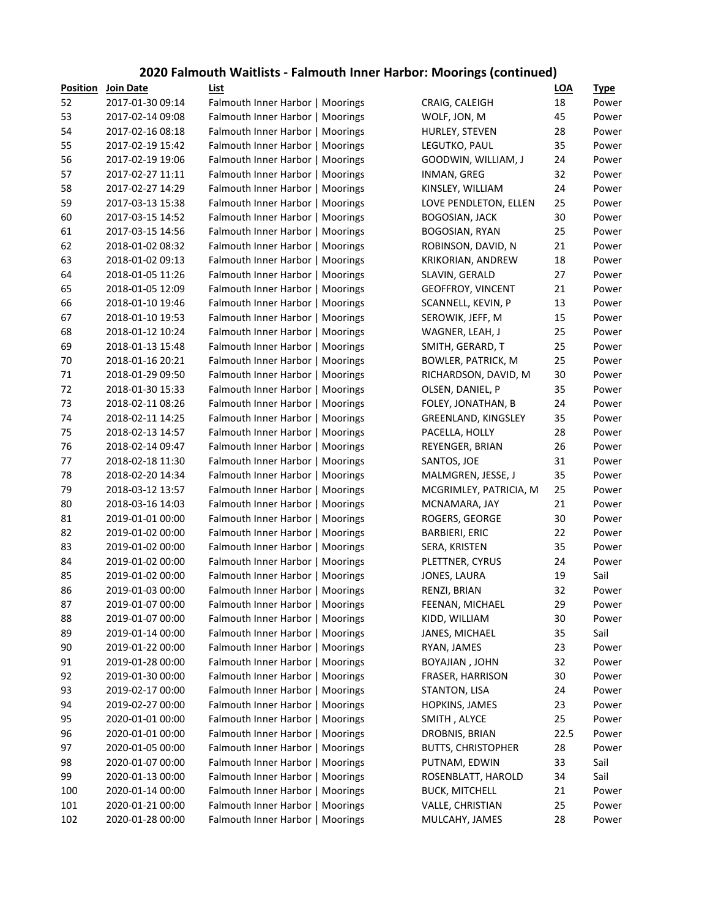## **2020 Falmouth Waitlists - Falmouth Inner Harbor: Moorings (continued)**

| <b>Position</b> | <b>Join Date</b> | List                             |                           | <b>LOA</b> | <u>Type</u> |
|-----------------|------------------|----------------------------------|---------------------------|------------|-------------|
| 52              | 2017-01-30 09:14 | Falmouth Inner Harbor   Moorings | CRAIG, CALEIGH            | 18         | Power       |
| 53              | 2017-02-14 09:08 | Falmouth Inner Harbor   Moorings | WOLF, JON, M              | 45         | Power       |
| 54              | 2017-02-16 08:18 | Falmouth Inner Harbor   Moorings | HURLEY, STEVEN            | 28         | Power       |
| 55              | 2017-02-19 15:42 | Falmouth Inner Harbor   Moorings | LEGUTKO, PAUL             | 35         | Power       |
| 56              | 2017-02-19 19:06 | Falmouth Inner Harbor   Moorings | GOODWIN, WILLIAM, J       | 24         | Power       |
| 57              | 2017-02-27 11:11 | Falmouth Inner Harbor   Moorings | INMAN, GREG               | 32         | Power       |
| 58              | 2017-02-27 14:29 | Falmouth Inner Harbor   Moorings | KINSLEY, WILLIAM          | 24         | Power       |
| 59              | 2017-03-13 15:38 | Falmouth Inner Harbor   Moorings | LOVE PENDLETON, ELLEN     | 25         | Power       |
| 60              | 2017-03-15 14:52 | Falmouth Inner Harbor   Moorings | <b>BOGOSIAN, JACK</b>     | 30         | Power       |
| 61              | 2017-03-15 14:56 | Falmouth Inner Harbor   Moorings | BOGOSIAN, RYAN            | 25         | Power       |
| 62              | 2018-01-02 08:32 | Falmouth Inner Harbor   Moorings | ROBINSON, DAVID, N        | 21         | Power       |
| 63              | 2018-01-02 09:13 | Falmouth Inner Harbor   Moorings | KRIKORIAN, ANDREW         | 18         | Power       |
| 64              | 2018-01-05 11:26 | Falmouth Inner Harbor   Moorings | SLAVIN, GERALD            | 27         | Power       |
| 65              | 2018-01-05 12:09 | Falmouth Inner Harbor   Moorings | <b>GEOFFROY, VINCENT</b>  | 21         | Power       |
| 66              | 2018-01-10 19:46 | Falmouth Inner Harbor   Moorings | SCANNELL, KEVIN, P        | 13         | Power       |
| 67              | 2018-01-10 19:53 | Falmouth Inner Harbor   Moorings | SEROWIK, JEFF, M          | 15         | Power       |
| 68              | 2018-01-12 10:24 | Falmouth Inner Harbor   Moorings | WAGNER, LEAH, J           | 25         | Power       |
| 69              | 2018-01-13 15:48 | Falmouth Inner Harbor   Moorings | SMITH, GERARD, T          | 25         | Power       |
| 70              | 2018-01-16 20:21 | Falmouth Inner Harbor   Moorings | <b>BOWLER, PATRICK, M</b> | 25         | Power       |
| 71              | 2018-01-29 09:50 | Falmouth Inner Harbor   Moorings | RICHARDSON, DAVID, M      | 30         | Power       |
| 72              | 2018-01-30 15:33 | Falmouth Inner Harbor   Moorings | OLSEN, DANIEL, P          | 35         | Power       |
| 73              | 2018-02-11 08:26 | Falmouth Inner Harbor   Moorings | FOLEY, JONATHAN, B        | 24         | Power       |
| 74              | 2018-02-11 14:25 | Falmouth Inner Harbor   Moorings | GREENLAND, KINGSLEY       | 35         | Power       |
| 75              | 2018-02-13 14:57 | Falmouth Inner Harbor   Moorings | PACELLA, HOLLY            | 28         | Power       |
| 76              | 2018-02-14 09:47 | Falmouth Inner Harbor   Moorings | REYENGER, BRIAN           | 26         | Power       |
| 77              | 2018-02-18 11:30 | Falmouth Inner Harbor   Moorings | SANTOS, JOE               | 31         | Power       |
| 78              | 2018-02-20 14:34 | Falmouth Inner Harbor   Moorings | MALMGREN, JESSE, J        | 35         | Power       |
| 79              | 2018-03-12 13:57 | Falmouth Inner Harbor   Moorings | MCGRIMLEY, PATRICIA, M    | 25         | Power       |
| 80              | 2018-03-16 14:03 | Falmouth Inner Harbor   Moorings | MCNAMARA, JAY             | 21         | Power       |
| 81              | 2019-01-01 00:00 | Falmouth Inner Harbor   Moorings | ROGERS, GEORGE            | 30         | Power       |
| 82              | 2019-01-02 00:00 | Falmouth Inner Harbor   Moorings | <b>BARBIERI, ERIC</b>     | 22         | Power       |
| 83              | 2019-01-02 00:00 | Falmouth Inner Harbor   Moorings | SERA, KRISTEN             | 35         | Power       |
| 84              | 2019-01-02 00:00 | Falmouth Inner Harbor   Moorings | PLETTNER, CYRUS           | 24         | Power       |
| 85              | 2019-01-02 00:00 | Falmouth Inner Harbor   Moorings | JONES, LAURA              | 19         | Sail        |
| 86              | 2019-01-03 00:00 | Falmouth Inner Harbor   Moorings | RENZI, BRIAN              | 32         | Power       |
| 87              | 2019-01-07 00:00 | Falmouth Inner Harbor   Moorings | FEENAN, MICHAEL           | 29         | Power       |
| 88              | 2019-01-07 00:00 | Falmouth Inner Harbor   Moorings | KIDD, WILLIAM             | 30         | Power       |
| 89              | 2019-01-14 00:00 | Falmouth Inner Harbor   Moorings | JANES, MICHAEL            | 35         | Sail        |
| 90              | 2019-01-22 00:00 | Falmouth Inner Harbor   Moorings | RYAN, JAMES               | 23         | Power       |
| 91              | 2019-01-28 00:00 | Falmouth Inner Harbor   Moorings | BOYAJIAN, JOHN            | 32         | Power       |
| 92              | 2019-01-30 00:00 | Falmouth Inner Harbor   Moorings | FRASER, HARRISON          | 30         | Power       |
| 93              | 2019-02-17 00:00 | Falmouth Inner Harbor   Moorings | STANTON, LISA             | 24         | Power       |
| 94              | 2019-02-27 00:00 | Falmouth Inner Harbor   Moorings | HOPKINS, JAMES            | 23         | Power       |
| 95              | 2020-01-01 00:00 | Falmouth Inner Harbor   Moorings | SMITH, ALYCE              | 25         | Power       |
| 96              | 2020-01-01 00:00 | Falmouth Inner Harbor   Moorings | DROBNIS, BRIAN            | 22.5       | Power       |
| 97              | 2020-01-05 00:00 | Falmouth Inner Harbor   Moorings | <b>BUTTS, CHRISTOPHER</b> | 28         | Power       |
| 98              | 2020-01-07 00:00 | Falmouth Inner Harbor   Moorings | PUTNAM, EDWIN             | 33         | Sail        |
| 99              | 2020-01-13 00:00 | Falmouth Inner Harbor   Moorings | ROSENBLATT, HAROLD        | 34         | Sail        |
| 100             | 2020-01-14 00:00 | Falmouth Inner Harbor   Moorings | <b>BUCK, MITCHELL</b>     | 21         | Power       |
| 101             | 2020-01-21 00:00 | Falmouth Inner Harbor   Moorings | VALLE, CHRISTIAN          | 25         | Power       |
| 102             | 2020-01-28 00:00 | Falmouth Inner Harbor   Moorings | MULCAHY, JAMES            | 28         | Power       |
|                 |                  |                                  |                           |            |             |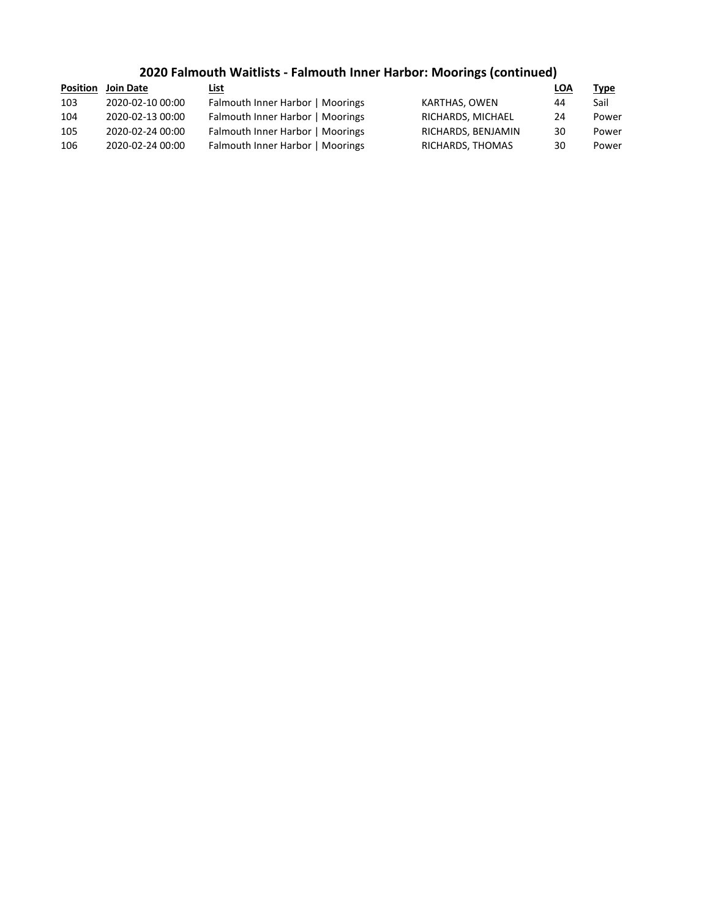## **2020 Falmouth Waitlists - Falmouth Inner Harbor: Moorings (continued)**

| Position | Join Date        | List                             |                    | <b>LOA</b> | <b>Type</b> |
|----------|------------------|----------------------------------|--------------------|------------|-------------|
| 103      | 2020-02-10 00:00 | Falmouth Inner Harbor   Moorings | KARTHAS, OWEN      | 44         | Sail        |
| 104      | 2020-02-13 00:00 | Falmouth Inner Harbor   Moorings | RICHARDS, MICHAEL  | 24         | Power       |
| 105      | 2020-02-24 00:00 | Falmouth Inner Harbor   Moorings | RICHARDS, BENJAMIN | 30         | Power       |
| 106      | 2020-02-24 00:00 | Falmouth Inner Harbor   Moorings | RICHARDS, THOMAS   | 30         | Power       |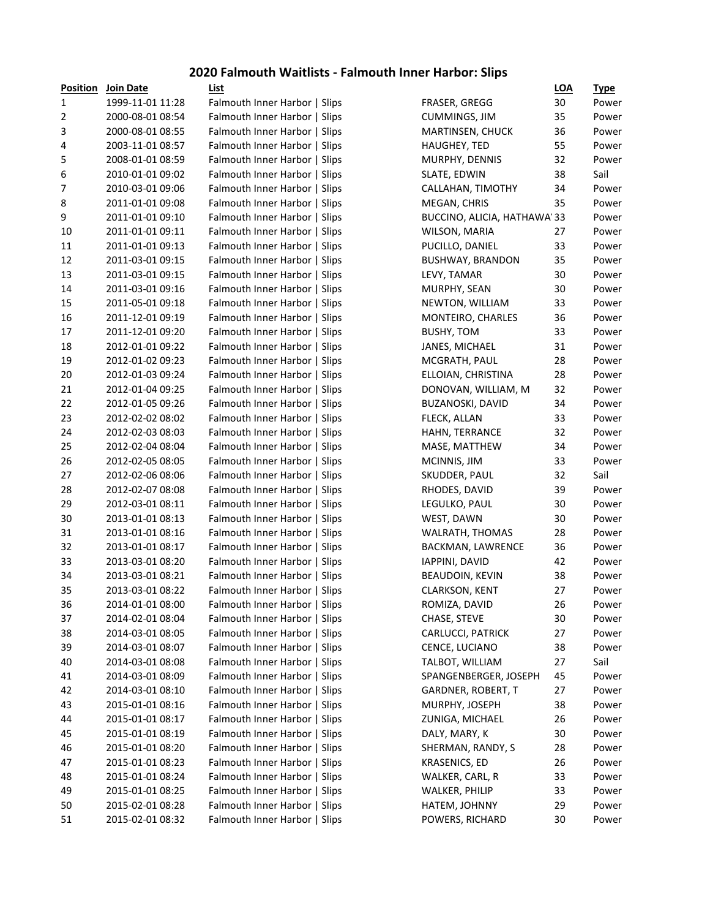## **2020 Falmouth Waitlists - Falmouth Inner Harbor: Slips**

| <b>Position</b> | Join Date        | List                          |                             | <b>LOA</b> | <b>Type</b> |
|-----------------|------------------|-------------------------------|-----------------------------|------------|-------------|
| 1               | 1999-11-01 11:28 | Falmouth Inner Harbor   Slips | FRASER, GREGG               | 30         | Power       |
| $\overline{2}$  | 2000-08-01 08:54 | Falmouth Inner Harbor   Slips | <b>CUMMINGS, JIM</b>        | 35         | Power       |
| 3               | 2000-08-01 08:55 | Falmouth Inner Harbor   Slips | <b>MARTINSEN, CHUCK</b>     | 36         | Power       |
| 4               | 2003-11-01 08:57 | Falmouth Inner Harbor   Slips | <b>HAUGHEY, TED</b>         | 55         | Power       |
| 5               | 2008-01-01 08:59 | Falmouth Inner Harbor   Slips | MURPHY, DENNIS              | 32         | Power       |
| 6               | 2010-01-01 09:02 | Falmouth Inner Harbor   Slips | SLATE, EDWIN                | 38         | Sail        |
| 7               | 2010-03-01 09:06 | Falmouth Inner Harbor   Slips | CALLAHAN, TIMOTHY           | 34         | Power       |
| $\bf 8$         | 2011-01-01 09:08 | Falmouth Inner Harbor   Slips | MEGAN, CHRIS                | 35         | Power       |
| 9               | 2011-01-01 09:10 | Falmouth Inner Harbor   Slips | BUCCINO, ALICIA, HATHAWA'33 |            | Power       |
| 10              | 2011-01-01 09:11 | Falmouth Inner Harbor   Slips | WILSON, MARIA               | 27         | Power       |
| 11              | 2011-01-01 09:13 | Falmouth Inner Harbor   Slips | PUCILLO, DANIEL             | 33         | Power       |
| 12              | 2011-03-01 09:15 | Falmouth Inner Harbor   Slips | <b>BUSHWAY, BRANDON</b>     | 35         | Power       |
| 13              | 2011-03-01 09:15 | Falmouth Inner Harbor   Slips | LEVY, TAMAR                 | 30         | Power       |
| 14              | 2011-03-01 09:16 | Falmouth Inner Harbor   Slips | MURPHY, SEAN                | 30         | Power       |
| 15              | 2011-05-01 09:18 | Falmouth Inner Harbor   Slips | NEWTON, WILLIAM             | 33         | Power       |
| 16              | 2011-12-01 09:19 | Falmouth Inner Harbor   Slips | MONTEIRO, CHARLES           | 36         | Power       |
| 17              | 2011-12-01 09:20 | Falmouth Inner Harbor   Slips | <b>BUSHY, TOM</b>           | 33         | Power       |
| 18              | 2012-01-01 09:22 | Falmouth Inner Harbor   Slips | JANES, MICHAEL              | 31         | Power       |
| 19              | 2012-01-02 09:23 | Falmouth Inner Harbor   Slips | MCGRATH, PAUL               | 28         | Power       |
| 20              | 2012-01-03 09:24 | Falmouth Inner Harbor   Slips | ELLOIAN, CHRISTINA          | 28         | Power       |
| 21              | 2012-01-04 09:25 | Falmouth Inner Harbor   Slips | DONOVAN, WILLIAM, M         | 32         | Power       |
| 22              | 2012-01-05 09:26 | Falmouth Inner Harbor   Slips | <b>BUZANOSKI, DAVID</b>     | 34         | Power       |
| 23              | 2012-02-02 08:02 | Falmouth Inner Harbor   Slips | FLECK, ALLAN                | 33         | Power       |
| 24              | 2012-02-03 08:03 | Falmouth Inner Harbor   Slips | HAHN, TERRANCE              | 32         | Power       |
| 25              | 2012-02-04 08:04 | Falmouth Inner Harbor   Slips | MASE, MATTHEW               | 34         | Power       |
| 26              | 2012-02-05 08:05 | Falmouth Inner Harbor   Slips | MCINNIS, JIM                | 33         | Power       |
| 27              | 2012-02-06 08:06 | Falmouth Inner Harbor   Slips | SKUDDER, PAUL               | 32         | Sail        |
| 28              | 2012-02-07 08:08 | Falmouth Inner Harbor   Slips | RHODES, DAVID               | 39         | Power       |
| 29              | 2012-03-01 08:11 | Falmouth Inner Harbor   Slips | LEGULKO, PAUL               | 30         | Power       |
| 30              | 2013-01-01 08:13 | Falmouth Inner Harbor   Slips | WEST, DAWN                  | 30         | Power       |
| 31              | 2013-01-01 08:16 | Falmouth Inner Harbor   Slips | WALRATH, THOMAS             | 28         | Power       |
| 32              | 2013-01-01 08:17 | Falmouth Inner Harbor   Slips | BACKMAN, LAWRENCE           | 36         | Power       |
| 33              | 2013-03-01 08:20 | Falmouth Inner Harbor   Slips | IAPPINI, DAVID              | 42         | Power       |
| 34              | 2013-03-01 08:21 | Falmouth Inner Harbor   Slips | BEAUDOIN, KEVIN             | 38         | Power       |
| 35              | 2013-03-01 08:22 | Falmouth Inner Harbor   Slips | <b>CLARKSON, KENT</b>       | 27         | Power       |
| 36              | 2014-01-01 08:00 | Falmouth Inner Harbor   Slips | ROMIZA, DAVID               | 26         | Power       |
| 37              | 2014-02-01 08:04 | Falmouth Inner Harbor   Slips | CHASE, STEVE                | 30         | Power       |
| 38              | 2014-03-01 08:05 | Falmouth Inner Harbor   Slips | CARLUCCI, PATRICK           | 27         | Power       |
| 39              | 2014-03-01 08:07 | Falmouth Inner Harbor   Slips | CENCE, LUCIANO              | 38         | Power       |
| 40              | 2014-03-01 08:08 | Falmouth Inner Harbor   Slips | TALBOT, WILLIAM             | 27         | Sail        |
| 41              | 2014-03-01 08:09 | Falmouth Inner Harbor   Slips | SPANGENBERGER, JOSEPH       | 45         | Power       |
| 42              | 2014-03-01 08:10 | Falmouth Inner Harbor   Slips | GARDNER, ROBERT, T          | 27         | Power       |
| 43              | 2015-01-01 08:16 | Falmouth Inner Harbor   Slips | MURPHY, JOSEPH              | 38         | Power       |
| 44              | 2015-01-01 08:17 | Falmouth Inner Harbor   Slips | ZUNIGA, MICHAEL             | 26         | Power       |
| 45              | 2015-01-01 08:19 | Falmouth Inner Harbor   Slips | DALY, MARY, K               | 30         | Power       |
| 46              | 2015-01-01 08:20 | Falmouth Inner Harbor   Slips | SHERMAN, RANDY, S           | 28         | Power       |
| 47              | 2015-01-01 08:23 | Falmouth Inner Harbor   Slips | <b>KRASENICS, ED</b>        | 26         | Power       |
| 48              | 2015-01-01 08:24 | Falmouth Inner Harbor   Slips | WALKER, CARL, R             | 33         | Power       |
| 49              | 2015-01-01 08:25 | Falmouth Inner Harbor   Slips | <b>WALKER, PHILIP</b>       | 33         | Power       |
| 50              | 2015-02-01 08:28 | Falmouth Inner Harbor   Slips | HATEM, JOHNNY               | 29         | Power       |
| 51              | 2015-02-01 08:32 | Falmouth Inner Harbor   Slips | POWERS, RICHARD             | 30         | Power       |
|                 |                  |                               |                             |            |             |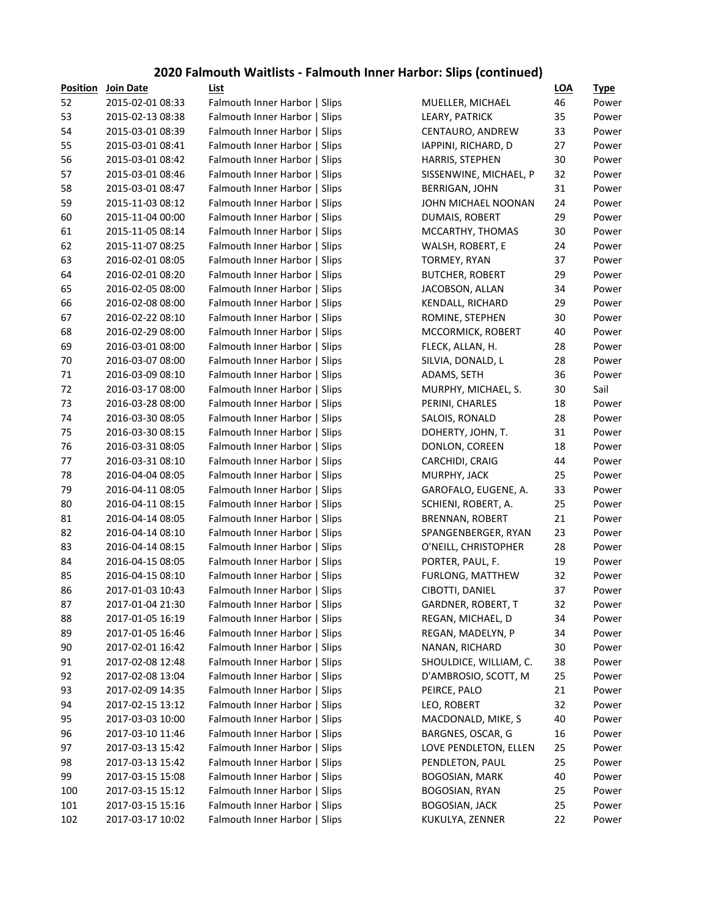#### **2020 Falmouth Waitlists - Falmouth Inner Harbor: Slips (continued)**

| <b>Position</b> | <b>Join Date</b> | List                          |                        | <b>LOA</b> | <b>Type</b> |
|-----------------|------------------|-------------------------------|------------------------|------------|-------------|
| 52              | 2015-02-01 08:33 | Falmouth Inner Harbor   Slips | MUELLER, MICHAEL       | 46         | Power       |
| 53              | 2015-02-13 08:38 | Falmouth Inner Harbor   Slips | LEARY, PATRICK         | 35         | Power       |
| 54              | 2015-03-01 08:39 | Falmouth Inner Harbor   Slips | CENTAURO, ANDREW       | 33         | Power       |
| 55              | 2015-03-01 08:41 | Falmouth Inner Harbor   Slips | IAPPINI, RICHARD, D    | 27         | Power       |
| 56              | 2015-03-01 08:42 | Falmouth Inner Harbor   Slips | HARRIS, STEPHEN        | 30         | Power       |
| 57              | 2015-03-01 08:46 | Falmouth Inner Harbor   Slips | SISSENWINE, MICHAEL, P | 32         | Power       |
| 58              | 2015-03-01 08:47 | Falmouth Inner Harbor   Slips | <b>BERRIGAN, JOHN</b>  | 31         | Power       |
| 59              | 2015-11-03 08:12 | Falmouth Inner Harbor   Slips | JOHN MICHAEL NOONAN    | 24         | Power       |
| 60              | 2015-11-04 00:00 | Falmouth Inner Harbor   Slips | DUMAIS, ROBERT         | 29         | Power       |
| 61              | 2015-11-05 08:14 | Falmouth Inner Harbor   Slips | MCCARTHY, THOMAS       | 30         | Power       |
| 62              | 2015-11-07 08:25 | Falmouth Inner Harbor   Slips | WALSH, ROBERT, E       | 24         | Power       |
| 63              | 2016-02-01 08:05 | Falmouth Inner Harbor   Slips | TORMEY, RYAN           | 37         | Power       |
| 64              | 2016-02-01 08:20 | Falmouth Inner Harbor   Slips | <b>BUTCHER, ROBERT</b> | 29         | Power       |
| 65              | 2016-02-05 08:00 | Falmouth Inner Harbor   Slips | JACOBSON, ALLAN        | 34         | Power       |
| 66              | 2016-02-08 08:00 | Falmouth Inner Harbor   Slips | KENDALL, RICHARD       | 29         | Power       |
| 67              | 2016-02-22 08:10 | Falmouth Inner Harbor   Slips | ROMINE, STEPHEN        | 30         | Power       |
| 68              | 2016-02-29 08:00 | Falmouth Inner Harbor   Slips | MCCORMICK, ROBERT      | 40         | Power       |
| 69              | 2016-03-01 08:00 | Falmouth Inner Harbor   Slips | FLECK, ALLAN, H.       | 28         | Power       |
| 70              | 2016-03-07 08:00 | Falmouth Inner Harbor   Slips | SILVIA, DONALD, L      | 28         | Power       |
| 71              | 2016-03-09 08:10 | Falmouth Inner Harbor   Slips | ADAMS, SETH            | 36         | Power       |
| 72              | 2016-03-17 08:00 | Falmouth Inner Harbor   Slips | MURPHY, MICHAEL, S.    | 30         | Sail        |
| 73              | 2016-03-28 08:00 | Falmouth Inner Harbor   Slips | PERINI, CHARLES        | 18         | Power       |
| 74              | 2016-03-30 08:05 | Falmouth Inner Harbor   Slips | SALOIS, RONALD         | 28         | Power       |
| 75              | 2016-03-30 08:15 | Falmouth Inner Harbor   Slips | DOHERTY, JOHN, T.      | 31         | Power       |
| 76              | 2016-03-31 08:05 | Falmouth Inner Harbor   Slips | DONLON, COREEN         | 18         | Power       |
| 77              | 2016-03-31 08:10 | Falmouth Inner Harbor   Slips | CARCHIDI, CRAIG        | 44         | Power       |
| 78              | 2016-04-04 08:05 | Falmouth Inner Harbor   Slips | MURPHY, JACK           | 25         | Power       |
| 79              | 2016-04-11 08:05 | Falmouth Inner Harbor   Slips | GAROFALO, EUGENE, A.   | 33         | Power       |
| 80              | 2016-04-11 08:15 | Falmouth Inner Harbor   Slips | SCHIENI, ROBERT, A.    | 25         | Power       |
| 81              | 2016-04-14 08:05 | Falmouth Inner Harbor   Slips | <b>BRENNAN, ROBERT</b> | 21         | Power       |
| 82              | 2016-04-14 08:10 | Falmouth Inner Harbor   Slips | SPANGENBERGER, RYAN    | 23         | Power       |
| 83              | 2016-04-14 08:15 | Falmouth Inner Harbor   Slips | O'NEILL, CHRISTOPHER   | 28         | Power       |
| 84              | 2016-04-15 08:05 | Falmouth Inner Harbor   Slips | PORTER, PAUL, F.       | 19         | Power       |
| 85              | 2016-04-15 08:10 | Falmouth Inner Harbor   Slips | FURLONG, MATTHEW       | 32         | Power       |
| 86              | 2017-01-03 10:43 | Falmouth Inner Harbor   Slips | CIBOTTI, DANIEL        | 37         | Power       |
| 87              | 2017-01-04 21:30 | Falmouth Inner Harbor   Slips | GARDNER, ROBERT, T     | 32         | Power       |
| 88              | 2017-01-05 16:19 | Falmouth Inner Harbor   Slips | REGAN, MICHAEL, D      | 34         | Power       |
| 89              | 2017-01-05 16:46 | Falmouth Inner Harbor   Slips | REGAN, MADELYN, P      | 34         | Power       |
| 90              | 2017-02-01 16:42 | Falmouth Inner Harbor   Slips | NANAN, RICHARD         | 30         | Power       |
| 91              | 2017-02-08 12:48 | Falmouth Inner Harbor   Slips | SHOULDICE, WILLIAM, C. | 38         | Power       |
| 92              | 2017-02-08 13:04 | Falmouth Inner Harbor   Slips | D'AMBROSIO, SCOTT, M   | 25         | Power       |
| 93              | 2017-02-09 14:35 | Falmouth Inner Harbor   Slips | PEIRCE, PALO           | 21         | Power       |
| 94              | 2017-02-15 13:12 | Falmouth Inner Harbor   Slips | LEO, ROBERT            | 32         | Power       |
| 95              | 2017-03-03 10:00 | Falmouth Inner Harbor   Slips | MACDONALD, MIKE, S     | 40         | Power       |
| 96              | 2017-03-10 11:46 | Falmouth Inner Harbor   Slips | BARGNES, OSCAR, G      | 16         | Power       |
| 97              | 2017-03-13 15:42 | Falmouth Inner Harbor   Slips | LOVE PENDLETON, ELLEN  | 25         | Power       |
| 98              | 2017-03-13 15:42 | Falmouth Inner Harbor   Slips | PENDLETON, PAUL        | 25         | Power       |
| 99              | 2017-03-15 15:08 | Falmouth Inner Harbor   Slips | <b>BOGOSIAN, MARK</b>  | 40         | Power       |
| 100             | 2017-03-15 15:12 | Falmouth Inner Harbor   Slips | <b>BOGOSIAN, RYAN</b>  | 25         | Power       |
| 101             | 2017-03-15 15:16 | Falmouth Inner Harbor   Slips | <b>BOGOSIAN, JACK</b>  | 25         | Power       |
| 102             | 2017-03-17 10:02 | Falmouth Inner Harbor   Slips | KUKULYA, ZENNER        | 22         | Power       |
|                 |                  |                               |                        |            |             |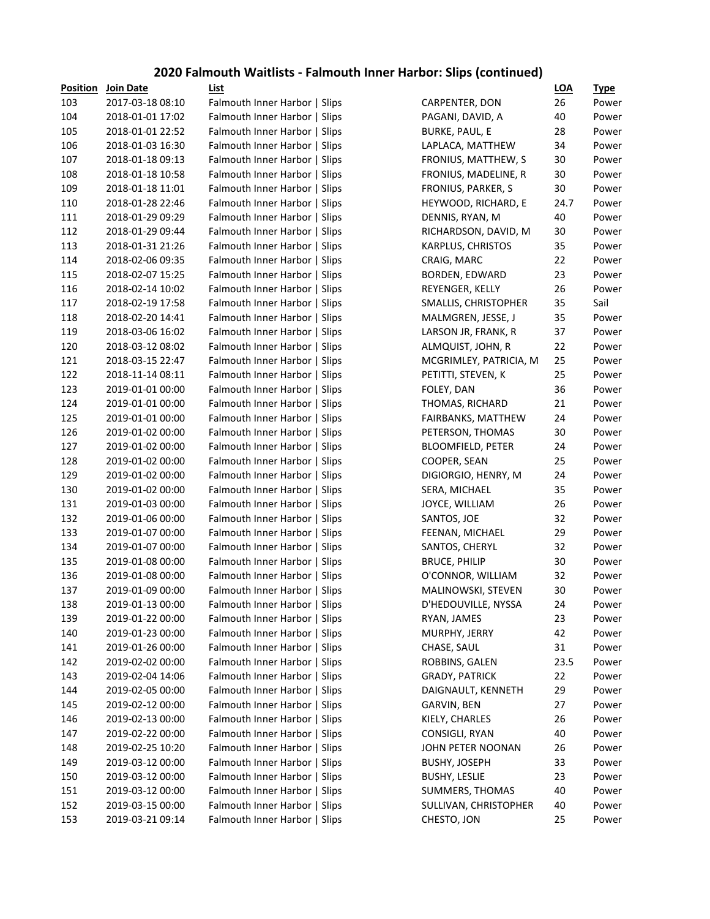#### **2020 Falmouth Waitlists - Falmouth Inner Harbor: Slips (continued)**

| <b>Position</b> | <b>Join Date</b> | List                          |                          | <b>LOA</b> | <b>Type</b> |
|-----------------|------------------|-------------------------------|--------------------------|------------|-------------|
| 103             | 2017-03-18 08:10 | Falmouth Inner Harbor   Slips | CARPENTER, DON           | 26         | Power       |
| 104             | 2018-01-01 17:02 | Falmouth Inner Harbor   Slips | PAGANI, DAVID, A         | 40         | Power       |
| 105             | 2018-01-01 22:52 | Falmouth Inner Harbor   Slips | <b>BURKE, PAUL, E</b>    | 28         | Power       |
| 106             | 2018-01-03 16:30 | Falmouth Inner Harbor   Slips | LAPLACA, MATTHEW         | 34         | Power       |
| 107             | 2018-01-18 09:13 | Falmouth Inner Harbor   Slips | FRONIUS, MATTHEW, S      | 30         | Power       |
| 108             | 2018-01-18 10:58 | Falmouth Inner Harbor   Slips | FRONIUS, MADELINE, R     | 30         | Power       |
| 109             | 2018-01-18 11:01 | Falmouth Inner Harbor   Slips | FRONIUS, PARKER, S       | 30         | Power       |
| 110             | 2018-01-28 22:46 | Falmouth Inner Harbor   Slips | HEYWOOD, RICHARD, E      | 24.7       | Power       |
| 111             | 2018-01-29 09:29 | Falmouth Inner Harbor   Slips | DENNIS, RYAN, M          | 40         | Power       |
| 112             | 2018-01-29 09:44 | Falmouth Inner Harbor   Slips | RICHARDSON, DAVID, M     | 30         | Power       |
| 113             | 2018-01-31 21:26 | Falmouth Inner Harbor   Slips | KARPLUS, CHRISTOS        | 35         | Power       |
| 114             | 2018-02-06 09:35 | Falmouth Inner Harbor   Slips | CRAIG, MARC              | 22         | Power       |
| 115             | 2018-02-07 15:25 | Falmouth Inner Harbor   Slips | BORDEN, EDWARD           | 23         | Power       |
| 116             | 2018-02-14 10:02 | Falmouth Inner Harbor   Slips | REYENGER, KELLY          | 26         | Power       |
| 117             | 2018-02-19 17:58 | Falmouth Inner Harbor   Slips | SMALLIS, CHRISTOPHER     | 35         | Sail        |
| 118             | 2018-02-20 14:41 | Falmouth Inner Harbor   Slips | MALMGREN, JESSE, J       | 35         | Power       |
| 119             | 2018-03-06 16:02 | Falmouth Inner Harbor   Slips | LARSON JR, FRANK, R      | 37         | Power       |
| 120             | 2018-03-12 08:02 | Falmouth Inner Harbor   Slips | ALMQUIST, JOHN, R        | 22         | Power       |
| 121             | 2018-03-15 22:47 | Falmouth Inner Harbor   Slips | MCGRIMLEY, PATRICIA, M   | 25         | Power       |
| 122             | 2018-11-14 08:11 | Falmouth Inner Harbor   Slips | PETITTI, STEVEN, K       | 25         | Power       |
| 123             | 2019-01-01 00:00 | Falmouth Inner Harbor   Slips | FOLEY, DAN               | 36         | Power       |
| 124             | 2019-01-01 00:00 | Falmouth Inner Harbor   Slips | THOMAS, RICHARD          | 21         | Power       |
| 125             | 2019-01-01 00:00 | Falmouth Inner Harbor   Slips | FAIRBANKS, MATTHEW       | 24         | Power       |
| 126             | 2019-01-02 00:00 | Falmouth Inner Harbor   Slips | PETERSON, THOMAS         | 30         | Power       |
| 127             | 2019-01-02 00:00 | Falmouth Inner Harbor   Slips | <b>BLOOMFIELD, PETER</b> | 24         | Power       |
| 128             | 2019-01-02 00:00 | Falmouth Inner Harbor   Slips | COOPER, SEAN             | 25         | Power       |
| 129             | 2019-01-02 00:00 | Falmouth Inner Harbor   Slips | DIGIORGIO, HENRY, M      | 24         | Power       |
| 130             | 2019-01-02 00:00 | Falmouth Inner Harbor   Slips | SERA, MICHAEL            | 35         | Power       |
| 131             | 2019-01-03 00:00 | Falmouth Inner Harbor   Slips | JOYCE, WILLIAM           | 26         | Power       |
| 132             | 2019-01-06 00:00 | Falmouth Inner Harbor   Slips | SANTOS, JOE              | 32         | Power       |
| 133             | 2019-01-07 00:00 | Falmouth Inner Harbor   Slips | FEENAN, MICHAEL          | 29         | Power       |
| 134             | 2019-01-07 00:00 | Falmouth Inner Harbor   Slips | SANTOS, CHERYL           | 32         | Power       |
| 135             | 2019-01-08 00:00 | Falmouth Inner Harbor   Slips | <b>BRUCE, PHILIP</b>     | 30         | Power       |
| 136             | 2019-01-08 00:00 | Falmouth Inner Harbor   Slips | O'CONNOR, WILLIAM        | 32         | Power       |
| 137             | 2019-01-09 00:00 | Falmouth Inner Harbor   Slips | MALINOWSKI, STEVEN       | 30         | Power       |
| 138             | 2019-01-13 00:00 | Falmouth Inner Harbor   Slips | D'HEDOUVILLE, NYSSA      | 24         | Power       |
| 139             | 2019-01-22 00:00 | Falmouth Inner Harbor   Slips | RYAN, JAMES              | 23         | Power       |
| 140             | 2019-01-23 00:00 | Falmouth Inner Harbor   Slips | MURPHY, JERRY            | 42         | Power       |
| 141             | 2019-01-26 00:00 | Falmouth Inner Harbor   Slips | CHASE, SAUL              | 31         | Power       |
| 142             | 2019-02-02 00:00 | Falmouth Inner Harbor   Slips | ROBBINS, GALEN           | 23.5       | Power       |
| 143             | 2019-02-04 14:06 | Falmouth Inner Harbor   Slips | <b>GRADY, PATRICK</b>    | 22         | Power       |
| 144             | 2019-02-05 00:00 | Falmouth Inner Harbor   Slips | DAIGNAULT, KENNETH       | 29         | Power       |
| 145             | 2019-02-12 00:00 | Falmouth Inner Harbor   Slips | GARVIN, BEN              | 27         | Power       |
| 146             | 2019-02-13 00:00 | Falmouth Inner Harbor   Slips | KIELY, CHARLES           | 26         | Power       |
| 147             | 2019-02-22 00:00 | Falmouth Inner Harbor   Slips | CONSIGLI, RYAN           | 40         | Power       |
| 148             | 2019-02-25 10:20 | Falmouth Inner Harbor   Slips | JOHN PETER NOONAN        | 26         | Power       |
| 149             | 2019-03-12 00:00 | Falmouth Inner Harbor   Slips | <b>BUSHY, JOSEPH</b>     | 33         | Power       |
| 150             | 2019-03-12 00:00 | Falmouth Inner Harbor   Slips | <b>BUSHY, LESLIE</b>     | 23         | Power       |
| 151             | 2019-03-12 00:00 | Falmouth Inner Harbor   Slips | SUMMERS, THOMAS          | 40         | Power       |
| 152             | 2019-03-15 00:00 | Falmouth Inner Harbor   Slips | SULLIVAN, CHRISTOPHER    | 40         | Power       |
| 153             | 2019-03-21 09:14 | Falmouth Inner Harbor   Slips | CHESTO, JON              | 25         | Power       |
|                 |                  |                               |                          |            |             |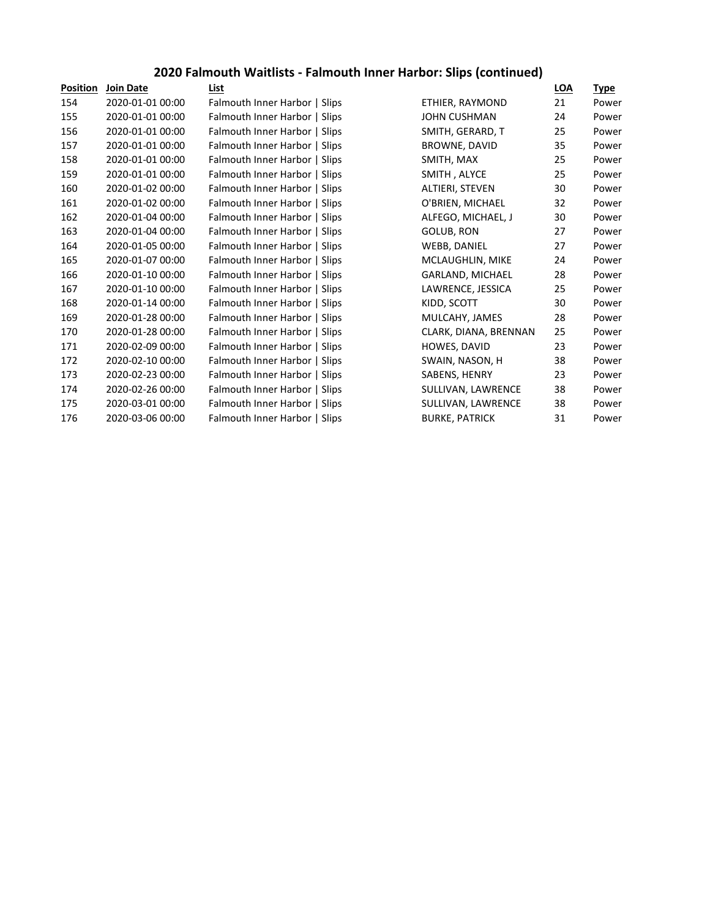## **2020 Falmouth Waitlists - Falmouth Inner Harbor: Slips (continued)**

| <b>Position</b> | <b>Join Date</b> | List                          |                        | LOA | <u>Type</u> |
|-----------------|------------------|-------------------------------|------------------------|-----|-------------|
| 154             | 2020-01-01 00:00 | Falmouth Inner Harbor   Slips | ETHIER, RAYMOND        | 21  | Power       |
| 155             | 2020-01-01 00:00 | Falmouth Inner Harbor   Slips | <b>JOHN CUSHMAN</b>    | 24  | Power       |
| 156             | 2020-01-01 00:00 | Falmouth Inner Harbor   Slips | SMITH, GERARD, T       | 25  | Power       |
| 157             | 2020-01-01 00:00 | Falmouth Inner Harbor   Slips | BROWNE, DAVID          | 35  | Power       |
| 158             | 2020-01-01 00:00 | Falmouth Inner Harbor   Slips | SMITH, MAX             | 25  | Power       |
| 159             | 2020-01-01 00:00 | Falmouth Inner Harbor   Slips | SMITH, ALYCE           | 25  | Power       |
| 160             | 2020-01-02 00:00 | Falmouth Inner Harbor   Slips | <b>ALTIERI, STEVEN</b> | 30  | Power       |
| 161             | 2020-01-02 00:00 | Falmouth Inner Harbor   Slips | O'BRIEN, MICHAEL       | 32  | Power       |
| 162             | 2020-01-04 00:00 | Falmouth Inner Harbor   Slips | ALFEGO, MICHAEL, J     | 30  | Power       |
| 163             | 2020-01-04 00:00 | Falmouth Inner Harbor   Slips | GOLUB, RON             | 27  | Power       |
| 164             | 2020-01-05 00:00 | Falmouth Inner Harbor   Slips | WEBB, DANIEL           | 27  | Power       |
| 165             | 2020-01-07 00:00 | Falmouth Inner Harbor   Slips | MCLAUGHLIN, MIKE       | 24  | Power       |
| 166             | 2020-01-10 00:00 | Falmouth Inner Harbor   Slips | GARLAND, MICHAEL       | 28  | Power       |
| 167             | 2020-01-10 00:00 | Falmouth Inner Harbor   Slips | LAWRENCE, JESSICA      | 25  | Power       |
| 168             | 2020-01-14 00:00 | Falmouth Inner Harbor   Slips | KIDD, SCOTT            | 30  | Power       |
| 169             | 2020-01-28 00:00 | Falmouth Inner Harbor   Slips | MULCAHY, JAMES         | 28  | Power       |
| 170             | 2020-01-28 00:00 | Falmouth Inner Harbor   Slips | CLARK, DIANA, BRENNAN  | 25  | Power       |
| 171             | 2020-02-09 00:00 | Falmouth Inner Harbor   Slips | HOWES, DAVID           | 23  | Power       |
| 172             | 2020-02-10 00:00 | Falmouth Inner Harbor   Slips | SWAIN, NASON, H        | 38  | Power       |
| 173             | 2020-02-23 00:00 | Falmouth Inner Harbor   Slips | SABENS, HENRY          | 23  | Power       |
| 174             | 2020-02-26 00:00 | Falmouth Inner Harbor   Slips | SULLIVAN, LAWRENCE     | 38  | Power       |
| 175             | 2020-03-01 00:00 | Falmouth Inner Harbor   Slips | SULLIVAN, LAWRENCE     | 38  | Power       |
| 176             | 2020-03-06 00:00 | Falmouth Inner Harbor   Slips | <b>BURKE, PATRICK</b>  | 31  | Power       |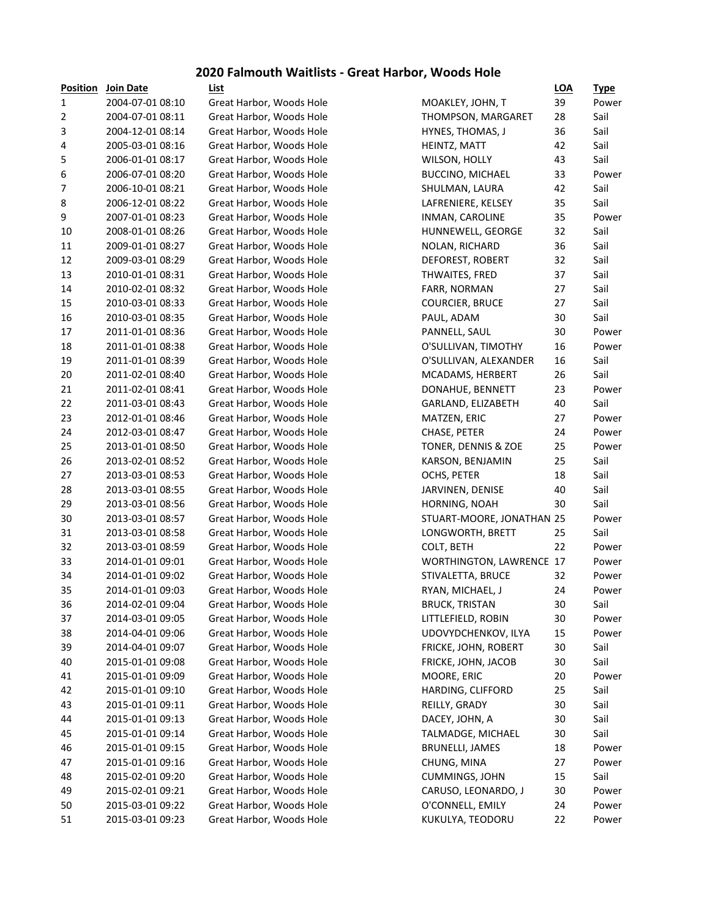#### **2020 Falmouth Waitlists - Great Harbor, Woods Hole**

| <b>Position</b> | <b>Join Date</b> | List                     |                                 | <u>LOA</u> | <u>Type</u> |
|-----------------|------------------|--------------------------|---------------------------------|------------|-------------|
| 1               | 2004-07-01 08:10 | Great Harbor, Woods Hole | MOAKLEY, JOHN, T                | 39         | Pow         |
| 2               | 2004-07-01 08:11 | Great Harbor, Woods Hole | <b>THOMPSON, MARGARET</b>       | 28         | Sail        |
| 3               | 2004-12-01 08:14 | Great Harbor, Woods Hole | HYNES, THOMAS, J                | 36         | Sail        |
| 4               | 2005-03-01 08:16 | Great Harbor, Woods Hole | HEINTZ, MATT                    | 42         | Sail        |
| 5               | 2006-01-01 08:17 | Great Harbor, Woods Hole | WILSON, HOLLY                   | 43         | Sail        |
| 6               | 2006-07-01 08:20 | Great Harbor, Woods Hole | <b>BUCCINO, MICHAEL</b>         | 33         | Pow         |
| 7               | 2006-10-01 08:21 | Great Harbor, Woods Hole | SHULMAN, LAURA                  | 42         | Sail        |
| 8               | 2006-12-01 08:22 | Great Harbor, Woods Hole | LAFRENIERE, KELSEY              | 35         | Sail        |
| 9               | 2007-01-01 08:23 | Great Harbor, Woods Hole | INMAN, CAROLINE                 | 35         | Pow         |
| 10              | 2008-01-01 08:26 | Great Harbor, Woods Hole | HUNNEWELL, GEORGE               | 32         | Sail        |
| 11              | 2009-01-01 08:27 | Great Harbor, Woods Hole | NOLAN, RICHARD                  | 36         | Sail        |
| 12              | 2009-03-01 08:29 | Great Harbor, Woods Hole | DEFOREST, ROBERT                | 32         | Sail        |
| 13              | 2010-01-01 08:31 | Great Harbor, Woods Hole | THWAITES, FRED                  | 37         | Sail        |
| 14              | 2010-02-01 08:32 | Great Harbor, Woods Hole | FARR, NORMAN                    | 27         | Sail        |
| 15              | 2010-03-01 08:33 | Great Harbor, Woods Hole | <b>COURCIER, BRUCE</b>          | 27         | Sail        |
| 16              | 2010-03-01 08:35 | Great Harbor, Woods Hole | PAUL, ADAM                      | 30         | Sail        |
| 17              | 2011-01-01 08:36 | Great Harbor, Woods Hole | PANNELL, SAUL                   | 30         | Pow         |
| 18              | 2011-01-01 08:38 | Great Harbor, Woods Hole | O'SULLIVAN, TIMOTHY             | 16         | Pow         |
| 19              | 2011-01-01 08:39 | Great Harbor, Woods Hole | O'SULLIVAN, ALEXANDER           | 16         | Sail        |
| 20              | 2011-02-01 08:40 | Great Harbor, Woods Hole | MCADAMS, HERBERT                | 26         | Sail        |
| 21              | 2011-02-01 08:41 | Great Harbor, Woods Hole | DONAHUE, BENNETT                | 23         | Pow         |
| 22              | 2011-03-01 08:43 | Great Harbor, Woods Hole | GARLAND, ELIZABETH              | 40         | Sail        |
| 23              | 2012-01-01 08:46 | Great Harbor, Woods Hole | MATZEN, ERIC                    | 27         | Pow         |
| 24              | 2012-03-01 08:47 | Great Harbor, Woods Hole | CHASE, PETER                    | 24         | Pow         |
| 25              | 2013-01-01 08:50 | Great Harbor, Woods Hole | TONER, DENNIS & ZOE             | 25         | Pow         |
| 26              | 2013-02-01 08:52 | Great Harbor, Woods Hole | KARSON, BENJAMIN                | 25         | Sail        |
| 27              | 2013-03-01 08:53 | Great Harbor, Woods Hole | OCHS, PETER                     | 18         | Sail        |
| 28              | 2013-03-01 08:55 | Great Harbor, Woods Hole | JARVINEN, DENISE                | 40         | Sail        |
| 29              | 2013-03-01 08:56 | Great Harbor, Woods Hole | HORNING, NOAH                   | 30         | Sail        |
| 30              | 2013-03-01 08:57 | Great Harbor, Woods Hole | STUART-MOORE, JONATHAN 25       |            | Pow         |
| 31              | 2013-03-01 08:58 | Great Harbor, Woods Hole | LONGWORTH, BRETT                | 25         | Sail        |
| 32              | 2013-03-01 08:59 | Great Harbor, Woods Hole | COLT, BETH                      | 22         | Pow         |
| 33              | 2014-01-01 09:01 | Great Harbor, Woods Hole | <b>WORTHINGTON, LAWRENCE 17</b> |            | Pow         |
| 34              | 2014-01-01 09:02 | Great Harbor, Woods Hole | STIVALETTA, BRUCE               | 32         | Pow         |
| 35              | 2014-01-01 09:03 | Great Harbor, Woods Hole | RYAN, MICHAEL, J                | 24         | Pow         |
| 36              | 2014-02-01 09:04 | Great Harbor, Woods Hole | <b>BRUCK, TRISTAN</b>           | $30\,$     | Sail        |
| 37              | 2014-03-01 09:05 | Great Harbor, Woods Hole | LITTLEFIELD, ROBIN              | 30         | Pow         |
| 38              | 2014-04-01 09:06 | Great Harbor, Woods Hole | UDOVYDCHENKOV, ILYA             | 15         | Pow         |
| 39              | 2014-04-01 09:07 | Great Harbor, Woods Hole | FRICKE, JOHN, ROBERT            | 30         | Sail        |
| 40              | 2015-01-01 09:08 | Great Harbor, Woods Hole | FRICKE, JOHN, JACOB             | 30         | Sail        |
| 41              | 2015-01-01 09:09 | Great Harbor, Woods Hole | MOORE, ERIC                     | 20         | Pow         |
| 42              | 2015-01-01 09:10 | Great Harbor, Woods Hole | HARDING, CLIFFORD               | 25         | Sail        |
| 43              | 2015-01-01 09:11 | Great Harbor, Woods Hole | REILLY, GRADY                   | 30         | Sail        |
| 44              | 2015-01-01 09:13 | Great Harbor, Woods Hole | DACEY, JOHN, A                  | 30         | Sail        |
| 45              | 2015-01-01 09:14 | Great Harbor, Woods Hole | TALMADGE, MICHAEL               | 30         | Sail        |
| 46              | 2015-01-01 09:15 | Great Harbor, Woods Hole | <b>BRUNELLI, JAMES</b>          | 18         | Pow         |
| 47              | 2015-01-01 09:16 | Great Harbor, Woods Hole | CHUNG, MINA                     | 27         | Pow         |
| 48              | 2015-02-01 09:20 | Great Harbor, Woods Hole | CUMMINGS, JOHN                  | 15         | Sail        |
| 49              | 2015-02-01 09:21 | Great Harbor, Woods Hole | CARUSO, LEONARDO, J             | 30         | Powe        |
| 50              | 2015-03-01 09:22 | Great Harbor, Woods Hole | O'CONNELL, EMILY                | 24         | Pow         |
| 51              | 2015-03-01 09:23 | Great Harbor, Woods Hole | KUKULYA, TEODORU                | 22         | Pow         |
|                 |                  |                          |                                 |            |             |

|                              | LUA | <u>i ype</u> |
|------------------------------|-----|--------------|
| MOAKLEY, JOHN, T             | 39  | Power        |
| THOMPSON, MARGARET           | 28  | Sail         |
| HYNES, THOMAS, J             | 36  | Sail         |
| HEINTZ, MATT                 | 42  | Sail         |
| WILSON, HOLLY                | 43  | Sail         |
| <b>BUCCINO, MICHAEL</b>      | 33  | Power        |
| SHULMAN, LAURA               | 42  | Sail         |
| LAFRENIERE, KELSEY           | 35  | Sail         |
| INMAN, CAROLINE              | 35  | Power        |
| HUNNEWELL, GEORGE            | 32  | Sail         |
| NOLAN, RICHARD               | 36  | Sail         |
| DEFOREST, ROBERT             | 32  | Sail         |
| <b>THWAITES, FRED</b>        | 37  | Sail         |
| FARR, NORMAN                 | 27  | Sail         |
| <b>COURCIER, BRUCE</b>       | 27  | Sail         |
| PAUL, ADAM                   | 30  | Sail         |
| PANNELL, SAUL                | 30  | Power        |
| O'SULLIVAN, TIMOTHY          | 16  | Power        |
| O'SULLIVAN, ALEXANDER        | 16  | Sail         |
| MCADAMS, HERBERT             | 26  | Sail         |
| DONAHUE, BENNETT             | 23  | Power        |
| GARLAND, ELIZABETH           | 40  | Sail         |
| MATZEN, ERIC                 | 27  | Power        |
| CHASE, PETER                 | 24  | Power        |
| TONER, DENNIS & ZOE          | 25  | Power        |
| KARSON, BENJAMIN             | 25  | Sail         |
| OCHS, PETER                  | 18  | Sail         |
| JARVINEN, DENISE             | 40  | Sail         |
| HORNING, NOAH                | 30  | Sail         |
| STUART-MOORE, JONATHAN 25    |     | Power        |
| LONGWORTH, BRETT             | 25  | Sail         |
| COLT, BETH                   | 22  | Power        |
| <b>WORTHINGTON, LAWRENCE</b> | 17  | Power        |
| STIVALETTA, BRUCE            | 32  | Power        |
| RYAN, MICHAEL, J             | 24  | Power        |
| <b>BRUCK, TRISTAN</b>        | 30  | Sail         |
| LITTLEFIELD, ROBIN           | 30  | Power        |
| UDOVYDCHENKOV, ILYA          | 15  | Power        |
| FRICKE, JOHN, ROBERT         | 30  | Sail         |
| FRICKE, JOHN, JACOB          | 30  | Sail         |
| MOORE, ERIC                  | 20  | Power        |
| HARDING, CLIFFORD            | 25  | Sail         |
| REILLY, GRADY                | 30  | Sail         |
| DACEY, JOHN, A               | 30  | Sail         |
| TALMADGE, MICHAEL            | 30  | Sail         |
| <b>BRUNELLI, JAMES</b>       | 18  | Power        |
| CHUNG, MINA                  | 27  | Power        |
| <b>CUMMINGS, JOHN</b>        | 15  | Sail         |
| CARUSO, LEONARDO, J          | 30  | Power        |
| O'CONNELL, EMILY             | 24  | Power        |
| KUKULYA, TEODORU             | 22  | Power        |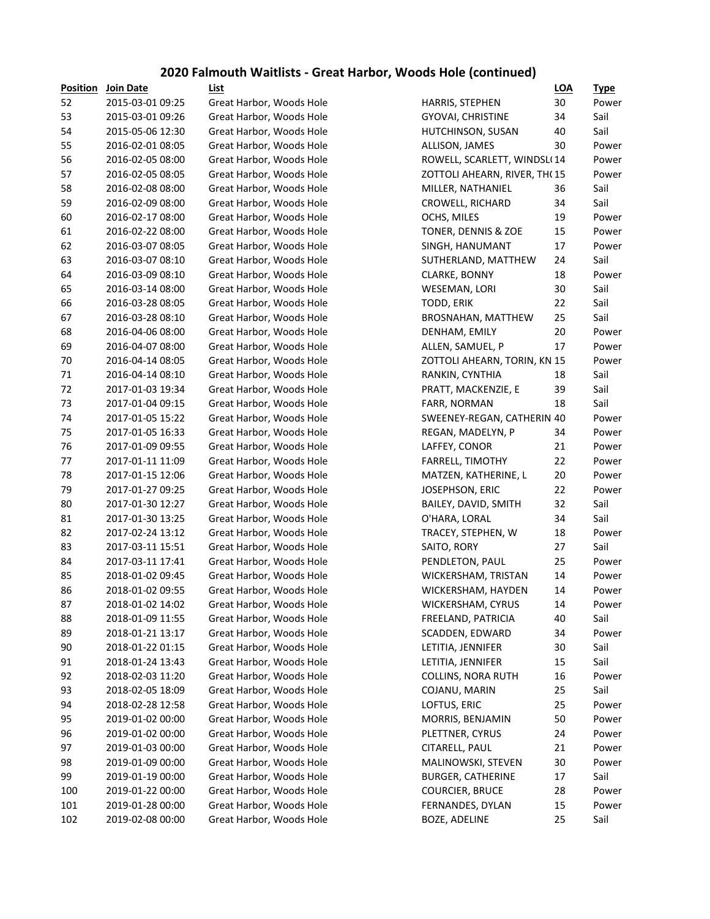## **2020 Falmouth Waitlists - Great Harbor, Woods Hole (continued)**

| <b>Position</b> | Join Date        | List                     |                              | <b>LOA</b> | <u>Type</u> |
|-----------------|------------------|--------------------------|------------------------------|------------|-------------|
| 52              | 2015-03-01 09:25 | Great Harbor, Woods Hole | HARRIS, STEPHEN              | 30         | Power       |
| 53              | 2015-03-01 09:26 | Great Harbor, Woods Hole | GYOVAI, CHRISTINE            | 34         | Sail        |
| 54              | 2015-05-06 12:30 | Great Harbor, Woods Hole | HUTCHINSON, SUSAN            | 40         | Sail        |
| 55              | 2016-02-01 08:05 | Great Harbor, Woods Hole | ALLISON, JAMES               | 30         | Power       |
| 56              | 2016-02-05 08:00 | Great Harbor, Woods Hole | ROWELL, SCARLETT, WINDSL(14  |            | Power       |
| 57              | 2016-02-05 08:05 | Great Harbor, Woods Hole | ZOTTOLI AHEARN, RIVER, TH(15 |            | Power       |
| 58              | 2016-02-08 08:00 | Great Harbor, Woods Hole | MILLER, NATHANIEL            | 36         | Sail        |
| 59              | 2016-02-09 08:00 | Great Harbor, Woods Hole | CROWELL, RICHARD             | 34         | Sail        |
| 60              | 2016-02-17 08:00 | Great Harbor, Woods Hole | OCHS, MILES                  | 19         | Power       |
| 61              | 2016-02-22 08:00 | Great Harbor, Woods Hole | TONER, DENNIS & ZOE          | 15         | Power       |
| 62              | 2016-03-07 08:05 | Great Harbor, Woods Hole | SINGH, HANUMANT              | 17         | Power       |
| 63              | 2016-03-07 08:10 | Great Harbor, Woods Hole | SUTHERLAND, MATTHEW          | 24         | Sail        |
| 64              | 2016-03-09 08:10 | Great Harbor, Woods Hole | CLARKE, BONNY                | 18         | Power       |
| 65              | 2016-03-14 08:00 | Great Harbor, Woods Hole | WESEMAN, LORI                | 30         | Sail        |
| 66              | 2016-03-28 08:05 | Great Harbor, Woods Hole | TODD, ERIK                   | 22         | Sail        |
| 67              | 2016-03-28 08:10 | Great Harbor, Woods Hole | BROSNAHAN, MATTHEW           | 25         | Sail        |
| 68              | 2016-04-06 08:00 | Great Harbor, Woods Hole | DENHAM, EMILY                | 20         | Power       |
| 69              | 2016-04-07 08:00 | Great Harbor, Woods Hole | ALLEN, SAMUEL, P             | 17         | Power       |
| 70              | 2016-04-14 08:05 | Great Harbor, Woods Hole | ZOTTOLI AHEARN, TORIN, KN 15 |            | Power       |
| 71              | 2016-04-14 08:10 | Great Harbor, Woods Hole | RANKIN, CYNTHIA              | 18         | Sail        |
| 72              | 2017-01-03 19:34 | Great Harbor, Woods Hole | PRATT, MACKENZIE, E          | 39         | Sail        |
| 73              | 2017-01-04 09:15 | Great Harbor, Woods Hole | FARR, NORMAN                 | 18         | Sail        |
| 74              | 2017-01-05 15:22 | Great Harbor, Woods Hole | SWEENEY-REGAN, CATHERIN 40   |            | Power       |
| 75              | 2017-01-05 16:33 | Great Harbor, Woods Hole | REGAN, MADELYN, P            | 34         | Power       |
| 76              | 2017-01-09 09:55 | Great Harbor, Woods Hole | LAFFEY, CONOR                | 21         | Power       |
| 77              | 2017-01-11 11:09 | Great Harbor, Woods Hole | FARRELL, TIMOTHY             | 22         | Power       |
| 78              | 2017-01-15 12:06 | Great Harbor, Woods Hole | MATZEN, KATHERINE, L         | 20         | Power       |
| 79              | 2017-01-27 09:25 | Great Harbor, Woods Hole | JOSEPHSON, ERIC              | 22         | Power       |
| 80              | 2017-01-30 12:27 | Great Harbor, Woods Hole | BAILEY, DAVID, SMITH         | 32         | Sail        |
| 81              | 2017-01-30 13:25 | Great Harbor, Woods Hole | O'HARA, LORAL                | 34         | Sail        |
| 82              | 2017-02-24 13:12 | Great Harbor, Woods Hole | TRACEY, STEPHEN, W           | 18         | Power       |
| 83              | 2017-03-11 15:51 | Great Harbor, Woods Hole | SAITO, RORY                  | 27         | Sail        |
| 84              | 2017-03-11 17:41 | Great Harbor, Woods Hole | PENDLETON, PAUL              | 25         | Power       |
| 85              | 2018-01-02 09:45 | Great Harbor, Woods Hole | WICKERSHAM, TRISTAN          | 14         | Power       |
| 86              | 2018-01-02 09:55 | Great Harbor, Woods Hole | WICKERSHAM, HAYDEN           | 14         | Power       |
| 87              | 2018-01-02 14:02 | Great Harbor, Woods Hole | WICKERSHAM, CYRUS            | 14         | Power       |
| 88              | 2018-01-09 11:55 | Great Harbor, Woods Hole | FREELAND, PATRICIA           | 40         | Sail        |
| 89              | 2018-01-21 13:17 | Great Harbor, Woods Hole | SCADDEN, EDWARD              | 34         | Power       |
| $90\,$          | 2018-01-22 01:15 | Great Harbor, Woods Hole | LETITIA, JENNIFER            | 30         | Sail        |
| 91              | 2018-01-24 13:43 | Great Harbor, Woods Hole | LETITIA, JENNIFER            | 15         | Sail        |
| 92              | 2018-02-03 11:20 | Great Harbor, Woods Hole | <b>COLLINS, NORA RUTH</b>    | 16         | Power       |
| 93              | 2018-02-05 18:09 | Great Harbor, Woods Hole | COJANU, MARIN                | 25         | Sail        |
| 94              | 2018-02-28 12:58 | Great Harbor, Woods Hole | LOFTUS, ERIC                 | 25         | Power       |
| 95              | 2019-01-02 00:00 | Great Harbor, Woods Hole | MORRIS, BENJAMIN             | 50         | Power       |
| 96              | 2019-01-02 00:00 | Great Harbor, Woods Hole | PLETTNER, CYRUS              | 24         | Power       |
| 97              | 2019-01-03 00:00 | Great Harbor, Woods Hole | CITARELL, PAUL               | 21         | Power       |
| 98              | 2019-01-09 00:00 | Great Harbor, Woods Hole | MALINOWSKI, STEVEN           | 30         | Power       |
| 99              | 2019-01-19 00:00 | Great Harbor, Woods Hole | <b>BURGER, CATHERINE</b>     | 17         | Sail        |
| 100             | 2019-01-22 00:00 | Great Harbor, Woods Hole | <b>COURCIER, BRUCE</b>       | 28         | Power       |
| 101             | 2019-01-28 00:00 | Great Harbor, Woods Hole | FERNANDES, DYLAN             | 15         | Power       |
| 102             | 2019-02-08 00:00 | Great Harbor, Woods Hole | BOZE, ADELINE                | 25         | Sail        |
|                 |                  |                          |                              |            |             |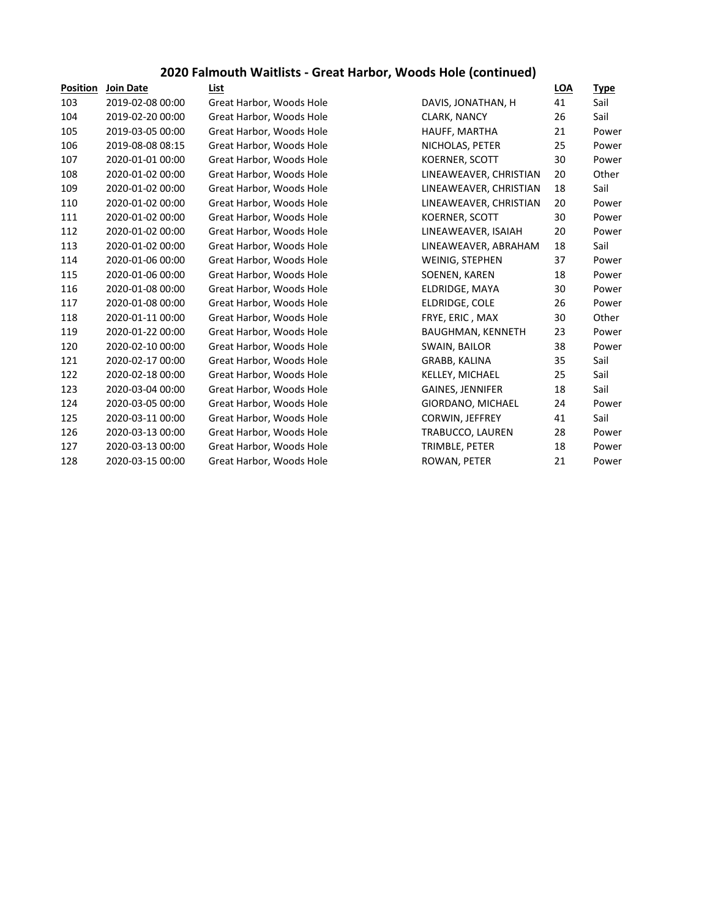## **2020 Falmouth Waitlists - Great Harbor, Woods Hole (continued)**

| <b>Position</b> | <b>Join Date</b> | List                     |                        | <u>LOA</u> | <b>Type</b> |
|-----------------|------------------|--------------------------|------------------------|------------|-------------|
| 103             | 2019-02-08 00:00 | Great Harbor, Woods Hole | DAVIS, JONATHAN, H     | 41         | Sail        |
| 104             | 2019-02-20 00:00 | Great Harbor, Woods Hole | <b>CLARK, NANCY</b>    | 26         | Sail        |
| 105             | 2019-03-05 00:00 | Great Harbor, Woods Hole | HAUFF, MARTHA          | 21         | Power       |
| 106             | 2019-08-08 08:15 | Great Harbor, Woods Hole | NICHOLAS, PETER        | 25         | Power       |
| 107             | 2020-01-01 00:00 | Great Harbor, Woods Hole | <b>KOERNER, SCOTT</b>  | 30         | Power       |
| 108             | 2020-01-02 00:00 | Great Harbor, Woods Hole | LINEAWEAVER, CHRISTIAN | 20         | Other       |
| 109             | 2020-01-02 00:00 | Great Harbor, Woods Hole | LINEAWEAVER, CHRISTIAN | 18         | Sail        |
| 110             | 2020-01-02 00:00 | Great Harbor, Woods Hole | LINEAWEAVER, CHRISTIAN | 20         | Power       |
| 111             | 2020-01-02 00:00 | Great Harbor, Woods Hole | <b>KOERNER, SCOTT</b>  | 30         | Power       |
| 112             | 2020-01-02 00:00 | Great Harbor, Woods Hole | LINEAWEAVER, ISAIAH    | 20         | Power       |
| 113             | 2020-01-02 00:00 | Great Harbor, Woods Hole | LINEAWEAVER, ABRAHAM   | 18         | Sail        |
| 114             | 2020-01-06 00:00 | Great Harbor, Woods Hole | WEINIG, STEPHEN        | 37         | Power       |
| 115             | 2020-01-06 00:00 | Great Harbor, Woods Hole | SOENEN, KAREN          | 18         | Power       |
| 116             | 2020-01-08 00:00 | Great Harbor, Woods Hole | ELDRIDGE, MAYA         | 30         | Power       |
| 117             | 2020-01-08 00:00 | Great Harbor, Woods Hole | ELDRIDGE, COLE         | 26         | Power       |
| 118             | 2020-01-11 00:00 | Great Harbor, Woods Hole | FRYE, ERIC, MAX        | 30         | Other       |
| 119             | 2020-01-22 00:00 | Great Harbor, Woods Hole | BAUGHMAN, KENNETH      | 23         | Power       |
| 120             | 2020-02-10 00:00 | Great Harbor, Woods Hole | SWAIN, BAILOR          | 38         | Power       |
| 121             | 2020-02-17 00:00 | Great Harbor, Woods Hole | GRABB, KALINA          | 35         | Sail        |
| 122             | 2020-02-18 00:00 | Great Harbor, Woods Hole | KELLEY, MICHAEL        | 25         | Sail        |
| 123             | 2020-03-04 00:00 | Great Harbor, Woods Hole | GAINES, JENNIFER       | 18         | Sail        |
| 124             | 2020-03-05 00:00 | Great Harbor, Woods Hole | GIORDANO, MICHAEL      | 24         | Power       |
| 125             | 2020-03-11 00:00 | Great Harbor, Woods Hole | CORWIN, JEFFREY        | 41         | Sail        |
| 126             | 2020-03-13 00:00 | Great Harbor, Woods Hole | TRABUCCO, LAUREN       | 28         | Power       |
| 127             | 2020-03-13 00:00 | Great Harbor, Woods Hole | TRIMBLE, PETER         | 18         | Power       |
| 128             | 2020-03-15 00:00 | Great Harbor, Woods Hole | ROWAN, PETER           | 21         | Power       |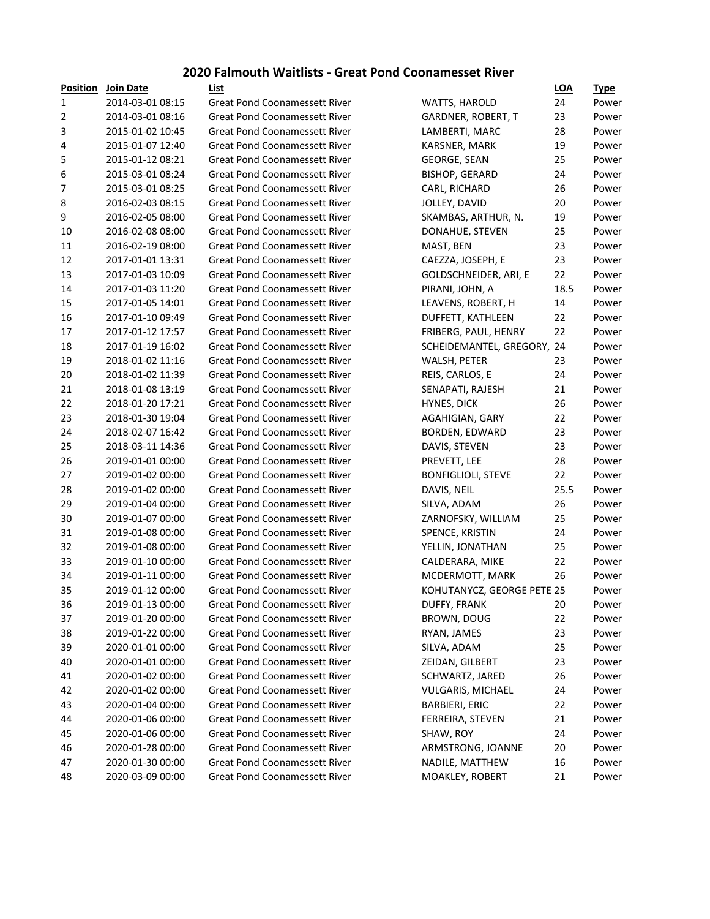#### **2020 Falmouth Waitlists - Great Pond Coonamesset River**

| <b>Position</b>  | Join Date        | List                                 |                            | <b>LOA</b> | <u>Type</u> |
|------------------|------------------|--------------------------------------|----------------------------|------------|-------------|
| 1                | 2014-03-01 08:15 | <b>Great Pond Coonamessett River</b> | WATTS, HAROLD              | 24         | Power       |
| $\overline{2}$   | 2014-03-01 08:16 | <b>Great Pond Coonamessett River</b> | GARDNER, ROBERT, T         | 23         | Power       |
| 3                | 2015-01-02 10:45 | <b>Great Pond Coonamessett River</b> | LAMBERTI, MARC             | 28         | Power       |
| 4                | 2015-01-07 12:40 | <b>Great Pond Coonamessett River</b> | KARSNER, MARK              | 19         | Power       |
| 5                | 2015-01-12 08:21 | <b>Great Pond Coonamessett River</b> | GEORGE, SEAN               | 25         | Power       |
| $\boldsymbol{6}$ | 2015-03-01 08:24 | <b>Great Pond Coonamessett River</b> | <b>BISHOP, GERARD</b>      | 24         | Power       |
| 7                | 2015-03-01 08:25 | <b>Great Pond Coonamessett River</b> | CARL, RICHARD              | 26         | Power       |
| 8                | 2016-02-03 08:15 | <b>Great Pond Coonamessett River</b> | JOLLEY, DAVID              | 20         | Power       |
| 9                | 2016-02-05 08:00 | <b>Great Pond Coonamessett River</b> | SKAMBAS, ARTHUR, N.        | 19         | Power       |
| 10               | 2016-02-08 08:00 | <b>Great Pond Coonamessett River</b> | DONAHUE, STEVEN            | 25         | Power       |
| 11               | 2016-02-19 08:00 | <b>Great Pond Coonamessett River</b> | MAST, BEN                  | 23         | Power       |
| 12               | 2017-01-01 13:31 | <b>Great Pond Coonamessett River</b> | CAEZZA, JOSEPH, E          | 23         | Power       |
| 13               | 2017-01-03 10:09 | <b>Great Pond Coonamessett River</b> | GOLDSCHNEIDER, ARI, E      | 22         | Power       |
| 14               | 2017-01-03 11:20 | <b>Great Pond Coonamessett River</b> | PIRANI, JOHN, A            | 18.5       | Power       |
| 15               | 2017-01-05 14:01 | <b>Great Pond Coonamessett River</b> | LEAVENS, ROBERT, H         | 14         | Power       |
| 16               | 2017-01-10 09:49 | <b>Great Pond Coonamessett River</b> | DUFFETT, KATHLEEN          | 22         | Power       |
| 17               | 2017-01-12 17:57 | <b>Great Pond Coonamessett River</b> | FRIBERG, PAUL, HENRY       | 22         | Power       |
| 18               | 2017-01-19 16:02 | <b>Great Pond Coonamessett River</b> | SCHEIDEMANTEL, GREGORY, 24 |            | Power       |
| 19               | 2018-01-02 11:16 | <b>Great Pond Coonamessett River</b> | WALSH, PETER               | 23         | Power       |
| 20               | 2018-01-02 11:39 | <b>Great Pond Coonamessett River</b> | REIS, CARLOS, E            | 24         | Power       |
| 21               | 2018-01-08 13:19 | <b>Great Pond Coonamessett River</b> | SENAPATI, RAJESH           | 21         | Power       |
| 22               | 2018-01-20 17:21 | <b>Great Pond Coonamessett River</b> | <b>HYNES, DICK</b>         | 26         | Power       |
| 23               | 2018-01-30 19:04 | <b>Great Pond Coonamessett River</b> | AGAHIGIAN, GARY            | 22         | Power       |
| 24               | 2018-02-07 16:42 | <b>Great Pond Coonamessett River</b> | BORDEN, EDWARD             | 23         | Power       |
| 25               | 2018-03-11 14:36 | <b>Great Pond Coonamessett River</b> | DAVIS, STEVEN              | 23         | Power       |
| 26               | 2019-01-01 00:00 | <b>Great Pond Coonamessett River</b> | PREVETT, LEE               | 28         | Power       |
| 27               | 2019-01-02 00:00 | <b>Great Pond Coonamessett River</b> | <b>BONFIGLIOLI, STEVE</b>  | 22         | Power       |
| 28               | 2019-01-02 00:00 | <b>Great Pond Coonamessett River</b> | DAVIS, NEIL                | 25.5       | Power       |
| 29               | 2019-01-04 00:00 | <b>Great Pond Coonamessett River</b> | SILVA, ADAM                | 26         | Power       |
| 30               | 2019-01-07 00:00 | <b>Great Pond Coonamessett River</b> | ZARNOFSKY, WILLIAM         | 25         | Power       |
| 31               | 2019-01-08 00:00 | <b>Great Pond Coonamessett River</b> | SPENCE, KRISTIN            | 24         | Power       |
| 32               | 2019-01-08 00:00 | <b>Great Pond Coonamessett River</b> | YELLIN, JONATHAN           | 25         | Power       |
| 33               | 2019-01-10 00:00 | <b>Great Pond Coonamessett River</b> | CALDERARA, MIKE            | 22         | Power       |
| 34               | 2019-01-11 00:00 | <b>Great Pond Coonamessett River</b> | MCDERMOTT, MARK            | 26         | Power       |
| 35               | 2019-01-12 00:00 | <b>Great Pond Coonamessett River</b> | KOHUTANYCZ, GEORGE PETE 25 |            | Power       |
| 36               | 2019-01-13 00:00 | <b>Great Pond Coonamessett River</b> | DUFFY, FRANK               | 20         | Power       |
| 37               | 2019-01-20 00:00 | <b>Great Pond Coonamessett River</b> | BROWN, DOUG                | 22         | Power       |
| 38               | 2019-01-22 00:00 | <b>Great Pond Coonamessett River</b> | RYAN, JAMES                | 23         | Power       |
| 39               | 2020-01-01 00:00 | <b>Great Pond Coonamessett River</b> | SILVA, ADAM                | 25         | Power       |
| 40               | 2020-01-01 00:00 | <b>Great Pond Coonamessett River</b> | ZEIDAN, GILBERT            | 23         | Power       |
| 41               | 2020-01-02 00:00 | <b>Great Pond Coonamessett River</b> | SCHWARTZ, JARED            | 26         | Power       |
| 42               | 2020-01-02 00:00 | <b>Great Pond Coonamessett River</b> | VULGARIS, MICHAEL          | 24         | Power       |
| 43               | 2020-01-04 00:00 | <b>Great Pond Coonamessett River</b> | <b>BARBIERI, ERIC</b>      | 22         | Power       |
| 44               | 2020-01-06 00:00 | <b>Great Pond Coonamessett River</b> | FERREIRA, STEVEN           | 21         | Power       |
| 45               | 2020-01-06 00:00 | <b>Great Pond Coonamessett River</b> | SHAW, ROY                  | 24         | Power       |
| 46               | 2020-01-28 00:00 | <b>Great Pond Coonamessett River</b> | ARMSTRONG, JOANNE          | 20         | Power       |
| 47               | 2020-01-30 00:00 | <b>Great Pond Coonamessett River</b> | NADILE, MATTHEW            | 16         | Power       |
| 48               | 2020-03-09 00:00 | <b>Great Pond Coonamessett River</b> | MOAKLEY, ROBERT            | 21         | Power       |
|                  |                  |                                      |                            |            |             |

|                            | יי   | <u> ypc</u> |
|----------------------------|------|-------------|
| <b>WATTS, HAROLD</b>       | 24   | Power       |
| GARDNER, ROBERT, T         | 23   | Power       |
| LAMBERTI, MARC             | 28   | Power       |
| KARSNER, MARK              | 19   | Power       |
| GEORGE, SEAN               | 25   | Power       |
| <b>BISHOP, GERARD</b>      | 24   | Power       |
| CARL, RICHARD              | 26   | Power       |
| JOLLEY, DAVID              | 20   | Power       |
| SKAMBAS, ARTHUR, N.        | 19   | Power       |
| DONAHUE, STEVEN            | 25   | Power       |
| MAST, BEN                  | 23   | Power       |
| CAEZZA, JOSEPH, E          | 23   | Power       |
| GOLDSCHNEIDER, ARI, E      | 22   | Power       |
| PIRANI, JOHN, A            | 18.5 | Power       |
| LEAVENS, ROBERT, H         | 14   | Power       |
| <b>DUFFETT, KATHLEEN</b>   | 22   | Power       |
| FRIBERG, PAUL, HENRY       | 22   | Power       |
| SCHEIDEMANTEL, GREGORY,    | 24   | Power       |
| WALSH, PETER               | 23   | Power       |
| REIS, CARLOS, E            | 24   | Power       |
| SENAPATI, RAJESH           | 21   | Power       |
| HYNES, DICK                | 26   | Power       |
| AGAHIGIAN, GARY            | 22   | Power       |
| BORDEN, EDWARD             | 23   | Power       |
| DAVIS, STEVEN              | 23   | Power       |
| PREVETT, LEE               | 28   | Power       |
| <b>BONFIGLIOLI, STEVE</b>  | 22   | Power       |
| DAVIS, NEIL                | 25.5 | Power       |
| SILVA, ADAM                | 26   | Power       |
| ZARNOFSKY, WILLIAM         | 25   | Power       |
| SPENCE, KRISTIN            | 24   | Power       |
| YELLIN, JONATHAN           | 25   | Power       |
| CALDERARA, MIKE            | 22   | Power       |
| MCDERMOTT, MARK            | 26   | Power       |
| KOHUTANYCZ, GEORGE PETE 25 |      | Power       |
| <b>DUFFY, FRANK</b>        | 20   | Power       |
| BROWN, DOUG                | 22   | Power       |
| RYAN, JAMES                | 23   | Power       |
| SILVA, ADAM                | 25   | Power       |
| ZEIDAN, GILBERT            | 23   | Power       |
| SCHWARTZ, JARED            | 26   | Power       |
| VULGARIS, MICHAEL          | 24   | Power       |
| <b>BARBIERI, ERIC</b>      | 22   | Power       |
| FERREIRA, STEVEN           | 21   | Power       |
| SHAW, ROY                  | 24   | Power       |
| ARMSTRONG, JOANNE          | 20   | Power       |
| NADILE, MATTHEW            | 16   | Power       |
| MOAKLEY, ROBERT            | 21   | Power       |
|                            |      |             |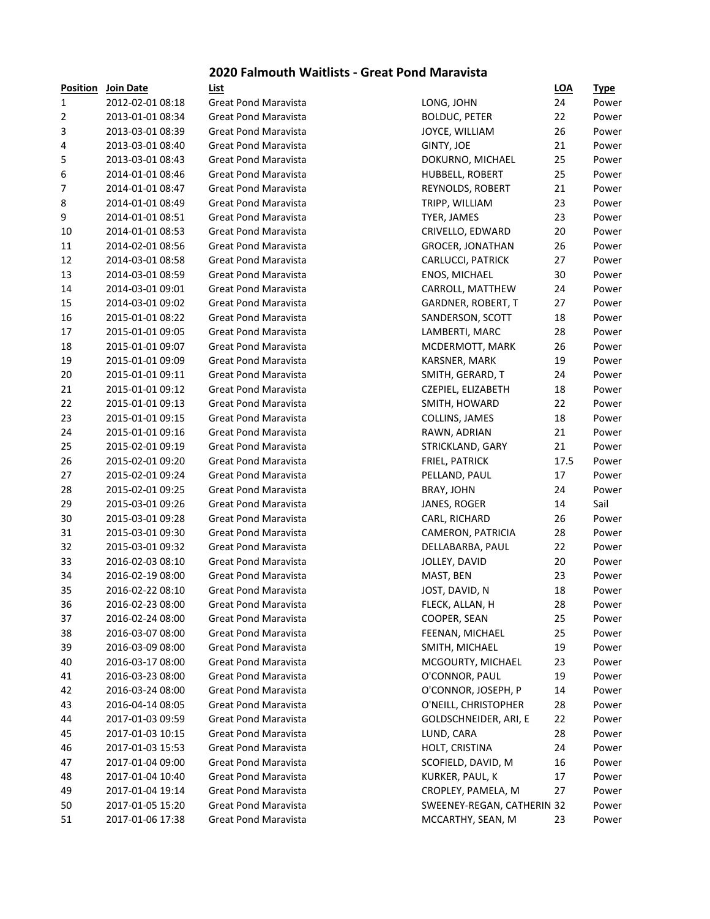#### **2020 Falmouth Waitlists - Great Pond Maravista**

| Position         | Join Date        | List                        |                            | <b>LOA</b> | <b>Type</b> |
|------------------|------------------|-----------------------------|----------------------------|------------|-------------|
| $\mathbf{1}$     | 2012-02-01 08:18 | <b>Great Pond Maravista</b> | LONG, JOHN                 | 24         | Pow         |
| 2                | 2013-01-01 08:34 | Great Pond Maravista        | <b>BOLDUC, PETER</b>       | 22         | Pow         |
| 3                | 2013-03-01 08:39 | Great Pond Maravista        | JOYCE, WILLIAM             | 26         | Powe        |
| 4                | 2013-03-01 08:40 | <b>Great Pond Maravista</b> | <b>GINTY, JOE</b>          | 21         | Pow         |
| 5                | 2013-03-01 08:43 | Great Pond Maravista        | DOKURNO, MICHAEL           | 25         | Pow         |
| 6                | 2014-01-01 08:46 | Great Pond Maravista        | HUBBELL, ROBERT            | 25         | Pow         |
| $\boldsymbol{7}$ | 2014-01-01 08:47 | <b>Great Pond Maravista</b> | REYNOLDS, ROBERT           | 21         | Pow         |
| 8                | 2014-01-01 08:49 | <b>Great Pond Maravista</b> | TRIPP, WILLIAM             | 23         | Pow         |
| 9                | 2014-01-01 08:51 | <b>Great Pond Maravista</b> | TYER, JAMES                | 23         | Pow         |
| 10               | 2014-01-01 08:53 | <b>Great Pond Maravista</b> | CRIVELLO, EDWARD           | 20         | Pow         |
| 11               | 2014-02-01 08:56 | Great Pond Maravista        | <b>GROCER, JONATHAN</b>    | 26         | Pow         |
| 12               | 2014-03-01 08:58 | Great Pond Maravista        | CARLUCCI, PATRICK          | 27         | Pow         |
| 13               | 2014-03-01 08:59 | <b>Great Pond Maravista</b> | ENOS, MICHAEL              | 30         | Pow         |
| 14               | 2014-03-01 09:01 | <b>Great Pond Maravista</b> | CARROLL, MATTHEW           | 24         | Pow         |
| 15               | 2014-03-01 09:02 | <b>Great Pond Maravista</b> | GARDNER, ROBERT, T         | 27         | Pow         |
| 16               | 2015-01-01 08:22 | <b>Great Pond Maravista</b> | SANDERSON, SCOTT           | 18         | Pow         |
| 17               | 2015-01-01 09:05 | <b>Great Pond Maravista</b> | LAMBERTI, MARC             | 28         | Powe        |
| 18               | 2015-01-01 09:07 | <b>Great Pond Maravista</b> | MCDERMOTT, MARK            | 26         | Pow         |
| 19               | 2015-01-01 09:09 | <b>Great Pond Maravista</b> | KARSNER, MARK              | 19         | Pow         |
| 20               | 2015-01-01 09:11 | <b>Great Pond Maravista</b> | SMITH, GERARD, T           | 24         | Pow         |
| 21               | 2015-01-01 09:12 | <b>Great Pond Maravista</b> | CZEPIEL, ELIZABETH         | 18         | Pow         |
| 22               | 2015-01-01 09:13 | <b>Great Pond Maravista</b> | SMITH, HOWARD              | 22         | Pow         |
| 23               | 2015-01-01 09:15 | <b>Great Pond Maravista</b> | COLLINS, JAMES             | 18         | Pow         |
| 24               | 2015-01-01 09:16 | <b>Great Pond Maravista</b> | RAWN, ADRIAN               | 21         | Pow         |
| 25               | 2015-02-01 09:19 | <b>Great Pond Maravista</b> | STRICKLAND, GARY           | 21         | Pow         |
| 26               | 2015-02-01 09:20 | <b>Great Pond Maravista</b> | FRIEL, PATRICK             | 17.5       | Pow         |
| 27               | 2015-02-01 09:24 | <b>Great Pond Maravista</b> | PELLAND, PAUL              | 17         | Pow         |
| 28               | 2015-02-01 09:25 | <b>Great Pond Maravista</b> | <b>BRAY, JOHN</b>          | 24         | Pow         |
| 29               | 2015-03-01 09:26 | <b>Great Pond Maravista</b> | JANES, ROGER               | 14         | Sail        |
| 30               | 2015-03-01 09:28 | <b>Great Pond Maravista</b> | CARL, RICHARD              | 26         | Pow         |
| 31               | 2015-03-01 09:30 | <b>Great Pond Maravista</b> | CAMERON, PATRICIA          | 28         | Pow         |
| 32               | 2015-03-01 09:32 | <b>Great Pond Maravista</b> | DELLABARBA, PAUL           | 22         | Pow         |
| 33               | 2016-02-03 08:10 | <b>Great Pond Maravista</b> | JOLLEY, DAVID              | 20         | Pow         |
| 34               | 2016-02-19 08:00 | <b>Great Pond Maravista</b> | MAST, BEN                  | 23         | Pow         |
| 35               | 2016-02-22 08:10 | <b>Great Pond Maravista</b> | JOST, DAVID, N             | 18         | Pow         |
| 36               | 2016-02-23 08:00 | Great Pond Maravista        | FLECK, ALLAN, H            | 28         | Powe        |
| 37               | 2016-02-24 08:00 | <b>Great Pond Maravista</b> | COOPER, SEAN               | 25         | Pow         |
| 38               | 2016-03-07 08:00 | <b>Great Pond Maravista</b> | FEENAN, MICHAEL            | 25         | Pow         |
| 39               | 2016-03-09 08:00 | <b>Great Pond Maravista</b> | SMITH, MICHAEL             | 19         | Pow         |
| 40               | 2016-03-17 08:00 | <b>Great Pond Maravista</b> | MCGOURTY, MICHAEL          | 23         | Pow         |
| 41               | 2016-03-23 08:00 | <b>Great Pond Maravista</b> | O'CONNOR, PAUL             | 19         | Pow         |
| 42               | 2016-03-24 08:00 | <b>Great Pond Maravista</b> | O'CONNOR, JOSEPH, P        | 14         | Pow         |
| 43               | 2016-04-14 08:05 | <b>Great Pond Maravista</b> | O'NEILL, CHRISTOPHER       | 28         | Pow         |
| 44               | 2017-01-03 09:59 | <b>Great Pond Maravista</b> | GOLDSCHNEIDER, ARI, E      | 22         | Pow         |
| 45               | 2017-01-03 10:15 | Great Pond Maravista        | LUND, CARA                 | 28         | Pow         |
| 46               | 2017-01-03 15:53 | Great Pond Maravista        | HOLT, CRISTINA             | 24         | Pow         |
| 47               | 2017-01-04 09:00 | Great Pond Maravista        | SCOFIELD, DAVID, M         | 16         | Pow         |
| 48               | 2017-01-04 10:40 | <b>Great Pond Maravista</b> | KURKER, PAUL, K            | 17         | Pow         |
| 49               | 2017-01-04 19:14 | <b>Great Pond Maravista</b> | CROPLEY, PAMELA, M         | 27         | Pow         |
| 50               | 2017-01-05 15:20 | Great Pond Maravista        | SWEENEY-REGAN, CATHERIN 32 |            | Pow         |
| 51               | 2017-01-06 17:38 | <b>Great Pond Maravista</b> | MCCARTHY, SEAN, M          | 23         | Pow         |
|                  |                  |                             |                            |            |             |

| ייטויניט ו | <b>SOUTDATE</b>  |                             |                            | <u> - 20</u> | <u>iyes</u> |
|------------|------------------|-----------------------------|----------------------------|--------------|-------------|
| 1          | 2012-02-01 08:18 | <b>Great Pond Maravista</b> | LONG, JOHN                 | 24           | Power       |
| 2          | 2013-01-01 08:34 | <b>Great Pond Maravista</b> | <b>BOLDUC, PETER</b>       | 22           | Power       |
| 3          | 2013-03-01 08:39 | <b>Great Pond Maravista</b> | JOYCE, WILLIAM             | 26           | Power       |
| 4          | 2013-03-01 08:40 | <b>Great Pond Maravista</b> | GINTY, JOE                 | 21           | Power       |
| 5          | 2013-03-01 08:43 | <b>Great Pond Maravista</b> | DOKURNO, MICHAEL           | 25           | Power       |
| 6          | 2014-01-01 08:46 | <b>Great Pond Maravista</b> | HUBBELL, ROBERT            | 25           | Power       |
| 7          | 2014-01-01 08:47 | <b>Great Pond Maravista</b> | REYNOLDS, ROBERT           | 21           | Power       |
| 8          | 2014-01-01 08:49 | <b>Great Pond Maravista</b> | TRIPP, WILLIAM             | 23           | Power       |
| 9          | 2014-01-01 08:51 | <b>Great Pond Maravista</b> | TYER, JAMES                | 23           | Power       |
| 10         | 2014-01-01 08:53 | <b>Great Pond Maravista</b> | CRIVELLO, EDWARD           | 20           | Power       |
| 11         | 2014-02-01 08:56 | <b>Great Pond Maravista</b> | <b>GROCER, JONATHAN</b>    | 26           | Power       |
| 12         | 2014-03-01 08:58 | <b>Great Pond Maravista</b> | CARLUCCI, PATRICK          | 27           | Power       |
| 13         | 2014-03-01 08:59 | <b>Great Pond Maravista</b> | ENOS, MICHAEL              | 30           | Power       |
| 14         | 2014-03-01 09:01 | <b>Great Pond Maravista</b> | CARROLL, MATTHEW           | 24           | Power       |
| 15         | 2014-03-01 09:02 | <b>Great Pond Maravista</b> | GARDNER, ROBERT, T         | 27           | Power       |
| 16         | 2015-01-01 08:22 | <b>Great Pond Maravista</b> | SANDERSON, SCOTT           | 18           | Power       |
| 17         | 2015-01-01 09:05 | <b>Great Pond Maravista</b> | LAMBERTI, MARC             | 28           | Power       |
| 18         | 2015-01-01 09:07 | <b>Great Pond Maravista</b> | MCDERMOTT, MARK            | 26           | Power       |
| 19         | 2015-01-01 09:09 | <b>Great Pond Maravista</b> | KARSNER, MARK              | 19           | Power       |
| 20         | 2015-01-01 09:11 | <b>Great Pond Maravista</b> | SMITH, GERARD, T           | 24           | Power       |
| 21         | 2015-01-01 09:12 | <b>Great Pond Maravista</b> | CZEPIEL, ELIZABETH         | 18           | Power       |
| 22         | 2015-01-01 09:13 | <b>Great Pond Maravista</b> | SMITH, HOWARD              | 22           | Power       |
| 23         | 2015-01-01 09:15 | <b>Great Pond Maravista</b> | COLLINS, JAMES             | 18           | Power       |
| 24         | 2015-01-01 09:16 | <b>Great Pond Maravista</b> | RAWN, ADRIAN               | 21           | Power       |
| 25         | 2015-02-01 09:19 | <b>Great Pond Maravista</b> | STRICKLAND, GARY           | 21           | Power       |
| 26         | 2015-02-01 09:20 | <b>Great Pond Maravista</b> | FRIEL, PATRICK             | 17.5         | Power       |
| 27         | 2015-02-01 09:24 | <b>Great Pond Maravista</b> | PELLAND, PAUL              | 17           | Power       |
| 28         | 2015-02-01 09:25 | <b>Great Pond Maravista</b> | <b>BRAY, JOHN</b>          | 24           | Power       |
| 29         | 2015-03-01 09:26 | <b>Great Pond Maravista</b> | JANES, ROGER               | 14           | Sail        |
| 30         | 2015-03-01 09:28 | <b>Great Pond Maravista</b> | CARL, RICHARD              | 26           | Power       |
| 31         | 2015-03-01 09:30 | <b>Great Pond Maravista</b> | CAMERON, PATRICIA          | 28           | Power       |
| 32         | 2015-03-01 09:32 | <b>Great Pond Maravista</b> | DELLABARBA, PAUL           | 22           | Power       |
| 33         | 2016-02-03 08:10 | <b>Great Pond Maravista</b> | JOLLEY, DAVID              | 20           | Power       |
| 34         | 2016-02-19 08:00 | <b>Great Pond Maravista</b> | MAST, BEN                  | 23           | Power       |
| 35         | 2016-02-22 08:10 | <b>Great Pond Maravista</b> | JOST, DAVID, N             | 18           | Power       |
| 36         | 2016-02-23 08:00 | <b>Great Pond Maravista</b> | FLECK, ALLAN, H            | 28           | Power       |
| 37         | 2016-02-24 08:00 | <b>Great Pond Maravista</b> | COOPER, SEAN               | 25           | Power       |
| 38         | 2016-03-07 08:00 | <b>Great Pond Maravista</b> | FEENAN, MICHAEL            | 25           | Power       |
| 39         | 2016-03-09 08:00 | <b>Great Pond Maravista</b> | SMITH, MICHAEL             | 19           | Power       |
| 40         | 2016-03-17 08:00 | <b>Great Pond Maravista</b> | MCGOURTY, MICHAEL          | 23           | Power       |
| 41         | 2016-03-23 08:00 | <b>Great Pond Maravista</b> | O'CONNOR, PAUL             | 19           | Power       |
| 42         | 2016-03-24 08:00 | <b>Great Pond Maravista</b> | O'CONNOR, JOSEPH, P        | 14           | Power       |
| 43         | 2016-04-14 08:05 | Great Pond Maravista        | O'NEILL, CHRISTOPHER       | 28           | Power       |
| 44         | 2017-01-03 09:59 | <b>Great Pond Maravista</b> | GOLDSCHNEIDER, ARI, E      | 22           | Power       |
| 45         | 2017-01-03 10:15 | <b>Great Pond Maravista</b> | LUND, CARA                 | 28           | Power       |
| 46         | 2017-01-03 15:53 | <b>Great Pond Maravista</b> | HOLT, CRISTINA             | 24           | Power       |
| 47         | 2017-01-04 09:00 | <b>Great Pond Maravista</b> | SCOFIELD, DAVID, M         | 16           | Power       |
| 48         | 2017-01-04 10:40 | <b>Great Pond Maravista</b> | KURKER, PAUL, K            | 17           | Power       |
| 49         | 2017-01-04 19:14 | <b>Great Pond Maravista</b> | CROPLEY, PAMELA, M         | 27           | Power       |
| 50         | 2017-01-05 15:20 | <b>Great Pond Maravista</b> | SWEENEY-REGAN, CATHERIN 32 |              | Power       |
| 51         | 2017-01-06 17:38 | <b>Great Pond Maravista</b> | MCCARTHY, SEAN, M          | 23           | Power       |
|            |                  |                             |                            |              |             |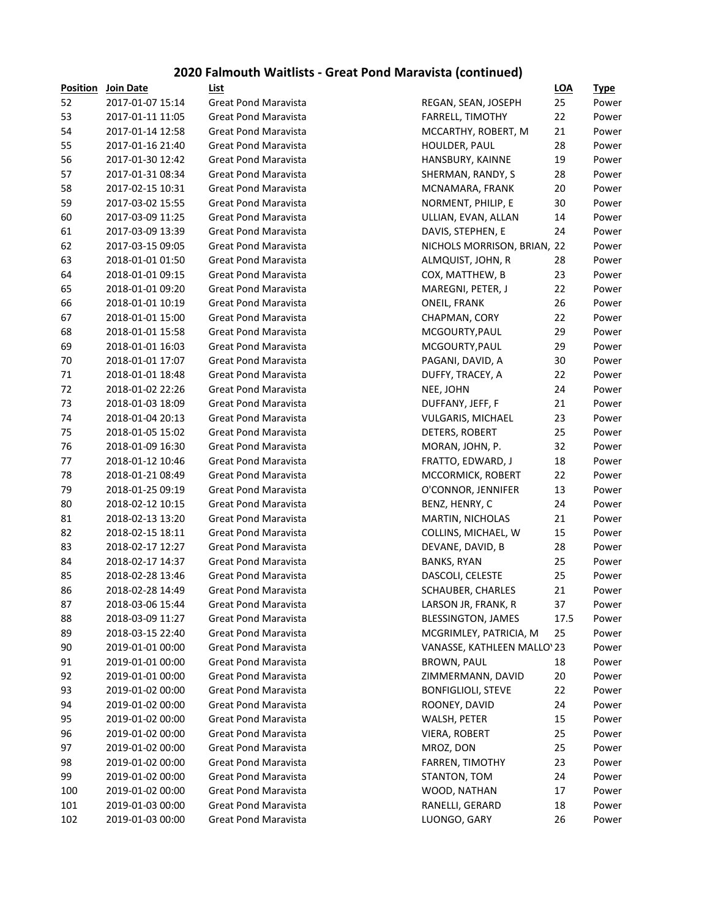## **2020 Falmouth Waitlists - Great Pond Maravista (continued)**

| <b>Position</b> | Join Date                            | List                                                       |                              | LOA      | <u>Type</u> |
|-----------------|--------------------------------------|------------------------------------------------------------|------------------------------|----------|-------------|
| 52              | 2017-01-07 15:14                     | <b>Great Pond Maravista</b>                                | REGAN, SEAN, JOSEPH          | 25       | Power       |
| 53              | 2017-01-11 11:05                     | <b>Great Pond Maravista</b>                                | <b>FARRELL, TIMOTHY</b>      | 22       | Power       |
| 54              | 2017-01-14 12:58                     | <b>Great Pond Maravista</b>                                | MCCARTHY, ROBERT, M          | 21       | Power       |
| 55              | 2017-01-16 21:40                     | <b>Great Pond Maravista</b>                                | HOULDER, PAUL                | 28       | Power       |
| 56              | 2017-01-30 12:42                     | <b>Great Pond Maravista</b>                                | HANSBURY, KAINNE             | 19       | Power       |
| 57              | 2017-01-31 08:34                     | <b>Great Pond Maravista</b>                                | SHERMAN, RANDY, S            | 28       | Power       |
| 58              | 2017-02-15 10:31                     | <b>Great Pond Maravista</b>                                | MCNAMARA, FRANK              | 20       | Power       |
| 59              | 2017-03-02 15:55                     | <b>Great Pond Maravista</b>                                | NORMENT, PHILIP, E           | 30       | Power       |
| 60              | 2017-03-09 11:25                     | <b>Great Pond Maravista</b>                                | ULLIAN, EVAN, ALLAN          | 14       | Power       |
| 61              | 2017-03-09 13:39                     | <b>Great Pond Maravista</b>                                | DAVIS, STEPHEN, E            | 24       | Power       |
| 62              | 2017-03-15 09:05                     | <b>Great Pond Maravista</b>                                | NICHOLS MORRISON, BRIAN, 22  |          | Power       |
| 63              | 2018-01-01 01:50                     | <b>Great Pond Maravista</b>                                | ALMQUIST, JOHN, R            | 28       | Power       |
| 64              | 2018-01-01 09:15                     | <b>Great Pond Maravista</b>                                | COX, MATTHEW, B              | 23       | Power       |
| 65              | 2018-01-01 09:20                     | <b>Great Pond Maravista</b>                                | MAREGNI, PETER, J            | 22       | Power       |
| 66              | 2018-01-01 10:19                     | <b>Great Pond Maravista</b>                                | ONEIL, FRANK                 | 26       | Power       |
| 67              | 2018-01-01 15:00                     | <b>Great Pond Maravista</b>                                | CHAPMAN, CORY                | 22       | Power       |
| 68              | 2018-01-01 15:58                     | <b>Great Pond Maravista</b>                                | MCGOURTY, PAUL               | 29       | Power       |
| 69              | 2018-01-01 16:03                     | <b>Great Pond Maravista</b>                                | MCGOURTY, PAUL               | 29       | Power       |
| 70              | 2018-01-01 17:07                     | <b>Great Pond Maravista</b>                                | PAGANI, DAVID, A             | 30       | Power       |
| 71              | 2018-01-01 18:48                     | <b>Great Pond Maravista</b>                                | DUFFY, TRACEY, A             | 22       | Power       |
| 72              | 2018-01-02 22:26                     | <b>Great Pond Maravista</b>                                | NEE, JOHN                    | 24       | Power       |
| 73              | 2018-01-03 18:09                     | <b>Great Pond Maravista</b>                                | DUFFANY, JEFF, F             | 21       | Power       |
| 74              | 2018-01-04 20:13                     | <b>Great Pond Maravista</b>                                | VULGARIS, MICHAEL            | 23       | Power       |
| 75              | 2018-01-05 15:02                     | <b>Great Pond Maravista</b>                                | DETERS, ROBERT               | 25       | Power       |
| 76              | 2018-01-09 16:30                     | <b>Great Pond Maravista</b>                                | MORAN, JOHN, P.              | 32       | Power       |
| 77              | 2018-01-12 10:46                     | <b>Great Pond Maravista</b>                                | FRATTO, EDWARD, J            | 18       | Power       |
| 78              | 2018-01-21 08:49                     | <b>Great Pond Maravista</b>                                | MCCORMICK, ROBERT            | 22       | Power       |
| 79              | 2018-01-25 09:19                     | <b>Great Pond Maravista</b>                                | O'CONNOR, JENNIFER           | 13       | Power       |
| 80              | 2018-02-12 10:15                     | <b>Great Pond Maravista</b>                                | BENZ, HENRY, C               | 24       | Power       |
| 81              | 2018-02-13 13:20                     | <b>Great Pond Maravista</b>                                | <b>MARTIN, NICHOLAS</b>      | 21       | Power       |
| 82              | 2018-02-15 18:11                     | <b>Great Pond Maravista</b>                                | COLLINS, MICHAEL, W          | 15       | Power       |
| 83              | 2018-02-17 12:27                     | <b>Great Pond Maravista</b>                                | DEVANE, DAVID, B             | 28       | Power       |
| 84              | 2018-02-17 14:37                     | <b>Great Pond Maravista</b>                                | <b>BANKS, RYAN</b>           | 25       | Power       |
| 85              | 2018-02-28 13:46                     | <b>Great Pond Maravista</b>                                | DASCOLI, CELESTE             | 25       | Power       |
| 86              | 2018-02-28 14:49                     | <b>Great Pond Maravista</b>                                | SCHAUBER, CHARLES            | 21       | Power       |
| 87              | 2018-03-06 15:44                     | <b>Great Pond Maravista</b>                                | LARSON JR, FRANK, R          | 37       | Power       |
| 88              | 2018-03-09 11:27                     | <b>Great Pond Maravista</b>                                | <b>BLESSINGTON, JAMES</b>    | 17.5     | Power       |
| 89              | 2018-03-15 22:40                     | <b>Great Pond Maravista</b>                                | MCGRIMLEY, PATRICIA, M       | 25       | Power       |
| 90              | 2019-01-01 00:00                     | <b>Great Pond Maravista</b>                                | VANASSE, KATHLEEN MALLO' 23  |          | Power       |
| 91              | 2019-01-01 00:00                     | <b>Great Pond Maravista</b>                                | <b>BROWN, PAUL</b>           | 18       | Power       |
| 92              | 2019-01-01 00:00                     | <b>Great Pond Maravista</b>                                | ZIMMERMANN, DAVID            | 20       | Power       |
| 93              | 2019-01-02 00:00                     | <b>Great Pond Maravista</b>                                | <b>BONFIGLIOLI, STEVE</b>    | 22       | Power       |
| 94              | 2019-01-02 00:00                     | <b>Great Pond Maravista</b>                                | ROONEY, DAVID                | 24       | Power       |
| 95              | 2019-01-02 00:00                     | <b>Great Pond Maravista</b>                                | WALSH, PETER                 | 15       | Power       |
|                 | 2019-01-02 00:00                     | <b>Great Pond Maravista</b>                                |                              | 25       | Power       |
| 96              |                                      |                                                            | <b>VIERA, ROBERT</b>         |          |             |
| 97<br>98        | 2019-01-02 00:00<br>2019-01-02 00:00 | <b>Great Pond Maravista</b><br><b>Great Pond Maravista</b> | MROZ, DON<br>FARREN, TIMOTHY | 25<br>23 | Power       |
|                 |                                      | <b>Great Pond Maravista</b>                                |                              |          | Power       |
| 99              | 2019-01-02 00:00                     | <b>Great Pond Maravista</b>                                | STANTON, TOM                 | 24       | Power       |
| 100             | 2019-01-02 00:00                     | <b>Great Pond Maravista</b>                                | WOOD, NATHAN                 | 17       | Power       |
| 101             | 2019-01-03 00:00                     |                                                            | RANELLI, GERARD              | 18       | Power       |
| 102             | 2019-01-03 00:00                     | <b>Great Pond Maravista</b>                                | LUONGO, GARY                 | 26       | Power       |

|                             | LUA  | <u>iype</u> |
|-----------------------------|------|-------------|
| REGAN, SEAN, JOSEPH         | 25   | Power       |
| <b>FARRELL, TIMOTHY</b>     | 22   | Power       |
| MCCARTHY, ROBERT, M         | 21   | Power       |
| <b>HOULDER, PAUL</b>        | 28   | Power       |
| HANSBURY, KAINNE            | 19   | Power       |
| SHERMAN, RANDY, S           | 28   | Power       |
| MCNAMARA, FRANK             | 20   | Power       |
| NORMENT, PHILIP, E          | 30   | Power       |
| ULLIAN, EVAN, ALLAN         | 14   | Power       |
| DAVIS, STEPHEN, E           | 24   | Power       |
| NICHOLS MORRISON, BRIAN, 22 |      | Power       |
| ALMQUIST, JOHN, R           | 28   | Power       |
| COX, MATTHEW, B             | 23   | Power       |
| MAREGNI, PETER, J           | 22   | Power       |
| <b>ONEIL, FRANK</b>         | 26   | Power       |
| CHAPMAN, CORY               | 22   | Power       |
| MCGOURTY, PAUL              | 29   | Power       |
| MCGOURTY, PAUL              | 29   | Power       |
| PAGANI, DAVID, A            | 30   | Power       |
| DUFFY, TRACEY, A            | 22   | Power       |
| NEE, JOHN                   | 24   | Power       |
| DUFFANY, JEFF, F            | 21   | Power       |
| <b>VULGARIS, MICHAEL</b>    | 23   | Power       |
| DETERS, ROBERT              | 25   | Power       |
| MORAN, JOHN, P.             | 32   | Power       |
| FRATTO, EDWARD, J           | 18   | Power       |
| MCCORMICK, ROBERT           | 22   | Power       |
| O'CONNOR, JENNIFER          | 13   | Power       |
| BENZ, HENRY, C              | 24   | Power       |
| MARTIN, NICHOLAS            | 21   | Power       |
| COLLINS, MICHAEL, W         | 15   | Power       |
| DEVANE, DAVID, B            | 28   | Power       |
| <b>BANKS, RYAN</b>          | 25   | Power       |
| DASCOLI, CELESTE            | 25   | Power       |
| SCHAUBER, CHARLES           | 21   | Power       |
| LARSON JR, FRANK, R         | 37   | Power       |
| BLESSINGTON, JAMES          | 17.5 | Power       |
| MCGRIMLEY, PATRICIA, M      | 25   | Power       |
| VANASSE, KATHLEEN MALLO'23  |      | Power       |
| <b>BROWN, PAUL</b>          | 18   | Power       |
| ZIMMERMANN, DAVID           | 20   | Power       |
| <b>BONFIGLIOLI, STEVE</b>   | 22   | Power       |
| ROONEY, DAVID               | 24   | Power       |
| WALSH, PETER                | 15   | Power       |
| <b>VIERA, ROBERT</b>        | 25   | Power       |
| MROZ, DON                   | 25   | Power       |
| FARREN, TIMOTHY             | 23   | Power       |
| STANTON, TOM                | 24   | Power       |
| WOOD, NATHAN                | 17   | Power       |
| RANELLI, GERARD             | 18   | Power       |
| LUONGO, GARY                | 26   | Power       |
|                             |      |             |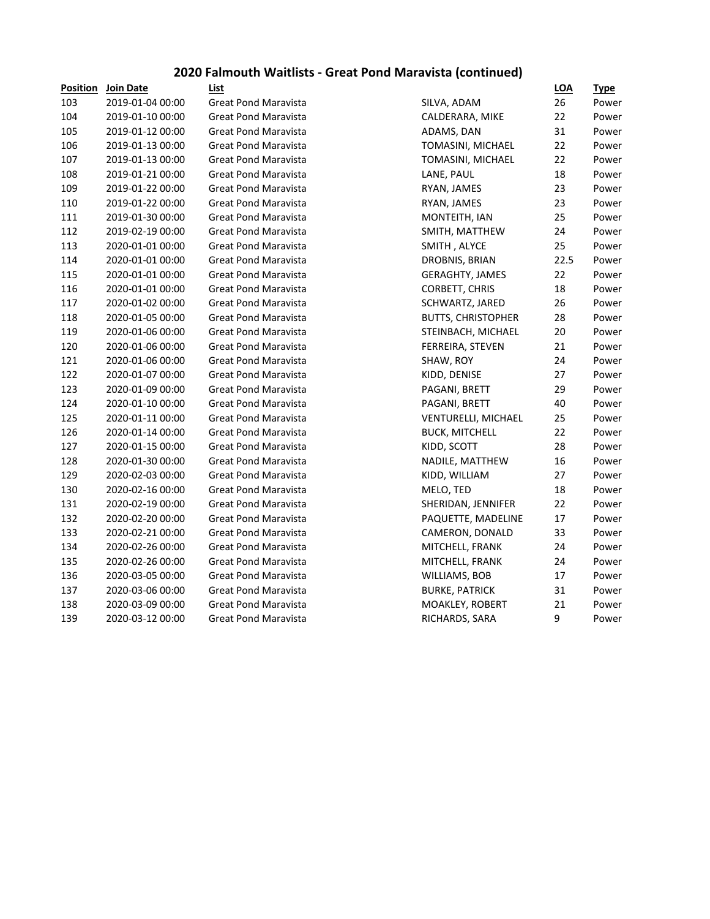## **2020 Falmouth Waitlists - Great Pond Maravista (continued)**

| <b>Position</b> | <b>Join Date</b> | List                        |                           | <b>LOA</b> | <u>Type</u> |
|-----------------|------------------|-----------------------------|---------------------------|------------|-------------|
| 103             | 2019-01-04 00:00 | <b>Great Pond Maravista</b> | SILVA, ADAM               | 26         | Power       |
| 104             | 2019-01-10 00:00 | <b>Great Pond Maravista</b> | CALDERARA, MIKE           | 22         | Power       |
| 105             | 2019-01-12 00:00 | <b>Great Pond Maravista</b> | ADAMS, DAN                | 31         | Power       |
| 106             | 2019-01-13 00:00 | <b>Great Pond Maravista</b> | TOMASINI, MICHAEL         | 22         | Power       |
| 107             | 2019-01-13 00:00 | <b>Great Pond Maravista</b> | TOMASINI, MICHAEL         | 22         | Power       |
| 108             | 2019-01-21 00:00 | <b>Great Pond Maravista</b> | LANE, PAUL                | 18         | Power       |
| 109             | 2019-01-22 00:00 | <b>Great Pond Maravista</b> | RYAN, JAMES               | 23         | Power       |
| 110             | 2019-01-22 00:00 | <b>Great Pond Maravista</b> | RYAN, JAMES               | 23         | Power       |
| 111             | 2019-01-30 00:00 | <b>Great Pond Maravista</b> | MONTEITH, IAN             | 25         | Power       |
| 112             | 2019-02-19 00:00 | <b>Great Pond Maravista</b> | SMITH, MATTHEW            | 24         | Power       |
| 113             | 2020-01-01 00:00 | <b>Great Pond Maravista</b> | SMITH, ALYCE              | 25         | Power       |
| 114             | 2020-01-01 00:00 | <b>Great Pond Maravista</b> | DROBNIS, BRIAN            | 22.5       | Power       |
| 115             | 2020-01-01 00:00 | <b>Great Pond Maravista</b> | <b>GERAGHTY, JAMES</b>    | 22         | Power       |
| 116             | 2020-01-01 00:00 | <b>Great Pond Maravista</b> | <b>CORBETT, CHRIS</b>     | 18         | Power       |
| 117             | 2020-01-02 00:00 | <b>Great Pond Maravista</b> | SCHWARTZ, JARED           | 26         | Power       |
| 118             | 2020-01-05 00:00 | <b>Great Pond Maravista</b> | <b>BUTTS, CHRISTOPHER</b> | 28         | Power       |
| 119             | 2020-01-06 00:00 | <b>Great Pond Maravista</b> | STEINBACH, MICHAEL        | 20         | Power       |
| 120             | 2020-01-06 00:00 | <b>Great Pond Maravista</b> | FERREIRA, STEVEN          | 21         | Power       |
| 121             | 2020-01-06 00:00 | <b>Great Pond Maravista</b> | SHAW, ROY                 | 24         | Power       |
| 122             | 2020-01-07 00:00 | <b>Great Pond Maravista</b> | KIDD, DENISE              | 27         | Power       |
| 123             | 2020-01-09 00:00 | <b>Great Pond Maravista</b> | PAGANI, BRETT             | 29         | Power       |
| 124             | 2020-01-10 00:00 | <b>Great Pond Maravista</b> | PAGANI, BRETT             | 40         | Power       |
| 125             | 2020-01-11 00:00 | <b>Great Pond Maravista</b> | VENTURELLI, MICHAEL       | 25         | Power       |
| 126             | 2020-01-14 00:00 | <b>Great Pond Maravista</b> | <b>BUCK, MITCHELL</b>     | 22         | Power       |
| 127             | 2020-01-15 00:00 | <b>Great Pond Maravista</b> | KIDD, SCOTT               | 28         | Power       |
| 128             | 2020-01-30 00:00 | <b>Great Pond Maravista</b> | NADILE, MATTHEW           | 16         | Power       |
| 129             | 2020-02-03 00:00 | <b>Great Pond Maravista</b> | KIDD, WILLIAM             | 27         | Power       |
| 130             | 2020-02-16 00:00 | <b>Great Pond Maravista</b> | MELO, TED                 | 18         | Power       |
| 131             | 2020-02-19 00:00 | <b>Great Pond Maravista</b> | SHERIDAN, JENNIFER        | 22         | Power       |
| 132             | 2020-02-20 00:00 | <b>Great Pond Maravista</b> | PAQUETTE, MADELINE        | 17         | Power       |
| 133             | 2020-02-21 00:00 | <b>Great Pond Maravista</b> | CAMERON, DONALD           | 33         | Power       |
| 134             | 2020-02-26 00:00 | <b>Great Pond Maravista</b> | MITCHELL, FRANK           | 24         | Power       |
| 135             | 2020-02-26 00:00 | <b>Great Pond Maravista</b> | MITCHELL, FRANK           | 24         | Power       |
| 136             | 2020-03-05 00:00 | <b>Great Pond Maravista</b> | WILLIAMS, BOB             | 17         | Power       |
| 137             | 2020-03-06 00:00 | <b>Great Pond Maravista</b> | <b>BURKE, PATRICK</b>     | 31         | Power       |
| 138             | 2020-03-09 00:00 | <b>Great Pond Maravista</b> | MOAKLEY, ROBERT           | 21         | Power       |
| 139             | 2020-03-12 00:00 | <b>Great Pond Maravista</b> | RICHARDS, SARA            | 9          | Power       |
|                 |                  |                             |                           |            |             |

| SILVA, ADAM              |
|--------------------------|
| CALDERARA, MIKE          |
| ADAMS, DAN               |
| TOMASINI, MICHAEI        |
| <b>TOMASINI, MICHAE</b>  |
| LANE, PAUL               |
| RYAN, JAMES              |
| RYAN, JAMES              |
| MONTEITH, IAN            |
| SMITH, MATTHEW           |
| SMITH, ALYCE             |
| DROBNIS, BRIAN           |
| <b>GERAGHTY, JAMES</b>   |
| <b>CORBETT, CHRIS</b>    |
| SCHWARTZ, JARED          |
| <b>BUTTS, CHRISTOPHE</b> |
| STEINBACH, MICHAI        |
| FERREIRA, STEVEN         |
| SHAW, ROY                |
| KIDD, DENISE             |
| PAGANI, BRETT            |
| PAGANI, BRETT            |
| VENTURELLI, MICHA        |
| <b>BUCK, MITCHELL</b>    |
| KIDD, SCOTT              |
| NADILE, MATTHEW          |
| KIDD, WILLIAM            |
| MELO, TED                |
| SHERIDAN, JENNIFEI       |
| PAQUETTE, MADELI         |
| CAMERON, DONALD          |
| MITCHELL, FRANK          |
| MITCHELL, FRANK          |
| WILLIAMS, BOB            |
| <b>BURKE, PATRICK</b>    |
| MOAKLEY, ROBERT          |
| RICHARDS SARA            |

|     | 23   | Pov |
|-----|------|-----|
|     | 25   | Pov |
|     | 24   | Pov |
|     | 25   | Pov |
|     | 22.5 | Pov |
|     | 22   | Pov |
|     | 18   | Pov |
|     | 26   | Pov |
| ΞR  | 28   | Pov |
| ΞL  | 20   | Pov |
|     | 21   | Pov |
|     | 24   | Pov |
|     | 27   | Pov |
|     | 29   | Pov |
|     | 40   | Pov |
| ۱EL | 25   | Pov |
|     | 22   | Pov |
|     | 28   | Pov |
|     | 16   | Pov |
|     | 27   | Pov |
|     | 18   | Pov |
| R   | 22   | Pov |
| NE  | 17   | Pov |
| )   | 33   | Pov |
|     | 24   | Pov |
|     | 24   | Pov |
|     | 17   | Pov |
|     | 31   | Pov |
|     | 21   | Dov |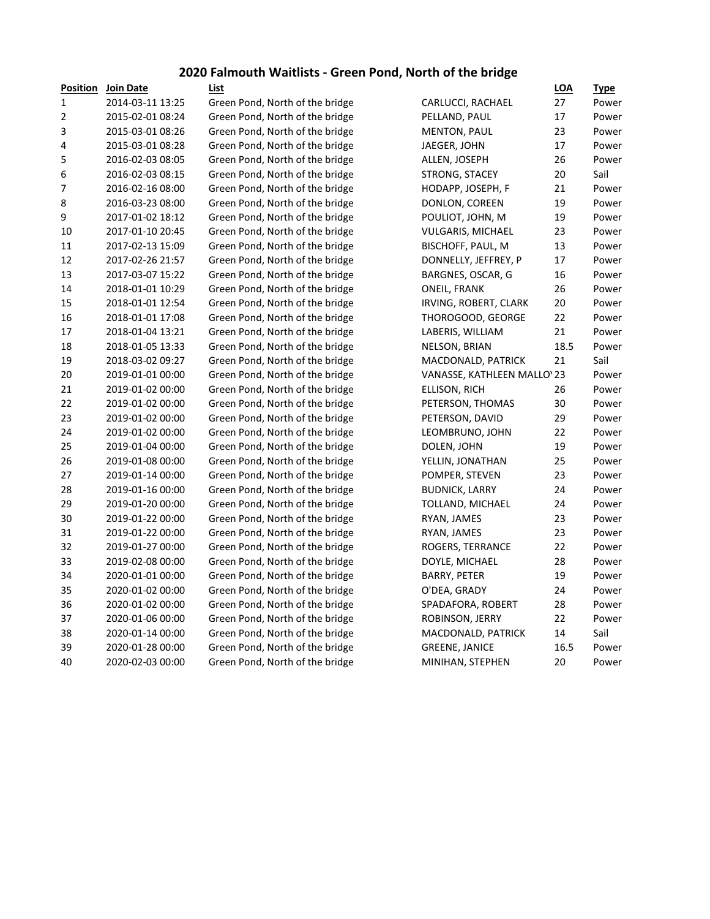## **2020 Falmouth Waitlists - Green Pond, North of the bridge**

|                  | <b>Position</b> Join Date | List                            |                             | <b>LOA</b> | <u>Type</u> |
|------------------|---------------------------|---------------------------------|-----------------------------|------------|-------------|
| $\mathbf{1}$     | 2014-03-11 13:25          | Green Pond, North of the bridge | CARLUCCI, RACHAEL           | 27         | Power       |
| $\mathbf 2$      | 2015-02-01 08:24          | Green Pond, North of the bridge | PELLAND, PAUL               | 17         | Power       |
| 3                | 2015-03-01 08:26          | Green Pond, North of the bridge | <b>MENTON, PAUL</b>         | 23         | Power       |
| 4                | 2015-03-01 08:28          | Green Pond, North of the bridge | JAEGER, JOHN                | 17         | Power       |
| 5                | 2016-02-03 08:05          | Green Pond, North of the bridge | ALLEN, JOSEPH               | 26         | Power       |
| 6                | 2016-02-03 08:15          | Green Pond, North of the bridge | STRONG, STACEY              | 20         | Sail        |
| $\boldsymbol{7}$ | 2016-02-16 08:00          | Green Pond, North of the bridge | HODAPP, JOSEPH, F           | 21         | Power       |
| 8                | 2016-03-23 08:00          | Green Pond, North of the bridge | DONLON, COREEN              | 19         | Power       |
| 9                | 2017-01-02 18:12          | Green Pond, North of the bridge | POULIOT, JOHN, M            | 19         | Power       |
| 10               | 2017-01-10 20:45          | Green Pond, North of the bridge | VULGARIS, MICHAEL           | 23         | Power       |
| 11               | 2017-02-13 15:09          | Green Pond, North of the bridge | BISCHOFF, PAUL, M           | 13         | Power       |
| 12               | 2017-02-26 21:57          | Green Pond, North of the bridge | DONNELLY, JEFFREY, P        | 17         | Power       |
| 13               | 2017-03-07 15:22          | Green Pond, North of the bridge | BARGNES, OSCAR, G           | 16         | Power       |
| 14               | 2018-01-01 10:29          | Green Pond, North of the bridge | ONEIL, FRANK                | 26         | Power       |
| 15               | 2018-01-01 12:54          | Green Pond, North of the bridge | IRVING, ROBERT, CLARK       | 20         | Power       |
| 16               | 2018-01-01 17:08          | Green Pond, North of the bridge | THOROGOOD, GEORGE           | 22         | Power       |
| 17               | 2018-01-04 13:21          | Green Pond, North of the bridge | LABERIS, WILLIAM            | 21         | Power       |
| 18               | 2018-01-05 13:33          | Green Pond, North of the bridge | NELSON, BRIAN               | 18.5       | Power       |
| 19               | 2018-03-02 09:27          | Green Pond, North of the bridge | MACDONALD, PATRICK          | 21         | Sail        |
| 20               | 2019-01-01 00:00          | Green Pond, North of the bridge | VANASSE, KATHLEEN MALLO' 23 |            | Power       |
| 21               | 2019-01-02 00:00          | Green Pond, North of the bridge | ELLISON, RICH               | 26         | Power       |
| 22               | 2019-01-02 00:00          | Green Pond, North of the bridge | PETERSON, THOMAS            | 30         | Power       |
| 23               | 2019-01-02 00:00          | Green Pond, North of the bridge | PETERSON, DAVID             | 29         | Power       |
| 24               | 2019-01-02 00:00          | Green Pond, North of the bridge | LEOMBRUNO, JOHN             | 22         | Power       |
| 25               | 2019-01-04 00:00          | Green Pond, North of the bridge | DOLEN, JOHN                 | 19         | Power       |
| 26               | 2019-01-08 00:00          | Green Pond, North of the bridge | YELLIN, JONATHAN            | 25         | Power       |
| 27               | 2019-01-14 00:00          | Green Pond, North of the bridge | POMPER, STEVEN              | 23         | Power       |
| 28               | 2019-01-16 00:00          | Green Pond, North of the bridge | <b>BUDNICK, LARRY</b>       | 24         | Power       |
| 29               | 2019-01-20 00:00          | Green Pond, North of the bridge | TOLLAND, MICHAEL            | 24         | Power       |
| 30               | 2019-01-22 00:00          | Green Pond, North of the bridge | RYAN, JAMES                 | 23         | Power       |
| 31               | 2019-01-22 00:00          | Green Pond, North of the bridge | RYAN, JAMES                 | 23         | Power       |
| 32               | 2019-01-27 00:00          | Green Pond, North of the bridge | ROGERS, TERRANCE            | 22         | Power       |
| 33               | 2019-02-08 00:00          | Green Pond, North of the bridge | DOYLE, MICHAEL              | 28         | Power       |
| 34               | 2020-01-01 00:00          | Green Pond, North of the bridge | <b>BARRY, PETER</b>         | 19         | Power       |
| 35               | 2020-01-02 00:00          | Green Pond, North of the bridge | O'DEA, GRADY                | 24         | Power       |
| 36               | 2020-01-02 00:00          | Green Pond, North of the bridge | SPADAFORA, ROBERT           | 28         | Power       |
| 37               | 2020-01-06 00:00          | Green Pond, North of the bridge | ROBINSON, JERRY             | 22         | Power       |
| 38               | 2020-01-14 00:00          | Green Pond, North of the bridge | MACDONALD, PATRICK          | 14         | Sail        |
| 39               | 2020-01-28 00:00          | Green Pond, North of the bridge | <b>GREENE, JANICE</b>       | 16.5       | Power       |
| 40               | 2020-02-03 00:00          | Green Pond, North of the bridge | MINIHAN, STEPHEN            | 20         | Power       |
|                  |                           |                                 |                             |            |             |

|                            | LOA  | <u>Type</u> |
|----------------------------|------|-------------|
| CARLUCCI, RACHAEL          | 27   | Power       |
| PELLAND, PAUL              | 17   | Power       |
| <b>MENTON, PAUL</b>        | 23   | Power       |
| JAEGER, JOHN               | 17   | Power       |
| ALLEN, JOSEPH              | 26   | Power       |
| STRONG, STACEY             | 20   | Sail        |
| HODAPP, JOSEPH, F          | 21   | Power       |
| DONLON, COREEN             | 19   | Power       |
| POULIOT, JOHN, M           | 19   | Power       |
| VULGARIS, MICHAEL          | 23   | Power       |
| BISCHOFF, PAUL, M          | 13   | Power       |
| DONNELLY, JEFFREY, P       | 17   | Power       |
| BARGNES, OSCAR, G          | 16   | Power       |
| <b>ONEIL, FRANK</b>        | 26   | Power       |
| IRVING, ROBERT, CLARK      | 20   | Power       |
| THOROGOOD, GEORGE          | 22   | Power       |
| LABERIS, WILLIAM           | 21   | Power       |
| NELSON, BRIAN              | 18.5 | Power       |
| MACDONALD, PATRICK         | 21   | Sail        |
| VANASSE, KATHLEEN MALLO'23 |      | Power       |
| ELLISON, RICH              | 26   | Power       |
| PETERSON, THOMAS           | 30   | Power       |
| PETERSON, DAVID            | 29   | Power       |
| LEOMBRUNO, JOHN            | 22   | Power       |
| DOLEN, JOHN                | 19   | Power       |
| YELLIN, JONATHAN           | 25   | Power       |
| POMPER, STEVEN             | 23   | Power       |
| <b>BUDNICK, LARRY</b>      | 24   | Power       |
| TOLLAND, MICHAEL           | 24   | Power       |
| RYAN, JAMES                | 23   | Power       |
| RYAN, JAMES                | 23   | Power       |
| ROGERS, TERRANCE           | 22   | Power       |
| DOYLE, MICHAEL             | 28   | Power       |
| <b>BARRY, PETER</b>        | 19   | Power       |
| O'DEA, GRADY               | 24   | Power       |
| SPADAFORA, ROBERT          | 28   | Power       |
| ROBINSON, JERRY            | 22   | Power       |
| MACDONALD, PATRICK         | 14   | Sail        |
| <b>GREENE, JANICE</b>      | 16.5 | Power       |
| MINIHAN, STEPHEN           | 20   | Power       |
|                            |      |             |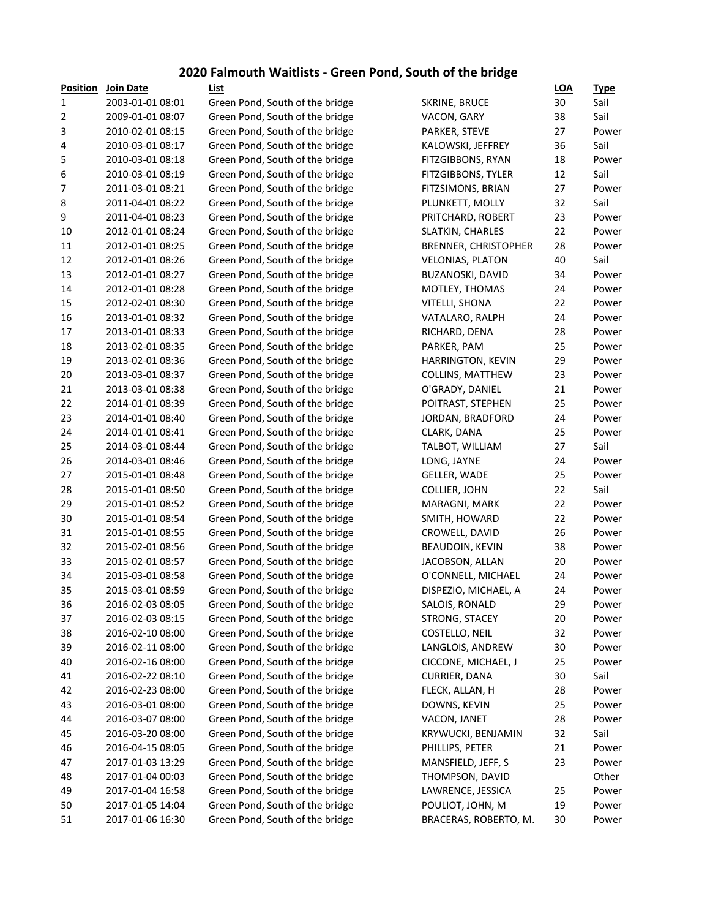#### **2020 Falmouth Waitlists - Green Pond, South of the bridge**

| Position | Join Date        | List                            |                             | LOA | <u>Type</u> |
|----------|------------------|---------------------------------|-----------------------------|-----|-------------|
| 1        | 2003-01-01 08:01 | Green Pond, South of the bridge | <b>SKRINE, BRUCE</b>        | 30  | Sail        |
| 2        | 2009-01-01 08:07 | Green Pond, South of the bridge | VACON, GARY                 | 38  | Sail        |
| 3        | 2010-02-01 08:15 | Green Pond, South of the bridge | PARKER, STEVE               | 27  | Power       |
| 4        | 2010-03-01 08:17 | Green Pond, South of the bridge | KALOWSKI, JEFFREY           | 36  | Sail        |
| 5        | 2010-03-01 08:18 | Green Pond, South of the bridge | FITZGIBBONS, RYAN           | 18  | Power       |
| 6        | 2010-03-01 08:19 | Green Pond, South of the bridge | FITZGIBBONS, TYLER          | 12  | Sail        |
| 7        | 2011-03-01 08:21 | Green Pond, South of the bridge | FITZSIMONS, BRIAN           | 27  | Power       |
| 8        | 2011-04-01 08:22 | Green Pond, South of the bridge | PLUNKETT, MOLLY             | 32  | Sail        |
| 9        | 2011-04-01 08:23 | Green Pond, South of the bridge | PRITCHARD, ROBERT           | 23  | Power       |
| 10       | 2012-01-01 08:24 | Green Pond, South of the bridge | SLATKIN, CHARLES            | 22  | Power       |
| 11       | 2012-01-01 08:25 | Green Pond, South of the bridge | <b>BRENNER, CHRISTOPHER</b> | 28  | Power       |
| 12       | 2012-01-01 08:26 | Green Pond, South of the bridge | <b>VELONIAS, PLATON</b>     | 40  | Sail        |
| 13       | 2012-01-01 08:27 | Green Pond, South of the bridge | BUZANOSKI, DAVID            | 34  | Power       |
| 14       | 2012-01-01 08:28 | Green Pond, South of the bridge | MOTLEY, THOMAS              | 24  | Power       |
| 15       | 2012-02-01 08:30 | Green Pond, South of the bridge | VITELLI, SHONA              | 22  | Power       |
| 16       | 2013-01-01 08:32 | Green Pond, South of the bridge | VATALARO, RALPH             | 24  | Power       |
| 17       | 2013-01-01 08:33 | Green Pond, South of the bridge | RICHARD, DENA               | 28  | Power       |
| 18       | 2013-02-01 08:35 | Green Pond, South of the bridge | PARKER, PAM                 | 25  | Power       |
| 19       | 2013-02-01 08:36 | Green Pond, South of the bridge | HARRINGTON, KEVIN           | 29  | Power       |
| 20       | 2013-03-01 08:37 | Green Pond, South of the bridge | COLLINS, MATTHEW            | 23  | Power       |
| 21       | 2013-03-01 08:38 | Green Pond, South of the bridge | O'GRADY, DANIEL             | 21  | Power       |
| 22       | 2014-01-01 08:39 | Green Pond, South of the bridge | POITRAST, STEPHEN           | 25  | Power       |
| 23       | 2014-01-01 08:40 | Green Pond, South of the bridge | JORDAN, BRADFORD            | 24  | Power       |
| 24       | 2014-01-01 08:41 | Green Pond, South of the bridge | CLARK, DANA                 | 25  | Power       |
| 25       | 2014-03-01 08:44 | Green Pond, South of the bridge | TALBOT, WILLIAM             | 27  | Sail        |
| 26       | 2014-03-01 08:46 | Green Pond, South of the bridge | LONG, JAYNE                 | 24  | Power       |
| 27       | 2015-01-01 08:48 | Green Pond, South of the bridge | GELLER, WADE                | 25  | Power       |
| 28       | 2015-01-01 08:50 | Green Pond, South of the bridge | <b>COLLIER, JOHN</b>        | 22  | Sail        |
| 29       | 2015-01-01 08:52 | Green Pond, South of the bridge | MARAGNI, MARK               | 22  | Power       |
| 30       | 2015-01-01 08:54 | Green Pond, South of the bridge | SMITH, HOWARD               | 22  | Power       |
| 31       | 2015-01-01 08:55 | Green Pond, South of the bridge | CROWELL, DAVID              | 26  | Power       |
| 32       | 2015-02-01 08:56 | Green Pond, South of the bridge | BEAUDOIN, KEVIN             | 38  | Power       |
| 33       | 2015-02-01 08:57 | Green Pond, South of the bridge | JACOBSON, ALLAN             | 20  | Power       |
| 34       | 2015-03-01 08:58 | Green Pond, South of the bridge | O'CONNELL, MICHAEL          | 24  | Power       |
| 35       | 2015-03-01 08:59 | Green Pond, South of the bridge | DISPEZIO, MICHAEL, A        | 24  | Power       |
| 36       | 2016-02-03 08:05 | Green Pond, South of the bridge | SALOIS, RONALD              | 29  | Power       |
| 37       | 2016-02-03 08:15 | Green Pond, South of the bridge | STRONG, STACEY              | 20  | Power       |
| 38       | 2016-02-10 08:00 | Green Pond, South of the bridge | COSTELLO, NEIL              | 32  | Power       |
| 39       | 2016-02-11 08:00 | Green Pond, South of the bridge | LANGLOIS, ANDREW            | 30  | Power       |
| 40       | 2016-02-16 08:00 | Green Pond, South of the bridge | CICCONE, MICHAEL, J         | 25  | Power       |
| 41       | 2016-02-22 08:10 | Green Pond, South of the bridge | CURRIER, DANA               | 30  | Sail        |
| 42       | 2016-02-23 08:00 | Green Pond, South of the bridge | FLECK, ALLAN, H             | 28  | Power       |
| 43       | 2016-03-01 08:00 | Green Pond, South of the bridge | DOWNS, KEVIN                | 25  | Power       |
| 44       | 2016-03-07 08:00 | Green Pond, South of the bridge | VACON, JANET                | 28  | Power       |
| 45       | 2016-03-20 08:00 | Green Pond, South of the bridge | KRYWUCKI, BENJAMIN          | 32  | Sail        |
| 46       | 2016-04-15 08:05 | Green Pond, South of the bridge | PHILLIPS, PETER             | 21  | Power       |
| 47       | 2017-01-03 13:29 | Green Pond, South of the bridge | MANSFIELD, JEFF, S          | 23  | Power       |
| 48       | 2017-01-04 00:03 | Green Pond, South of the bridge | THOMPSON, DAVID             |     | Other       |
| 49       | 2017-01-04 16:58 | Green Pond, South of the bridge | LAWRENCE, JESSICA           | 25  | Power       |
| 50       | 2017-01-05 14:04 | Green Pond, South of the bridge | POULIOT, JOHN, M            | 19  | Power       |
| 51       | 2017-01-06 16:30 | Green Pond, South of the bridge | BRACERAS, ROBERTO, M.       | 30  | Power       |
|          |                  |                                 |                             |     |             |

|                             | LUA | <u>i ype</u> |
|-----------------------------|-----|--------------|
| SKRINE, BRUCE               | 30  | Sail         |
| VACON, GARY                 | 38  | Sail         |
| PARKER, STEVE               | 27  | Power        |
| KALOWSKI, JEFFREY           | 36  | Sail         |
| FITZGIBBONS, RYAN           | 18  | Power        |
| FITZGIBBONS, TYLER          | 12  | Sail         |
| FITZSIMONS, BRIAN           | 27  | Power        |
| PLUNKETT, MOLLY             | 32  | Sail         |
| PRITCHARD, ROBERT           | 23  | Power        |
| SLATKIN, CHARLES            | 22  | Power        |
| <b>BRENNER, CHRISTOPHER</b> | 28  | Power        |
| <b>VELONIAS, PLATON</b>     | 40  | Sail         |
| BUZANOSKI, DAVID            | 34  | Power        |
| MOTLEY, THOMAS              | 24  | Power        |
| VITELLI, SHONA              | 22  | Power        |
| VATALARO, RALPH             | 24  | Power        |
| RICHARD, DENA               | 28  | Power        |
| PARKER, PAM                 | 25  | Power        |
| <b>HARRINGTON, KEVIN</b>    | 29  | Power        |
| <b>COLLINS, MATTHEW</b>     | 23  | Power        |
| O'GRADY, DANIEL             | 21  | Power        |
| POITRAST, STEPHEN           | 25  | Power        |
| JORDAN, BRADFORD            | 24  | Power        |
| CLARK, DANA                 | 25  | Power        |
| TALBOT, WILLIAM             | 27  | Sail         |
| LONG, JAYNE                 | 24  | Power        |
| GELLER, WADE                | 25  | Power        |
| COLLIER, JOHN               | 22  | Sail         |
| MARAGNI, MARK               | 22  | Power        |
| SMITH, HOWARD               | 22  | Power        |
| CROWELL, DAVID              | 26  | Power        |
| <b>BEAUDOIN, KEVIN</b>      | 38  | Power        |
| JACOBSON, ALLAN             | 20  | Power        |
| O'CONNELL, MICHAEL          | 24  | Power        |
| DISPEZIO, MICHAEL, A        | 24  | Power        |
| SALOIS, RONALD              | 29  | Power        |
| STRONG, STACEY              | 20  | Power        |
| COSTELLO, NEIL              | 32  | Power        |
| LANGLOIS, ANDREW            | 30  | Power        |
| CICCONE, MICHAEL, J         | 25  | Power        |
| CURRIER, DANA               | 30  | Sail         |
| FLECK, ALLAN, H             | 28  | Power        |
| DOWNS, KEVIN                | 25  | Power        |
| VACON, JANET                | 28  | Power        |
| KRYWUCKI, BENJAMIN          | 32  | Sail         |
| PHILLIPS, PETER             | 21  | Power        |
| MANSFIELD, JEFF, S          | 23  | Power        |
| THOMPSON, DAVID             |     | Other        |
| LAWRENCE, JESSICA           | 25  | Power        |
| POULIOT, JOHN, M            | 19  | Power        |
| BRACERAS, ROBERTO, M.       | 30  | Power        |
|                             |     |              |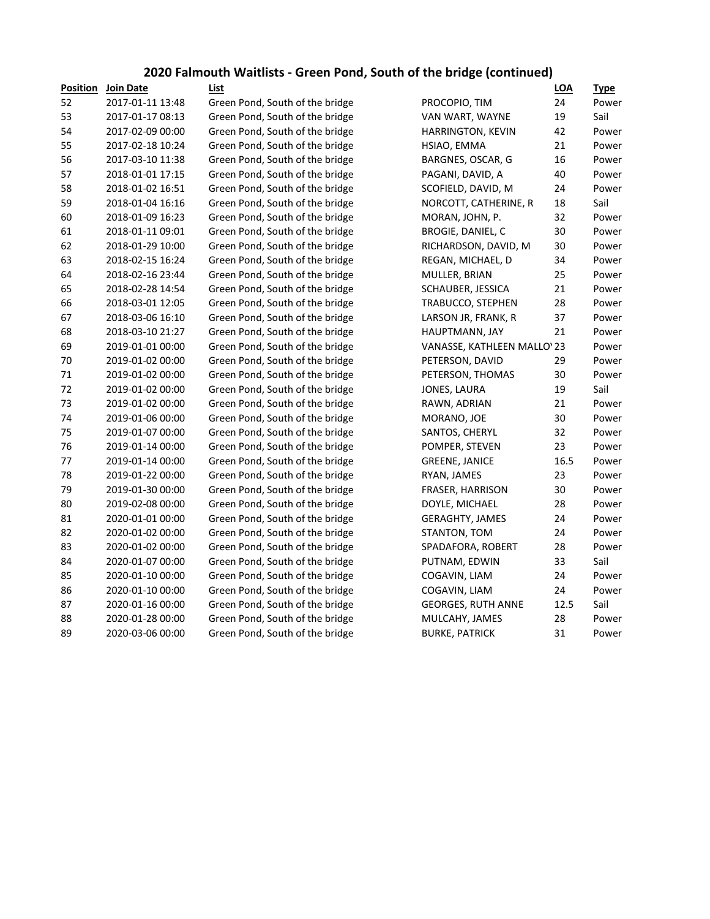#### **2020 Falmouth Waitlists - Green Pond, South of the bridge (continued)**

| <b>Position</b> | Join Date        | List                            |                             | <b>LOA</b> | <u>Type</u> |
|-----------------|------------------|---------------------------------|-----------------------------|------------|-------------|
| 52              | 2017-01-11 13:48 | Green Pond, South of the bridge | PROCOPIO, TIM               | 24         | Power       |
| 53              | 2017-01-17 08:13 | Green Pond, South of the bridge | VAN WART, WAYNE             | 19         | Sail        |
| 54              | 2017-02-09 00:00 | Green Pond, South of the bridge | <b>HARRINGTON, KEVIN</b>    | 42         | Power       |
| 55              | 2017-02-18 10:24 | Green Pond, South of the bridge | HSIAO, EMMA                 | 21         | Power       |
| 56              | 2017-03-10 11:38 | Green Pond, South of the bridge | BARGNES, OSCAR, G           | 16         | Power       |
| 57              | 2018-01-01 17:15 | Green Pond, South of the bridge | PAGANI, DAVID, A            | 40         | Power       |
| 58              | 2018-01-02 16:51 | Green Pond, South of the bridge | SCOFIELD, DAVID, M          | 24         | Power       |
| 59              | 2018-01-04 16:16 | Green Pond, South of the bridge | NORCOTT, CATHERINE, R       | 18         | Sail        |
| 60              | 2018-01-09 16:23 | Green Pond, South of the bridge | MORAN, JOHN, P.             | 32         | Power       |
| 61              | 2018-01-11 09:01 | Green Pond, South of the bridge | BROGIE, DANIEL, C           | 30         | Power       |
| 62              | 2018-01-29 10:00 | Green Pond, South of the bridge | RICHARDSON, DAVID, M        | 30         | Power       |
| 63              | 2018-02-15 16:24 | Green Pond, South of the bridge | REGAN, MICHAEL, D           | 34         | Power       |
| 64              | 2018-02-16 23:44 | Green Pond, South of the bridge | MULLER, BRIAN               | 25         | Power       |
| 65              | 2018-02-28 14:54 | Green Pond, South of the bridge | SCHAUBER, JESSICA           | 21         | Power       |
| 66              | 2018-03-01 12:05 | Green Pond, South of the bridge | TRABUCCO, STEPHEN           | 28         | Power       |
| 67              | 2018-03-06 16:10 | Green Pond, South of the bridge | LARSON JR, FRANK, R         | 37         | Power       |
| 68              | 2018-03-10 21:27 | Green Pond, South of the bridge | HAUPTMANN, JAY              | 21         | Power       |
| 69              | 2019-01-01 00:00 | Green Pond, South of the bridge | VANASSE, KATHLEEN MALLO' 23 |            | Power       |
| 70              | 2019-01-02 00:00 | Green Pond, South of the bridge | PETERSON, DAVID             | 29         | Power       |
| 71              | 2019-01-02 00:00 | Green Pond, South of the bridge | PETERSON, THOMAS            | 30         | Power       |
| 72              | 2019-01-02 00:00 | Green Pond, South of the bridge | JONES, LAURA                | 19         | Sail        |
| 73              | 2019-01-02 00:00 | Green Pond, South of the bridge | RAWN, ADRIAN                | 21         | Power       |
| 74              | 2019-01-06 00:00 | Green Pond, South of the bridge | MORANO, JOE                 | 30         | Power       |
| 75              | 2019-01-07 00:00 | Green Pond, South of the bridge | SANTOS, CHERYL              | 32         | Power       |
| 76              | 2019-01-14 00:00 | Green Pond, South of the bridge | POMPER, STEVEN              | 23         | Power       |
| $77$            | 2019-01-14 00:00 | Green Pond, South of the bridge | <b>GREENE, JANICE</b>       | 16.5       | Power       |
| 78              | 2019-01-22 00:00 | Green Pond, South of the bridge | RYAN, JAMES                 | 23         | Power       |
| 79              | 2019-01-30 00:00 | Green Pond, South of the bridge | FRASER, HARRISON            | 30         | Power       |
| 80              | 2019-02-08 00:00 | Green Pond, South of the bridge | DOYLE, MICHAEL              | 28         | Power       |
| 81              | 2020-01-01 00:00 | Green Pond, South of the bridge | <b>GERAGHTY, JAMES</b>      | 24         | Power       |
| 82              | 2020-01-02 00:00 | Green Pond, South of the bridge | STANTON, TOM                | 24         | Power       |
| 83              | 2020-01-02 00:00 | Green Pond, South of the bridge | SPADAFORA, ROBERT           | 28         | Power       |
| 84              | 2020-01-07 00:00 | Green Pond, South of the bridge | PUTNAM, EDWIN               | 33         | Sail        |
| 85              | 2020-01-10 00:00 | Green Pond, South of the bridge | COGAVIN, LIAM               | 24         | Power       |
| 86              | 2020-01-10 00:00 | Green Pond, South of the bridge | COGAVIN, LIAM               | 24         | Power       |
| 87              | 2020-01-16 00:00 | Green Pond, South of the bridge | <b>GEORGES, RUTH ANNE</b>   | 12.5       | Sail        |
| 88              | 2020-01-28 00:00 | Green Pond, South of the bridge | MULCAHY, JAMES              | 28         | Power       |
| 89              | 2020-03-06 00:00 | Green Pond, South of the bridge | <b>BURKE, PATRICK</b>       | 31         | Power       |
|                 |                  |                                 |                             |            |             |

|                             | LOA  | <u>Type</u> |
|-----------------------------|------|-------------|
| PROCOPIO, TIM               | 24   | Power       |
| VAN WART, WAYNE             | 19   | Sail        |
| HARRINGTON, KEVIN           | 42   | Power       |
| HSIAO, EMMA                 | 21   | Power       |
| BARGNES, OSCAR, G           | 16   | Power       |
| PAGANI, DAVID, A            | 40   | Power       |
| SCOFIELD, DAVID, M          | 24   | Power       |
| NORCOTT, CATHERINE, R       | 18   | Sail        |
| MORAN, JOHN, P.             | 32   | Power       |
| BROGIE, DANIEL, C           | 30   | Power       |
| RICHARDSON, DAVID, M        | 30   | Power       |
| REGAN, MICHAEL, D           | 34   | Power       |
| MULLER, BRIAN               | 25   | Power       |
| SCHAUBER, JESSICA           | 21   | Power       |
| TRABUCCO, STEPHEN           | 28   | Power       |
| LARSON JR, FRANK, R         | 37   | Power       |
| HAUPTMANN, JAY              | 21   | Power       |
| VANASSE, KATHLEEN MALLO' 23 |      | Power       |
| PETERSON, DAVID             | 29   | Power       |
| PETERSON, THOMAS            | 30   | Power       |
| JONES, LAURA                | 19   | Sail        |
| RAWN, ADRIAN                | 21   | Power       |
| MORANO, JOE                 | 30   | Power       |
| SANTOS, CHERYL              | 32   | Power       |
| POMPER, STEVEN              | 23   | Power       |
| <b>GREENE, JANICE</b>       | 16.5 | Power       |
| RYAN, JAMES                 | 23   | Power       |
| FRASER, HARRISON            | 30   | Power       |
| DOYLE, MICHAEL              | 28   | Power       |
| <b>GERAGHTY, JAMES</b>      | 24   | Power       |
| STANTON, TOM                | 24   | Power       |
| SPADAFORA, ROBERT           | 28   | Power       |
| PUTNAM, EDWIN               | 33   | Sail        |
| COGAVIN, LIAM               | 24   | Power       |
| COGAVIN, LIAM               | 24   | Power       |
| <b>GEORGES, RUTH ANNE</b>   | 12.5 | Sail        |
| MULCAHY, JAMES              | 28   | Power       |
| <b>BURKE, PATRICK</b>       | 31   | Power       |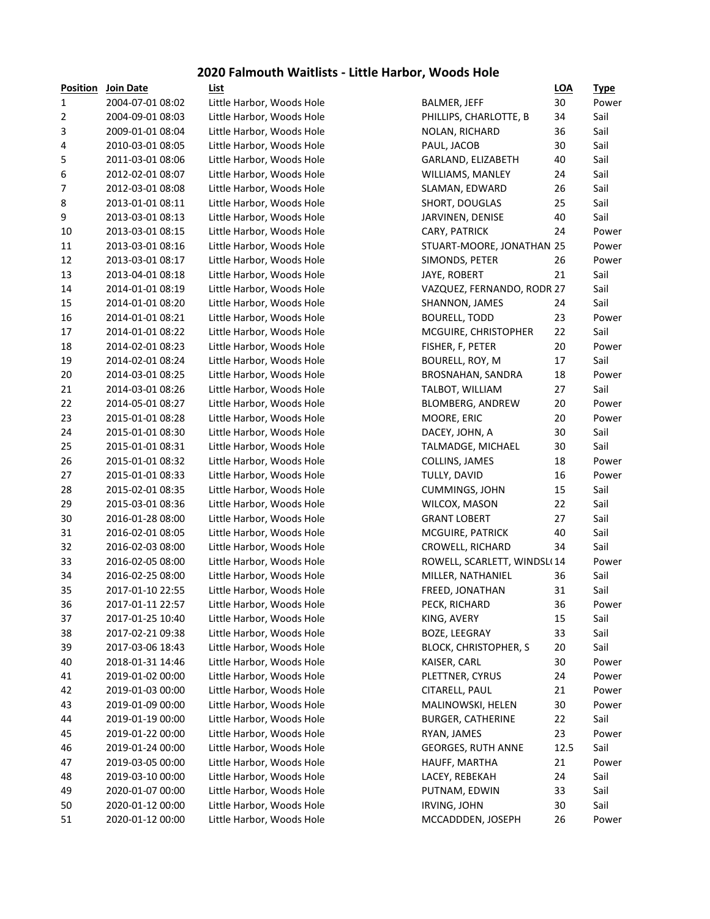#### **2020 Falmouth Waitlists - Little Harbor, Woods Hole**

| <b>Position</b> | <b>Join Date</b> | List                      |                              | <b>LOA</b> | <u>Type</u> |
|-----------------|------------------|---------------------------|------------------------------|------------|-------------|
| $\mathbf{1}$    | 2004-07-01 08:02 | Little Harbor, Woods Hole | <b>BALMER, JEFF</b>          | 30         | Power       |
| 2               | 2004-09-01 08:03 | Little Harbor, Woods Hole | PHILLIPS, CHARLOTTE, B       | 34         | Sail        |
| 3               | 2009-01-01 08:04 | Little Harbor, Woods Hole | <b>NOLAN, RICHARD</b>        | 36         | Sail        |
| 4               | 2010-03-01 08:05 | Little Harbor, Woods Hole | PAUL, JACOB                  | 30         | Sail        |
| 5               | 2011-03-01 08:06 | Little Harbor, Woods Hole | GARLAND, ELIZABETH           | 40         | Sail        |
| 6               | 2012-02-01 08:07 | Little Harbor, Woods Hole | WILLIAMS, MANLEY             | 24         | Sail        |
| 7               | 2012-03-01 08:08 | Little Harbor, Woods Hole | SLAMAN, EDWARD               | 26         | Sail        |
| 8               | 2013-01-01 08:11 | Little Harbor, Woods Hole | SHORT, DOUGLAS               | 25         | Sail        |
| 9               | 2013-03-01 08:13 | Little Harbor, Woods Hole | JARVINEN, DENISE             | 40         | Sail        |
| 10              | 2013-03-01 08:15 | Little Harbor, Woods Hole | CARY, PATRICK                | 24         | Power       |
| 11              | 2013-03-01 08:16 | Little Harbor, Woods Hole | STUART-MOORE, JONATHAN 25    |            | Power       |
| 12              | 2013-03-01 08:17 | Little Harbor, Woods Hole | SIMONDS, PETER               | 26         | Power       |
| 13              | 2013-04-01 08:18 | Little Harbor, Woods Hole | JAYE, ROBERT                 | 21         | Sail        |
| 14              | 2014-01-01 08:19 | Little Harbor, Woods Hole | VAZQUEZ, FERNANDO, RODR 27   |            | Sail        |
| 15              | 2014-01-01 08:20 | Little Harbor, Woods Hole | SHANNON, JAMES               | 24         | Sail        |
| 16              | 2014-01-01 08:21 | Little Harbor, Woods Hole | <b>BOURELL, TODD</b>         | 23         | Power       |
| 17              | 2014-01-01 08:22 | Little Harbor, Woods Hole | MCGUIRE, CHRISTOPHER         | 22         | Sail        |
| 18              | 2014-02-01 08:23 | Little Harbor, Woods Hole | FISHER, F, PETER             | 20         | Power       |
| 19              | 2014-02-01 08:24 | Little Harbor, Woods Hole | BOURELL, ROY, M              | 17         | Sail        |
| 20              | 2014-03-01 08:25 | Little Harbor, Woods Hole | BROSNAHAN, SANDRA            | 18         | Power       |
| 21              | 2014-03-01 08:26 | Little Harbor, Woods Hole | TALBOT, WILLIAM              | 27         | Sail        |
| 22              | 2014-05-01 08:27 | Little Harbor, Woods Hole | <b>BLOMBERG, ANDREW</b>      | 20         | Power       |
| 23              | 2015-01-01 08:28 | Little Harbor, Woods Hole | MOORE, ERIC                  | 20         | Power       |
| 24              | 2015-01-01 08:30 | Little Harbor, Woods Hole | DACEY, JOHN, A               | 30         | Sail        |
| 25              | 2015-01-01 08:31 | Little Harbor, Woods Hole | TALMADGE, MICHAEL            | 30         | Sail        |
| 26              | 2015-01-01 08:32 | Little Harbor, Woods Hole | COLLINS, JAMES               | 18         | Power       |
| 27              | 2015-01-01 08:33 | Little Harbor, Woods Hole | TULLY, DAVID                 | 16         | Power       |
| 28              | 2015-02-01 08:35 | Little Harbor, Woods Hole | CUMMINGS, JOHN               | 15         | Sail        |
| 29              | 2015-03-01 08:36 | Little Harbor, Woods Hole | WILCOX, MASON                | 22         | Sail        |
| 30              | 2016-01-28 08:00 | Little Harbor, Woods Hole | <b>GRANT LOBERT</b>          | 27         | Sail        |
| 31              | 2016-02-01 08:05 | Little Harbor, Woods Hole | MCGUIRE, PATRICK             | 40         | Sail        |
| 32              | 2016-02-03 08:00 | Little Harbor, Woods Hole | CROWELL, RICHARD             | 34         | Sail        |
| 33              | 2016-02-05 08:00 | Little Harbor, Woods Hole | ROWELL, SCARLETT, WINDSL(14  |            | Power       |
| 34              | 2016-02-25 08:00 | Little Harbor, Woods Hole | MILLER, NATHANIEL            | 36         | Sail        |
| 35              | 2017-01-10 22:55 | Little Harbor, Woods Hole | FREED, JONATHAN              | 31         | Sail        |
| 36              | 2017-01-11 22:57 | Little Harbor, Woods Hole | PECK, RICHARD                | 36         | Power       |
| 37              | 2017-01-25 10:40 | Little Harbor, Woods Hole | KING, AVERY                  | 15         | Sail        |
| 38              | 2017-02-21 09:38 | Little Harbor, Woods Hole | BOZE, LEEGRAY                | 33         | Sail        |
| 39              | 2017-03-06 18:43 | Little Harbor, Woods Hole | <b>BLOCK, CHRISTOPHER, S</b> | 20         | Sail        |
| 40              | 2018-01-31 14:46 | Little Harbor, Woods Hole | KAISER, CARL                 | 30         | Power       |
| 41              | 2019-01-02 00:00 | Little Harbor, Woods Hole | PLETTNER, CYRUS              | 24         | Power       |
| 42              | 2019-01-03 00:00 | Little Harbor, Woods Hole | CITARELL, PAUL               | 21         | Power       |
| 43              | 2019-01-09 00:00 | Little Harbor, Woods Hole | MALINOWSKI, HELEN            | 30         | Power       |
| 44              | 2019-01-19 00:00 | Little Harbor, Woods Hole | <b>BURGER, CATHERINE</b>     | 22         | Sail        |
| 45              | 2019-01-22 00:00 | Little Harbor, Woods Hole | RYAN, JAMES                  | 23         | Power       |
| 46              | 2019-01-24 00:00 | Little Harbor, Woods Hole | <b>GEORGES, RUTH ANNE</b>    | 12.5       | Sail        |
| 47              | 2019-03-05 00:00 | Little Harbor, Woods Hole | HAUFF, MARTHA                | 21         | Power       |
| 48              | 2019-03-10 00:00 | Little Harbor, Woods Hole | LACEY, REBEKAH               | 24         | Sail        |
| 49              | 2020-01-07 00:00 | Little Harbor, Woods Hole | PUTNAM, EDWIN                | 33         | Sail        |
| 50              | 2020-01-12 00:00 | Little Harbor, Woods Hole | IRVING, JOHN                 | 30         | Sail        |
| 51              | 2020-01-12 00:00 | Little Harbor, Woods Hole | MCCADDDEN, JOSEPH            | 26         | Power       |
|                 |                  |                           |                              |            |             |

|                              | <u>LUA</u> | <u>i ype</u> |
|------------------------------|------------|--------------|
| BALMER, JEFF                 | 30         | Power        |
| PHILLIPS, CHARLOTTE, B       | 34         | Sail         |
| NOLAN, RICHARD               | 36         | Sail         |
| PAUL, JACOB                  | 30         | Sail         |
| GARLAND, ELIZABETH           | 40         | Sail         |
| WILLIAMS, MANLEY             | 24         | Sail         |
| SLAMAN, EDWARD               | 26         | Sail         |
| SHORT, DOUGLAS               | 25         | Sail         |
| JARVINEN, DENISE             | 40         | Sail         |
| CARY, PATRICK                | 24         | Power        |
| STUART-MOORE, JONATHAN 25    |            | Power        |
| SIMONDS, PETER               | 26         | Power        |
| JAYE, ROBERT                 | 21         | Sail         |
| VAZQUEZ, FERNANDO, RODR 27   |            | Sail         |
| SHANNON, JAMES               | 24         | Sail         |
| <b>BOURELL, TODD</b>         | 23         | Power        |
| MCGUIRE, CHRISTOPHER         | 22         | Sail         |
| FISHER, F, PETER             | 20         | Power        |
| BOURELL, ROY, M              | 17         | Sail         |
| BROSNAHAN, SANDRA            | 18         | Power        |
| TALBOT, WILLIAM              | 27         | Sail         |
| <b>BLOMBERG, ANDREW</b>      | 20         | Power        |
| MOORE, ERIC                  | 20         | Power        |
| DACEY, JOHN, A               | 30         | Sail         |
| TALMADGE, MICHAEL            | 30         | Sail         |
| COLLINS, JAMES               | 18         | Power        |
| TULLY, DAVID                 | 16         | Power        |
| <b>CUMMINGS, JOHN</b>        | 15         | Sail         |
| WILCOX, MASON                | 22         | Sail         |
| <b>GRANT LOBERT</b>          | 27         | Sail         |
| MCGUIRE, PATRICK             | 40         | Sail         |
| CROWELL, RICHARD             | 34         | Sail         |
| ROWELL, SCARLETT, WINDSL(14  |            | Power        |
| MILLER, NATHANIEL            | 36         | Sail         |
| FREED, JONATHAN              | 31         | Sail         |
| PECK, RICHARD                | 36         | Power        |
| KING, AVERY                  | 15         | Sail         |
| <b>BOZE, LEEGRAY</b>         | 33         | Sail         |
| <b>BLOCK, CHRISTOPHER, S</b> | 20         | Sail         |
| KAISER, CARL                 | 30         | Power        |
| PLETTNER, CYRUS              | 24         | Power        |
| CITARELL, PAUL               | 21         | Power        |
| MALINOWSKI, HELEN            | 30         | Power        |
| <b>BURGER, CATHERINE</b>     | 22         | Sail         |
| RYAN, JAMES                  | 23         | Power        |
|                              | 12.5       |              |
| <b>GEORGES, RUTH ANNE</b>    |            | Sail         |
| HAUFF, MARTHA                | 21         | Power        |
| LACEY, REBEKAH               | 24         | Sail         |
| PUTNAM, EDWIN                | 33         | Sail         |
| IRVING, JOHN                 | 30         | Sail         |
| MCCADDDEN, JOSEPH            | 26         | Power        |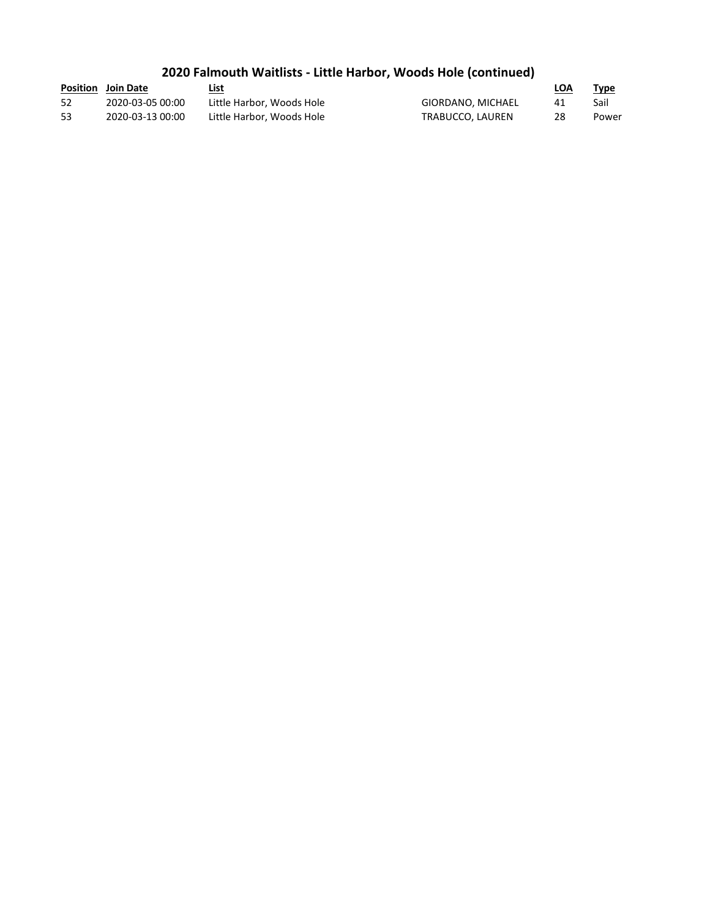## **2020 Falmouth Waitlists - Little Harbor, Woods Hole (continued)**

|     | <b>Position</b> Join Date | List                      |                   | LOA | Type  |
|-----|---------------------------|---------------------------|-------------------|-----|-------|
| -52 | 2020-03-05 00:00          | Little Harbor. Woods Hole | GIORDANO, MICHAEL |     | Sail  |
| 53  | 2020-03-13 00:00          | Little Harbor, Woods Hole | TRABUCCO, LAUREN  | 28  | Power |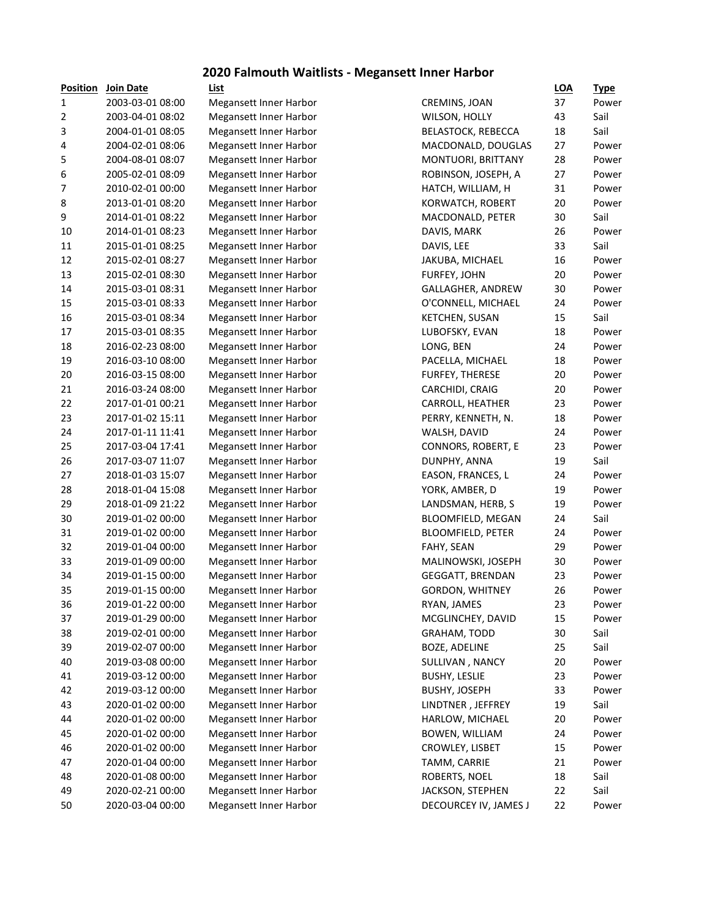#### **2020 Falmouth Waitlists - Megansett Inner Harbor**

| Position       | Join Date        |
|----------------|------------------|
| 1              | 2003-03-01 08:00 |
| $\overline{2}$ | 2003-04-01 08:02 |
| 3              | 2004-01-01 08:05 |
| 4              | 2004-02-01 08:06 |
| 5              | 2004-08-01 08:07 |
| 6              | 2005-02-01 08:09 |
| 7              | 2010-02-01 00:00 |
| 8              | 2013-01-01 08:20 |
| 9              | 2014-01-01 08:22 |
| 10             | 2014-01-01 08:23 |
| 11             | 2015-01-01 08:25 |
| 12             | 2015-02-01 08:27 |
| 13             | 2015-02-01 08:30 |
| 14             | 2015-03-01 08:31 |
| 15             | 2015-03-01 08:33 |
|                |                  |
| 16             | 2015-03-01 08:34 |
| 17             | 2015-03-01 08:35 |
| 18             | 2016-02-23 08:00 |
| 19             | 2016-03-10 08:00 |
| 20             | 2016-03-15 08:00 |
| 21             | 2016-03-24 08:00 |
| 22             | 2017-01-01 00:21 |
| 23             | 2017-01-02 15:11 |
| 24             | 2017-01-11 11:41 |
| 25             | 2017-03-04 17:41 |
| 26             | 2017-03-07 11:07 |
| 27             | 2018-01-03 15:07 |
| 28             | 2018-01-04 15:08 |
| 29             | 2018-01-09 21:22 |
| 30             | 2019-01-02 00:00 |
| 31             | 2019-01-02 00:00 |
| 32             | 2019-01-04 00:00 |
| 33             | 2019-01-09 00:00 |
| 34             | 2019-01-15 00:00 |
| 35             | 2019-01-15 00:00 |
| 36             | 2019-01-22 00:00 |
| 37             | 2019-01-29 00:00 |
| 38             | 2019-02-01 00:00 |
| 39             | 2019-02-07 00:00 |
| 40             | 2019-03-08 00:00 |
| 41             | 2019-03-12 00:00 |
| 42             | 2019-03-12 00:00 |
| 43             | 2020-01-02 00:00 |
| 44             | 2020-01-02 00:00 |
|                |                  |
| 45             | 2020-01-02 00:00 |
| 46             | 2020-01-02 00:00 |
| 47             | 2020-01-04 00:00 |
| 48             | 2020-01-08 00:00 |
| 49             | 2020-02-21 00:00 |
| FЛ             | מחימת גם בח מרחנ |

| <b>Position</b> | Join Date        | List                          |                          | <b>LOA</b> | <u>Type</u>    |
|-----------------|------------------|-------------------------------|--------------------------|------------|----------------|
| $\mathbf 1$     | 2003-03-01 08:00 | <b>Megansett Inner Harbor</b> | CREMINS, JOAN            | 37         | Power          |
| 2               | 2003-04-01 08:02 | <b>Megansett Inner Harbor</b> | WILSON, HOLLY            | 43         | Sail           |
| 3               | 2004-01-01 08:05 | Megansett Inner Harbor        | BELASTOCK, REBECCA       | 18         | Sail           |
| 4               | 2004-02-01 08:06 | Megansett Inner Harbor        | MACDONALD, DOUGLAS       | 27         | Power          |
| 5               | 2004-08-01 08:07 | <b>Megansett Inner Harbor</b> | MONTUORI, BRITTANY       | 28         | Power          |
| 6               | 2005-02-01 08:09 | <b>Megansett Inner Harbor</b> | ROBINSON, JOSEPH, A      | 27         | Power          |
| 7               | 2010-02-01 00:00 | <b>Megansett Inner Harbor</b> | HATCH, WILLIAM, H        | 31         | Power          |
| 8               | 2013-01-01 08:20 | Megansett Inner Harbor        | KORWATCH, ROBERT         | 20         | Power          |
| 9               | 2014-01-01 08:22 | Megansett Inner Harbor        | MACDONALD, PETER         | 30         | Sail           |
| 10              | 2014-01-01 08:23 | <b>Megansett Inner Harbor</b> | DAVIS, MARK              | 26         | Power          |
| 11              | 2015-01-01 08:25 | <b>Megansett Inner Harbor</b> | DAVIS, LEE               | 33         | Sail           |
| 12              | 2015-02-01 08:27 | Megansett Inner Harbor        | JAKUBA, MICHAEL          | 16         | Power          |
| 13              | 2015-02-01 08:30 | Megansett Inner Harbor        | FURFEY, JOHN             | 20         | Power          |
| 14              | 2015-03-01 08:31 | <b>Megansett Inner Harbor</b> | GALLAGHER, ANDREW        | 30         | Power          |
| 15              | 2015-03-01 08:33 | <b>Megansett Inner Harbor</b> | O'CONNELL, MICHAEL       | 24         | Power          |
| 16              | 2015-03-01 08:34 | <b>Megansett Inner Harbor</b> | <b>KETCHEN, SUSAN</b>    | 15         | Sail           |
| 17              | 2015-03-01 08:35 | Megansett Inner Harbor        | LUBOFSKY, EVAN           | 18         | Power          |
| 18              | 2016-02-23 08:00 | <b>Megansett Inner Harbor</b> | LONG, BEN                | 24         | Power          |
| 19              | 2016-03-10 08:00 | <b>Megansett Inner Harbor</b> | PACELLA, MICHAEL         | 18         | Power          |
| 20              | 2016-03-15 08:00 | <b>Megansett Inner Harbor</b> | FURFEY, THERESE          | 20         | Power          |
| 21              | 2016-03-24 08:00 | <b>Megansett Inner Harbor</b> | CARCHIDI, CRAIG          | 20         | Power          |
| 22              | 2017-01-01 00:21 | <b>Megansett Inner Harbor</b> | CARROLL, HEATHER         | 23         | Power          |
| 23              | 2017-01-02 15:11 | <b>Megansett Inner Harbor</b> | PERRY, KENNETH, N.       | 18         | Power          |
| 24              | 2017-01-11 11:41 | <b>Megansett Inner Harbor</b> | WALSH, DAVID             | 24         | Power          |
| 25              | 2017-03-04 17:41 | <b>Megansett Inner Harbor</b> | CONNORS, ROBERT, E       | 23         | Power          |
| 26              | 2017-03-07 11:07 | <b>Megansett Inner Harbor</b> | DUNPHY, ANNA             | 19         | Sail           |
| 27              | 2018-01-03 15:07 |                               |                          | 24         |                |
|                 | 2018-01-04 15:08 | <b>Megansett Inner Harbor</b> | EASON, FRANCES, L        | 19         | Power<br>Power |
| 28<br>29        | 2018-01-09 21:22 | <b>Megansett Inner Harbor</b> | YORK, AMBER, D           | 19         | Power          |
|                 |                  | <b>Megansett Inner Harbor</b> | LANDSMAN, HERB, S        |            | Sail           |
| 30              | 2019-01-02 00:00 | <b>Megansett Inner Harbor</b> | BLOOMFIELD, MEGAN        | 24         |                |
| 31              | 2019-01-02 00:00 | <b>Megansett Inner Harbor</b> | <b>BLOOMFIELD, PETER</b> | 24         | Power          |
| 32              | 2019-01-04 00:00 | <b>Megansett Inner Harbor</b> | FAHY, SEAN               | 29         | Power          |
| 33              | 2019-01-09 00:00 | Megansett Inner Harbor        | MALINOWSKI, JOSEPH       | 30         | Power          |
| 34              | 2019-01-15 00:00 | Megansett Inner Harbor        | GEGGATT, BRENDAN         | 23         | Power          |
| 35              | 2019-01-15 00:00 | <b>Megansett Inner Harbor</b> | GORDON, WHITNEY          | 26         | Power          |
| 36              | 2019-01-22 00:00 | <b>Megansett Inner Harbor</b> | RYAN, JAMES              | 23         | Power          |
| 37              | 2019-01-29 00:00 | <b>Megansett Inner Harbor</b> | MCGLINCHEY, DAVID        | 15         | Power          |
| 38              | 2019-02-01 00:00 | Megansett Inner Harbor        | GRAHAM, TODD             | 30         | Sail           |
| 39              | 2019-02-07 00:00 | Megansett Inner Harbor        | BOZE, ADELINE            | 25         | Sail           |
| 40              | 2019-03-08 00:00 | Megansett Inner Harbor        | SULLIVAN, NANCY          | 20         | Power          |
| 41              | 2019-03-12 00:00 | Megansett Inner Harbor        | <b>BUSHY, LESLIE</b>     | 23         | Power          |
| 42              | 2019-03-12 00:00 | Megansett Inner Harbor        | <b>BUSHY, JOSEPH</b>     | 33         | Power          |
| 43              | 2020-01-02 00:00 | Megansett Inner Harbor        | LINDTNER, JEFFREY        | 19         | Sail           |
| 44              | 2020-01-02 00:00 | Megansett Inner Harbor        | HARLOW, MICHAEL          | 20         | Power          |
| 45              | 2020-01-02 00:00 | Megansett Inner Harbor        | BOWEN, WILLIAM           | 24         | Power          |
| 46              | 2020-01-02 00:00 | Megansett Inner Harbor        | CROWLEY, LISBET          | 15         | Power          |
| 47              | 2020-01-04 00:00 | Megansett Inner Harbor        | TAMM, CARRIE             | 21         | Power          |
| 48              | 2020-01-08 00:00 | Megansett Inner Harbor        | ROBERTS, NOEL            | 18         | Sail           |
| 49              | 2020-02-21 00:00 | Megansett Inner Harbor        | JACKSON, STEPHEN         | 22         | Sail           |
| 50              | 2020-03-04 00:00 | <b>Megansett Inner Harbor</b> | DECOURCEY IV, JAMES J    | 22         | Power          |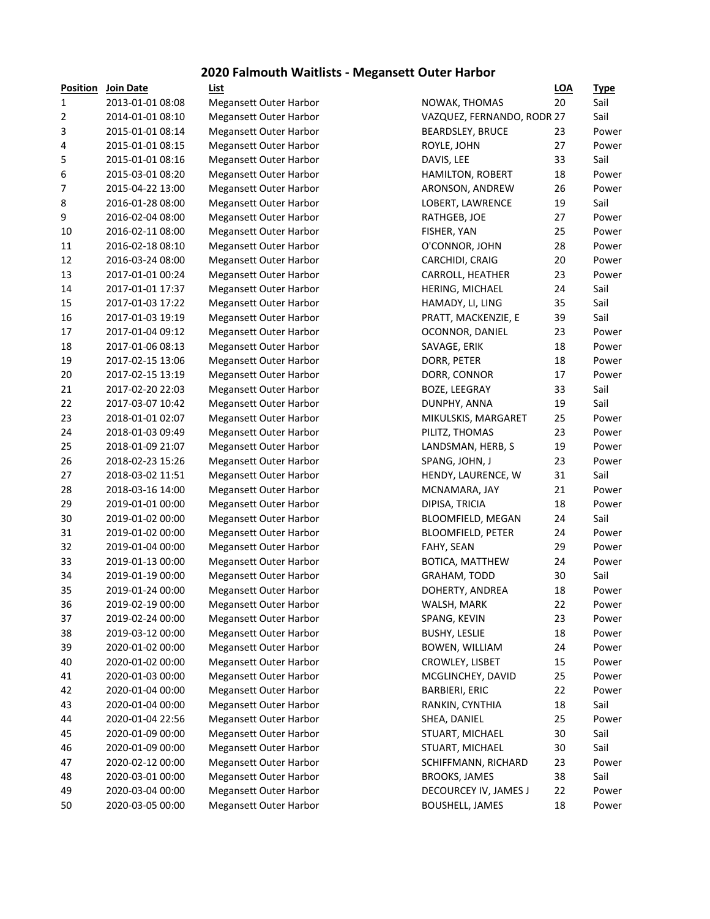#### **2020 Falmouth Waitlists - Megansett Outer Harbor**

| Position       | Join Date        |
|----------------|------------------|
| 1              | 2013-01-01 08:08 |
| $\overline{2}$ | 2014-01-01 08:10 |
| 3              | 2015-01-01 08:14 |
| 4              | 2015-01-01 08:15 |
| 5              | 2015-01-01 08:16 |
| 6              | 2015-03-01 08:20 |
| 7              | 2015-04-22 13:00 |
| 8              | 2016-01-28 08:00 |
| 9              | 2016-02-04 08:00 |
| 10             | 2016-02-11 08:00 |
| 11             | 2016-02-18 08:10 |
| 12             | 2016-03-24 08:00 |
| 13             | 2017-01-01 00:24 |
| 14             |                  |
|                | 2017-01-01 17:37 |
| 15             | 2017-01-03 17:22 |
| 16             | 2017-01-03 19:19 |
| 17             | 2017-01-04 09:12 |
| 18             | 2017-01-06 08:13 |
| 19             | 2017-02-15 13:06 |
| 20             | 2017-02-15 13:19 |
| 21             | 2017-02-20 22:03 |
| 22             | 2017-03-07 10:42 |
| 23             | 2018-01-01 02:07 |
| 24             | 2018-01-03 09:49 |
| 25             | 2018-01-09 21:07 |
| 26             | 2018-02-23 15:26 |
| 27             | 2018-03-02 11:51 |
| 28             | 2018-03-16 14:00 |
| 29             | 2019-01-01 00:00 |
| 30             | 2019-01-02 00:00 |
| 31             | 2019-01-02 00:00 |
| 32             | 2019-01-04 00:00 |
| 33             | 2019-01-13 00:00 |
| 34             | 2019-01-19 00:00 |
| 35             | 2019-01-24 00:00 |
| 36             | 2019-02-19 00:00 |
| 37             | 2019-02-24 00:00 |
| 38             | 2019-03-12 00:00 |
| 39             | 2020-01-02 00:00 |
| 40             | 2020-01-02 00:00 |
| 41             | 2020-01-03 00:00 |
|                |                  |
| 42             | 2020-01-04 00:00 |
| 43             | 2020-01-04 00:00 |
| 44             | 2020-01-04 22:56 |
| 45             | 2020-01-09 00:00 |
| 46             | 2020-01-09 00:00 |
| 47             | 2020-02-12 00:00 |
| 48             | 2020-03-01 00:00 |
| 49             | 2020-03-04 00:00 |
| 50             | 2020-03-05 00:00 |

| <u>Position</u> | Join Date        | <b>List</b>                   |                            | <b>LOA</b> | <u>Type</u>    |
|-----------------|------------------|-------------------------------|----------------------------|------------|----------------|
| 1               | 2013-01-01 08:08 | Megansett Outer Harbor        | NOWAK, THOMAS              | 20         | Sail           |
| 2               | 2014-01-01 08:10 | <b>Megansett Outer Harbor</b> | VAZQUEZ, FERNANDO, RODR 27 |            | Sail           |
| 3               | 2015-01-01 08:14 | Megansett Outer Harbor        | BEARDSLEY, BRUCE           | 23         | Power          |
| 4               | 2015-01-01 08:15 | <b>Megansett Outer Harbor</b> | ROYLE, JOHN                | 27         | Power          |
| 5               | 2015-01-01 08:16 | <b>Megansett Outer Harbor</b> | DAVIS, LEE                 | 33         | Sail           |
| 6               | 2015-03-01 08:20 | <b>Megansett Outer Harbor</b> | HAMILTON, ROBERT           | 18         | Power          |
| 7               | 2015-04-22 13:00 | <b>Megansett Outer Harbor</b> | ARONSON, ANDREW            | 26         | Power          |
| 8               | 2016-01-28 08:00 | <b>Megansett Outer Harbor</b> | LOBERT, LAWRENCE           | 19         | Sail           |
| 9               | 2016-02-04 08:00 | <b>Megansett Outer Harbor</b> | RATHGEB, JOE               | 27         | Power          |
| 10              | 2016-02-11 08:00 | <b>Megansett Outer Harbor</b> | FISHER, YAN                | 25         | Power          |
| 11              | 2016-02-18 08:10 | Megansett Outer Harbor        | O'CONNOR, JOHN             | 28         | Power          |
| 12              | 2016-03-24 08:00 | <b>Megansett Outer Harbor</b> | CARCHIDI, CRAIG            | 20         | Power          |
| 13              | 2017-01-01 00:24 | <b>Megansett Outer Harbor</b> | CARROLL, HEATHER           | 23         | Power          |
| 14              | 2017-01-01 17:37 | <b>Megansett Outer Harbor</b> | HERING, MICHAEL            | 24         | Sail           |
| 15              | 2017-01-03 17:22 | <b>Megansett Outer Harbor</b> | HAMADY, LI, LING           | 35         | Sail           |
| 16              | 2017-01-03 19:19 | <b>Megansett Outer Harbor</b> | PRATT, MACKENZIE, E        | 39         | Sail           |
| 17              | 2017-01-04 09:12 | <b>Megansett Outer Harbor</b> | OCONNOR, DANIEL            | 23         | Power          |
| 18              | 2017-01-06 08:13 | <b>Megansett Outer Harbor</b> | SAVAGE, ERIK               | 18         | Power          |
| 19              | 2017-02-15 13:06 | <b>Megansett Outer Harbor</b> | DORR, PETER                | 18         | Power          |
| 20              | 2017-02-15 13:19 | <b>Megansett Outer Harbor</b> | DORR, CONNOR               | 17         | Power          |
| 21              | 2017-02-20 22:03 | <b>Megansett Outer Harbor</b> | BOZE, LEEGRAY              | 33         | Sail           |
| 22              | 2017-03-07 10:42 | <b>Megansett Outer Harbor</b> | DUNPHY, ANNA               | 19         | Sail           |
| 23              | 2018-01-01 02:07 | <b>Megansett Outer Harbor</b> | MIKULSKIS, MARGARET        | 25         | Power          |
| 24              | 2018-01-03 09:49 | <b>Megansett Outer Harbor</b> | PILITZ, THOMAS             | 23         | Power          |
| 25              | 2018-01-09 21:07 | <b>Megansett Outer Harbor</b> | LANDSMAN, HERB, S          | 19         | Power          |
| 26              | 2018-02-23 15:26 | <b>Megansett Outer Harbor</b> | SPANG, JOHN, J             | 23         | Power          |
| 27              | 2018-03-02 11:51 | <b>Megansett Outer Harbor</b> | HENDY, LAURENCE, W         | 31         | Sail           |
| 28              | 2018-03-16 14:00 | <b>Megansett Outer Harbor</b> | MCNAMARA, JAY              | 21         | Power          |
| 29              | 2019-01-01 00:00 | <b>Megansett Outer Harbor</b> | DIPISA, TRICIA             | 18         | Power          |
| 30              | 2019-01-02 00:00 | Megansett Outer Harbor        | BLOOMFIELD, MEGAN          | 24         | Sail           |
| 31              | 2019-01-02 00:00 | <b>Megansett Outer Harbor</b> | <b>BLOOMFIELD, PETER</b>   | 24         | Power          |
| 32              | 2019-01-04 00:00 | <b>Megansett Outer Harbor</b> | FAHY, SEAN                 | 29         | Power          |
| 33              | 2019-01-13 00:00 | <b>Megansett Outer Harbor</b> | BOTICA, MATTHEW            | 24         | Power          |
| 34              | 2019-01-19 00:00 | <b>Megansett Outer Harbor</b> | GRAHAM, TODD               | 30         | Sail           |
| 35              | 2019-01-24 00:00 | <b>Megansett Outer Harbor</b> | DOHERTY, ANDREA            | 18         | Power          |
| 36              | 2019-02-19 00:00 | <b>Megansett Outer Harbor</b> | WALSH, MARK                | 22         | Power          |
| 37              | 2019-02-24 00:00 | <b>Megansett Outer Harbor</b> | SPANG, KEVIN               | 23         | Power          |
| 38              | 2019-03-12 00:00 | <b>Megansett Outer Harbor</b> | <b>BUSHY, LESLIE</b>       | 18         | Power          |
| 39              | 2020-01-02 00:00 | <b>Megansett Outer Harbor</b> | BOWEN, WILLIAM             | 24         | Power          |
| 40              | 2020-01-02 00:00 | <b>Megansett Outer Harbor</b> | CROWLEY, LISBET            | 15         | Power          |
| 41              | 2020-01-03 00:00 | <b>Megansett Outer Harbor</b> | MCGLINCHEY, DAVID          | 25         | Power          |
| 42              | 2020-01-04 00:00 | <b>Megansett Outer Harbor</b> | <b>BARBIERI, ERIC</b>      | 22         | Power          |
| 43              | 2020-01-04 00:00 | <b>Megansett Outer Harbor</b> | RANKIN, CYNTHIA            | 18         | Sail           |
| 44              | 2020-01-04 22:56 | <b>Megansett Outer Harbor</b> | SHEA, DANIEL               | 25         | Power          |
| 45              | 2020-01-09 00:00 | <b>Megansett Outer Harbor</b> | STUART, MICHAEL            | 30         | Sail           |
| 46              | 2020-01-09 00:00 | Megansett Outer Harbor        | STUART, MICHAEL            | 30         | Sail           |
| 47              | 2020-02-12 00:00 | Megansett Outer Harbor        | SCHIFFMANN, RICHARD        | 23         | Power          |
| 48              | 2020-03-01 00:00 | Megansett Outer Harbor        | <b>BROOKS, JAMES</b>       | 38         | Sail           |
| 49              | 2020-03-04 00:00 | Megansett Outer Harbor        | DECOURCEY IV, JAMES J      | 22         |                |
| 50              | 2020-03-05 00:00 | <b>Megansett Outer Harbor</b> | <b>BOUSHELL, JAMES</b>     | 18         | Power<br>Power |
|                 |                  |                               |                            |            |                |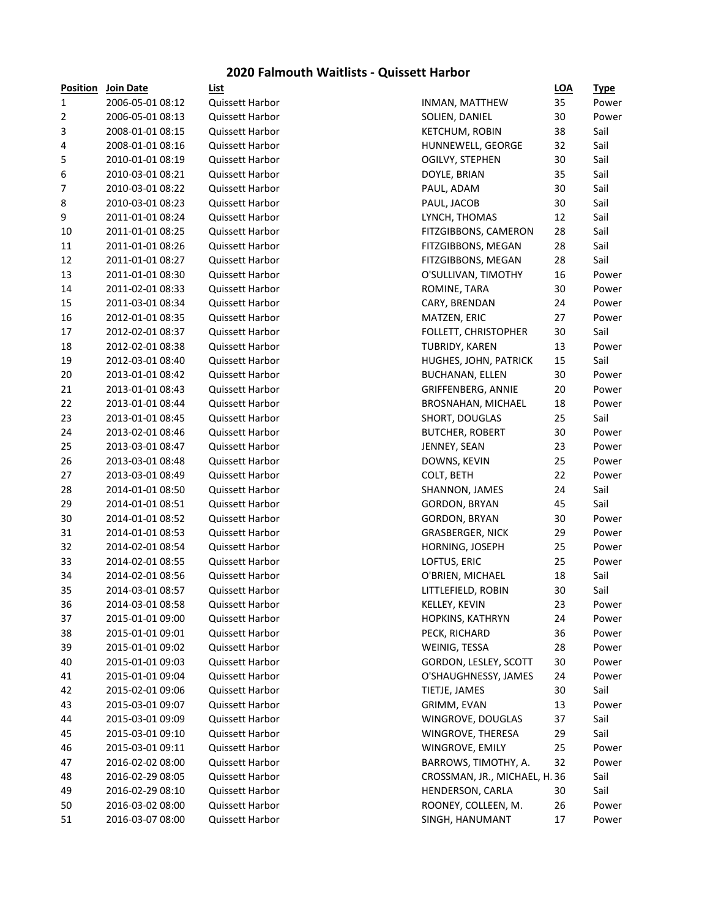## **2020 Falmouth Waitlists - Quissett Harbor**

| <b>Position</b>  | Join Date        | List                   |                               | <b>LOA</b> | <u>Type</u> |
|------------------|------------------|------------------------|-------------------------------|------------|-------------|
| $\mathbf{1}$     | 2006-05-01 08:12 | <b>Quissett Harbor</b> | INMAN, MATTHEW                | 35         | Power       |
| $\overline{2}$   | 2006-05-01 08:13 | Quissett Harbor        | SOLIEN, DANIEL                | 30         | Power       |
| 3                | 2008-01-01 08:15 | Quissett Harbor        | <b>KETCHUM, ROBIN</b>         | 38         | Sail        |
| 4                | 2008-01-01 08:16 | Quissett Harbor        | HUNNEWELL, GEORGE             | 32         | Sail        |
| 5                | 2010-01-01 08:19 | Quissett Harbor        | OGILVY, STEPHEN               | 30         | Sail        |
| $\,6\,$          | 2010-03-01 08:21 | Quissett Harbor        | DOYLE, BRIAN                  | 35         | Sail        |
| $\boldsymbol{7}$ | 2010-03-01 08:22 | Quissett Harbor        | PAUL, ADAM                    | 30         | Sail        |
| 8                | 2010-03-01 08:23 | Quissett Harbor        | PAUL, JACOB                   | 30         | Sail        |
| 9                | 2011-01-01 08:24 | Quissett Harbor        | LYNCH, THOMAS                 | 12         | Sail        |
| 10               | 2011-01-01 08:25 | Quissett Harbor        | FITZGIBBONS, CAMERON          | 28         | Sail        |
| 11               | 2011-01-01 08:26 | Quissett Harbor        | FITZGIBBONS, MEGAN            | 28         | Sail        |
| 12               | 2011-01-01 08:27 | Quissett Harbor        | FITZGIBBONS, MEGAN            | 28         | Sail        |
| 13               | 2011-01-01 08:30 | Quissett Harbor        | O'SULLIVAN, TIMOTHY           | 16         | Power       |
| 14               | 2011-02-01 08:33 | Quissett Harbor        | ROMINE, TARA                  | 30         | Power       |
| 15               | 2011-03-01 08:34 | <b>Quissett Harbor</b> | CARY, BRENDAN                 | 24         | Power       |
| 16               | 2012-01-01 08:35 | Quissett Harbor        | MATZEN, ERIC                  | 27         | Power       |
| 17               | 2012-02-01 08:37 | <b>Quissett Harbor</b> | FOLLETT, CHRISTOPHER          | 30         | Sail        |
| 18               | 2012-02-01 08:38 | Quissett Harbor        | <b>TUBRIDY, KAREN</b>         | 13         | Power       |
| 19               | 2012-03-01 08:40 | <b>Quissett Harbor</b> | HUGHES, JOHN, PATRICK         | 15         | Sail        |
| 20               | 2013-01-01 08:42 | <b>Quissett Harbor</b> | <b>BUCHANAN, ELLEN</b>        | 30         | Power       |
| 21               | 2013-01-01 08:43 | Quissett Harbor        | GRIFFENBERG, ANNIE            | 20         | Power       |
| 22               | 2013-01-01 08:44 | Quissett Harbor        | BROSNAHAN, MICHAEL            | 18         | Power       |
| 23               | 2013-01-01 08:45 | <b>Quissett Harbor</b> | SHORT, DOUGLAS                | 25         | Sail        |
| 24               | 2013-02-01 08:46 | Quissett Harbor        | <b>BUTCHER, ROBERT</b>        | 30         | Power       |
| 25               | 2013-03-01 08:47 | Quissett Harbor        | JENNEY, SEAN                  | 23         | Power       |
| 26               | 2013-03-01 08:48 | Quissett Harbor        | DOWNS, KEVIN                  | 25         | Power       |
| 27               | 2013-03-01 08:49 | Quissett Harbor        | COLT, BETH                    | 22         | Power       |
| 28               | 2014-01-01 08:50 | Quissett Harbor        | SHANNON, JAMES                | 24         | Sail        |
| 29               | 2014-01-01 08:51 | Quissett Harbor        | GORDON, BRYAN                 | 45         | Sail        |
| 30               | 2014-01-01 08:52 | Quissett Harbor        | GORDON, BRYAN                 | 30         | Power       |
| 31               | 2014-01-01 08:53 | <b>Quissett Harbor</b> | <b>GRASBERGER, NICK</b>       | 29         | Power       |
| 32               | 2014-02-01 08:54 | Quissett Harbor        | HORNING, JOSEPH               | 25         | Power       |
| 33               | 2014-02-01 08:55 | Quissett Harbor        | LOFTUS, ERIC                  | 25         | Power       |
| 34               | 2014-02-01 08:56 | Quissett Harbor        | O'BRIEN, MICHAEL              | 18         | Sail        |
| 35               | 2014-03-01 08:57 | <b>Quissett Harbor</b> | LITTLEFIELD, ROBIN            | 30         | Sail        |
| 36               | 2014-03-01 08:58 | Quissett Harbor        | KELLEY, KEVIN                 | 23         | Power       |
| 37               | 2015-01-01 09:00 | Quissett Harbor        | HOPKINS, KATHRYN              | 24         | Power       |
| 38               | 2015-01-01 09:01 | Quissett Harbor        | PECK, RICHARD                 | 36         | Power       |
| 39               | 2015-01-01 09:02 | <b>Quissett Harbor</b> | WEINIG, TESSA                 | 28         | Power       |
| 40               | 2015-01-01 09:03 | <b>Quissett Harbor</b> | GORDON, LESLEY, SCOTT         | 30         | Power       |
| 41               | 2015-01-01 09:04 | Quissett Harbor        | O'SHAUGHNESSY, JAMES          | 24         | Power       |
| 42               | 2015-02-01 09:06 | Quissett Harbor        | TIETJE, JAMES                 | 30         | Sail        |
| 43               | 2015-03-01 09:07 | Quissett Harbor        | GRIMM, EVAN                   | 13         | Power       |
| 44               | 2015-03-01 09:09 | Quissett Harbor        | WINGROVE, DOUGLAS             | 37         | Sail        |
| 45               | 2015-03-01 09:10 | Quissett Harbor        | WINGROVE, THERESA             | 29         | Sail        |
| 46               | 2015-03-01 09:11 | Quissett Harbor        | WINGROVE, EMILY               | 25         | Power       |
| 47               | 2016-02-02 08:00 | Quissett Harbor        | BARROWS, TIMOTHY, A.          | 32         | Power       |
| 48               | 2016-02-29 08:05 | Quissett Harbor        | CROSSMAN, JR., MICHAEL, H. 36 |            | Sail        |
| 49               | 2016-02-29 08:10 | Quissett Harbor        | HENDERSON, CARLA              | 30         | Sail        |
| 50               | 2016-03-02 08:00 | Quissett Harbor        | ROONEY, COLLEEN, M.           | 26         |             |
| 51               |                  |                        |                               |            | Power       |
|                  | 2016-03-07 08:00 | Quissett Harbor        | SINGH, HANUMANT               | 17         | Power       |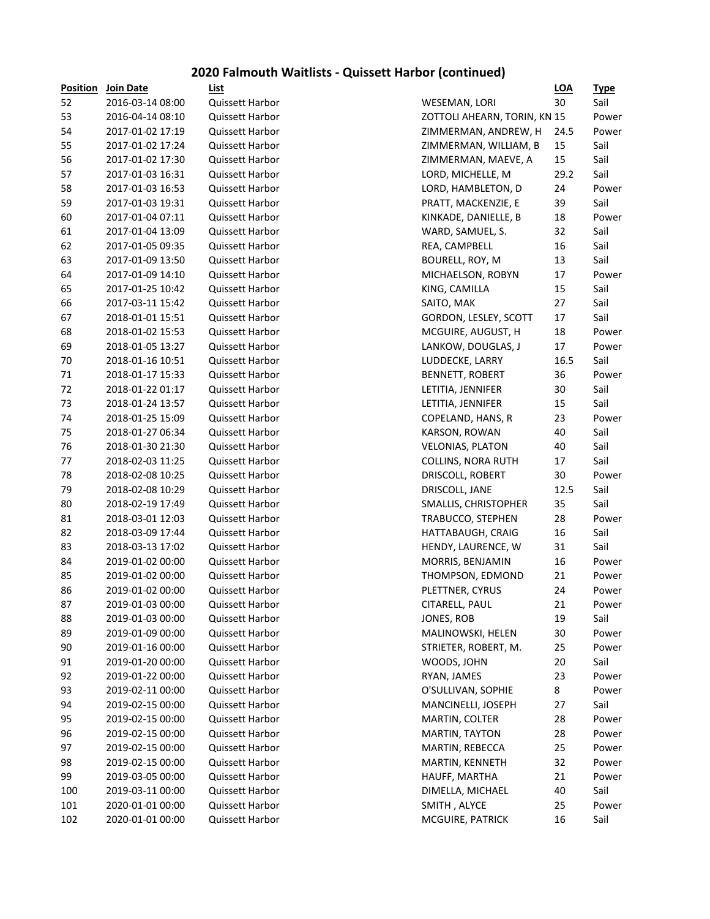# **2020 Falmouth Waitlists - Quissett Harbor (continued)**

| 52<br>2016-03-14 08:00<br>30<br><b>Quissett Harbor</b><br>WESEMAN, LORI<br>53<br>ZOTTOLI AHEARN, TORIN, KN 15<br>2016-04-14 08:10<br><b>Quissett Harbor</b><br>54<br>2017-01-02 17:19<br><b>Quissett Harbor</b><br>ZIMMERMAN, ANDREW, H<br>24.5<br>55<br>2017-01-02 17:24<br>Quissett Harbor<br>15<br>ZIMMERMAN, WILLIAM, B<br>56<br>15<br>2017-01-02 17:30<br>Quissett Harbor<br>ZIMMERMAN, MAEVE, A<br>57<br>2017-01-03 16:31<br>29.2<br><b>Quissett Harbor</b><br>LORD, MICHELLE, M<br>58<br>2017-01-03 16:53<br>24<br><b>Quissett Harbor</b><br>LORD, HAMBLETON, D<br>59<br>2017-01-03 19:31<br>PRATT, MACKENZIE, E<br>39<br><b>Quissett Harbor</b><br>60<br>2017-01-04 07:11<br>Quissett Harbor<br>KINKADE, DANIELLE, B<br>18<br>61<br>32<br>2017-01-04 13:09<br><b>Quissett Harbor</b><br>WARD, SAMUEL, S.<br>62<br>16<br>2017-01-05 09:35<br><b>Quissett Harbor</b><br>REA, CAMPBELL<br>63<br>2017-01-09 13:50<br>13<br><b>Quissett Harbor</b><br>BOURELL, ROY, M<br>64<br>2017-01-09 14:10<br>17<br><b>Quissett Harbor</b><br>MICHAELSON, ROBYN<br>65<br>2017-01-25 10:42<br>Quissett Harbor<br>15<br>KING, CAMILLA<br>66<br>2017-03-11 15:42<br>Quissett Harbor<br>27<br>SAITO, MAK<br>67<br>2018-01-01 15:51<br>Quissett Harbor<br>GORDON, LESLEY, SCOTT<br>17 | <u>Type</u> |
|--------------------------------------------------------------------------------------------------------------------------------------------------------------------------------------------------------------------------------------------------------------------------------------------------------------------------------------------------------------------------------------------------------------------------------------------------------------------------------------------------------------------------------------------------------------------------------------------------------------------------------------------------------------------------------------------------------------------------------------------------------------------------------------------------------------------------------------------------------------------------------------------------------------------------------------------------------------------------------------------------------------------------------------------------------------------------------------------------------------------------------------------------------------------------------------------------------------------------------------------------------------------------|-------------|
|                                                                                                                                                                                                                                                                                                                                                                                                                                                                                                                                                                                                                                                                                                                                                                                                                                                                                                                                                                                                                                                                                                                                                                                                                                                                          | Sail        |
|                                                                                                                                                                                                                                                                                                                                                                                                                                                                                                                                                                                                                                                                                                                                                                                                                                                                                                                                                                                                                                                                                                                                                                                                                                                                          | Power       |
|                                                                                                                                                                                                                                                                                                                                                                                                                                                                                                                                                                                                                                                                                                                                                                                                                                                                                                                                                                                                                                                                                                                                                                                                                                                                          | Power       |
|                                                                                                                                                                                                                                                                                                                                                                                                                                                                                                                                                                                                                                                                                                                                                                                                                                                                                                                                                                                                                                                                                                                                                                                                                                                                          | Sail        |
|                                                                                                                                                                                                                                                                                                                                                                                                                                                                                                                                                                                                                                                                                                                                                                                                                                                                                                                                                                                                                                                                                                                                                                                                                                                                          | Sail        |
|                                                                                                                                                                                                                                                                                                                                                                                                                                                                                                                                                                                                                                                                                                                                                                                                                                                                                                                                                                                                                                                                                                                                                                                                                                                                          | Sail        |
|                                                                                                                                                                                                                                                                                                                                                                                                                                                                                                                                                                                                                                                                                                                                                                                                                                                                                                                                                                                                                                                                                                                                                                                                                                                                          | Power       |
|                                                                                                                                                                                                                                                                                                                                                                                                                                                                                                                                                                                                                                                                                                                                                                                                                                                                                                                                                                                                                                                                                                                                                                                                                                                                          | Sail        |
|                                                                                                                                                                                                                                                                                                                                                                                                                                                                                                                                                                                                                                                                                                                                                                                                                                                                                                                                                                                                                                                                                                                                                                                                                                                                          | Power       |
|                                                                                                                                                                                                                                                                                                                                                                                                                                                                                                                                                                                                                                                                                                                                                                                                                                                                                                                                                                                                                                                                                                                                                                                                                                                                          | Sail        |
|                                                                                                                                                                                                                                                                                                                                                                                                                                                                                                                                                                                                                                                                                                                                                                                                                                                                                                                                                                                                                                                                                                                                                                                                                                                                          | Sail        |
|                                                                                                                                                                                                                                                                                                                                                                                                                                                                                                                                                                                                                                                                                                                                                                                                                                                                                                                                                                                                                                                                                                                                                                                                                                                                          | Sail        |
|                                                                                                                                                                                                                                                                                                                                                                                                                                                                                                                                                                                                                                                                                                                                                                                                                                                                                                                                                                                                                                                                                                                                                                                                                                                                          | Power       |
|                                                                                                                                                                                                                                                                                                                                                                                                                                                                                                                                                                                                                                                                                                                                                                                                                                                                                                                                                                                                                                                                                                                                                                                                                                                                          | Sail        |
|                                                                                                                                                                                                                                                                                                                                                                                                                                                                                                                                                                                                                                                                                                                                                                                                                                                                                                                                                                                                                                                                                                                                                                                                                                                                          | Sail        |
|                                                                                                                                                                                                                                                                                                                                                                                                                                                                                                                                                                                                                                                                                                                                                                                                                                                                                                                                                                                                                                                                                                                                                                                                                                                                          | Sail        |
| 68<br>2018-01-02 15:53<br>Quissett Harbor<br>MCGUIRE, AUGUST, H<br>18                                                                                                                                                                                                                                                                                                                                                                                                                                                                                                                                                                                                                                                                                                                                                                                                                                                                                                                                                                                                                                                                                                                                                                                                    | Power       |
| 69<br>17<br>2018-01-05 13:27<br>Quissett Harbor<br>LANKOW, DOUGLAS, J                                                                                                                                                                                                                                                                                                                                                                                                                                                                                                                                                                                                                                                                                                                                                                                                                                                                                                                                                                                                                                                                                                                                                                                                    | Power       |
| 70<br>2018-01-16 10:51<br>16.5<br><b>Quissett Harbor</b><br>LUDDECKE, LARRY                                                                                                                                                                                                                                                                                                                                                                                                                                                                                                                                                                                                                                                                                                                                                                                                                                                                                                                                                                                                                                                                                                                                                                                              | Sail        |
| 71<br>36<br>2018-01-17 15:33<br><b>Quissett Harbor</b><br><b>BENNETT, ROBERT</b>                                                                                                                                                                                                                                                                                                                                                                                                                                                                                                                                                                                                                                                                                                                                                                                                                                                                                                                                                                                                                                                                                                                                                                                         | Power       |
| 72<br>2018-01-22 01:17<br>30<br><b>Quissett Harbor</b><br>LETITIA, JENNIFER                                                                                                                                                                                                                                                                                                                                                                                                                                                                                                                                                                                                                                                                                                                                                                                                                                                                                                                                                                                                                                                                                                                                                                                              | Sail        |
| 73<br>15<br>2018-01-24 13:57<br><b>Quissett Harbor</b><br>LETITIA, JENNIFER                                                                                                                                                                                                                                                                                                                                                                                                                                                                                                                                                                                                                                                                                                                                                                                                                                                                                                                                                                                                                                                                                                                                                                                              | Sail        |
| 74<br>23<br>2018-01-25 15:09<br><b>Quissett Harbor</b><br>COPELAND, HANS, R                                                                                                                                                                                                                                                                                                                                                                                                                                                                                                                                                                                                                                                                                                                                                                                                                                                                                                                                                                                                                                                                                                                                                                                              | Power       |
| 75<br>2018-01-27 06:34<br>40<br><b>Quissett Harbor</b><br>KARSON, ROWAN                                                                                                                                                                                                                                                                                                                                                                                                                                                                                                                                                                                                                                                                                                                                                                                                                                                                                                                                                                                                                                                                                                                                                                                                  | Sail        |
| 76<br>2018-01-30 21:30<br>40<br><b>Quissett Harbor</b><br><b>VELONIAS, PLATON</b>                                                                                                                                                                                                                                                                                                                                                                                                                                                                                                                                                                                                                                                                                                                                                                                                                                                                                                                                                                                                                                                                                                                                                                                        | Sail        |
| 77<br>2018-02-03 11:25<br>Quissett Harbor<br>17<br><b>COLLINS, NORA RUTH</b>                                                                                                                                                                                                                                                                                                                                                                                                                                                                                                                                                                                                                                                                                                                                                                                                                                                                                                                                                                                                                                                                                                                                                                                             | Sail        |
| 78<br>2018-02-08 10:25<br>30<br><b>Quissett Harbor</b><br>DRISCOLL, ROBERT                                                                                                                                                                                                                                                                                                                                                                                                                                                                                                                                                                                                                                                                                                                                                                                                                                                                                                                                                                                                                                                                                                                                                                                               | Power       |
| 79<br>2018-02-08 10:29<br><b>Quissett Harbor</b><br>DRISCOLL, JANE<br>12.5                                                                                                                                                                                                                                                                                                                                                                                                                                                                                                                                                                                                                                                                                                                                                                                                                                                                                                                                                                                                                                                                                                                                                                                               | Sail        |
| 80<br>2018-02-19 17:49<br>Quissett Harbor<br>35<br>SMALLIS, CHRISTOPHER                                                                                                                                                                                                                                                                                                                                                                                                                                                                                                                                                                                                                                                                                                                                                                                                                                                                                                                                                                                                                                                                                                                                                                                                  | Sail        |
| 81<br>2018-03-01 12:03<br>Quissett Harbor<br>TRABUCCO, STEPHEN<br>28                                                                                                                                                                                                                                                                                                                                                                                                                                                                                                                                                                                                                                                                                                                                                                                                                                                                                                                                                                                                                                                                                                                                                                                                     | Power       |
| 82<br>2018-03-09 17:44<br>Quissett Harbor<br>HATTABAUGH, CRAIG<br>16                                                                                                                                                                                                                                                                                                                                                                                                                                                                                                                                                                                                                                                                                                                                                                                                                                                                                                                                                                                                                                                                                                                                                                                                     | Sail        |
| 83<br>2018-03-13 17:02<br>Quissett Harbor<br>31<br>HENDY, LAURENCE, W                                                                                                                                                                                                                                                                                                                                                                                                                                                                                                                                                                                                                                                                                                                                                                                                                                                                                                                                                                                                                                                                                                                                                                                                    | Sail        |
| 84<br>2019-01-02 00:00<br>Quissett Harbor<br>MORRIS, BENJAMIN<br>16                                                                                                                                                                                                                                                                                                                                                                                                                                                                                                                                                                                                                                                                                                                                                                                                                                                                                                                                                                                                                                                                                                                                                                                                      | Power       |
| 85<br>2019-01-02 00:00<br>Quissett Harbor<br>THOMPSON, EDMOND<br>21                                                                                                                                                                                                                                                                                                                                                                                                                                                                                                                                                                                                                                                                                                                                                                                                                                                                                                                                                                                                                                                                                                                                                                                                      | Power       |
| 86<br>2019-01-02 00:00<br>PLETTNER, CYRUS<br>24<br><b>Quissett Harbor</b>                                                                                                                                                                                                                                                                                                                                                                                                                                                                                                                                                                                                                                                                                                                                                                                                                                                                                                                                                                                                                                                                                                                                                                                                | Power       |
| 87<br>21<br>2019-01-03 00:00<br>CITARELL, PAUL<br>Quissett Harbor                                                                                                                                                                                                                                                                                                                                                                                                                                                                                                                                                                                                                                                                                                                                                                                                                                                                                                                                                                                                                                                                                                                                                                                                        | Power       |
| JONES, ROB<br>88<br>2019-01-03 00:00<br>Quissett Harbor<br>19                                                                                                                                                                                                                                                                                                                                                                                                                                                                                                                                                                                                                                                                                                                                                                                                                                                                                                                                                                                                                                                                                                                                                                                                            | Sail        |
| 89<br>30<br>2019-01-09 00:00<br>Quissett Harbor<br>MALINOWSKI, HELEN                                                                                                                                                                                                                                                                                                                                                                                                                                                                                                                                                                                                                                                                                                                                                                                                                                                                                                                                                                                                                                                                                                                                                                                                     | Power       |
| 90<br>2019-01-16 00:00<br>STRIETER, ROBERT, M.<br>25<br><b>Quissett Harbor</b>                                                                                                                                                                                                                                                                                                                                                                                                                                                                                                                                                                                                                                                                                                                                                                                                                                                                                                                                                                                                                                                                                                                                                                                           | Power       |
| 91<br>2019-01-20 00:00<br>WOODS, JOHN<br>20<br><b>Quissett Harbor</b>                                                                                                                                                                                                                                                                                                                                                                                                                                                                                                                                                                                                                                                                                                                                                                                                                                                                                                                                                                                                                                                                                                                                                                                                    | Sail        |
| 92<br>2019-01-22 00:00<br>RYAN, JAMES<br>23<br><b>Quissett Harbor</b>                                                                                                                                                                                                                                                                                                                                                                                                                                                                                                                                                                                                                                                                                                                                                                                                                                                                                                                                                                                                                                                                                                                                                                                                    | Power       |
| 93<br>2019-02-11 00:00<br>O'SULLIVAN, SOPHIE<br>8<br>Quissett Harbor                                                                                                                                                                                                                                                                                                                                                                                                                                                                                                                                                                                                                                                                                                                                                                                                                                                                                                                                                                                                                                                                                                                                                                                                     | Power       |
| 94<br>2019-02-15 00:00<br>Quissett Harbor<br>MANCINELLI, JOSEPH<br>27                                                                                                                                                                                                                                                                                                                                                                                                                                                                                                                                                                                                                                                                                                                                                                                                                                                                                                                                                                                                                                                                                                                                                                                                    | Sail        |
| 95<br>2019-02-15 00:00<br>Quissett Harbor<br>MARTIN, COLTER<br>28                                                                                                                                                                                                                                                                                                                                                                                                                                                                                                                                                                                                                                                                                                                                                                                                                                                                                                                                                                                                                                                                                                                                                                                                        | Power       |
| 96<br>2019-02-15 00:00<br>Quissett Harbor<br>MARTIN, TAYTON<br>28                                                                                                                                                                                                                                                                                                                                                                                                                                                                                                                                                                                                                                                                                                                                                                                                                                                                                                                                                                                                                                                                                                                                                                                                        | Power       |
| 97<br>2019-02-15 00:00<br>Quissett Harbor<br>MARTIN, REBECCA<br>25                                                                                                                                                                                                                                                                                                                                                                                                                                                                                                                                                                                                                                                                                                                                                                                                                                                                                                                                                                                                                                                                                                                                                                                                       | Power       |
| 98<br>2019-02-15 00:00<br>Quissett Harbor<br>MARTIN, KENNETH<br>32                                                                                                                                                                                                                                                                                                                                                                                                                                                                                                                                                                                                                                                                                                                                                                                                                                                                                                                                                                                                                                                                                                                                                                                                       | Power       |
| 99<br>2019-03-05 00:00<br>Quissett Harbor<br>HAUFF, MARTHA<br>21                                                                                                                                                                                                                                                                                                                                                                                                                                                                                                                                                                                                                                                                                                                                                                                                                                                                                                                                                                                                                                                                                                                                                                                                         | Power       |
| 100<br>2019-03-11 00:00<br>Quissett Harbor<br>DIMELLA, MICHAEL<br>40                                                                                                                                                                                                                                                                                                                                                                                                                                                                                                                                                                                                                                                                                                                                                                                                                                                                                                                                                                                                                                                                                                                                                                                                     | Sail        |
| 101<br>2020-01-01 00:00<br>Quissett Harbor<br>SMITH, ALYCE<br>25                                                                                                                                                                                                                                                                                                                                                                                                                                                                                                                                                                                                                                                                                                                                                                                                                                                                                                                                                                                                                                                                                                                                                                                                         | Power       |
| 102<br>2020-01-01 00:00<br>Quissett Harbor<br>MCGUIRE, PATRICK<br>16                                                                                                                                                                                                                                                                                                                                                                                                                                                                                                                                                                                                                                                                                                                                                                                                                                                                                                                                                                                                                                                                                                                                                                                                     | Sail        |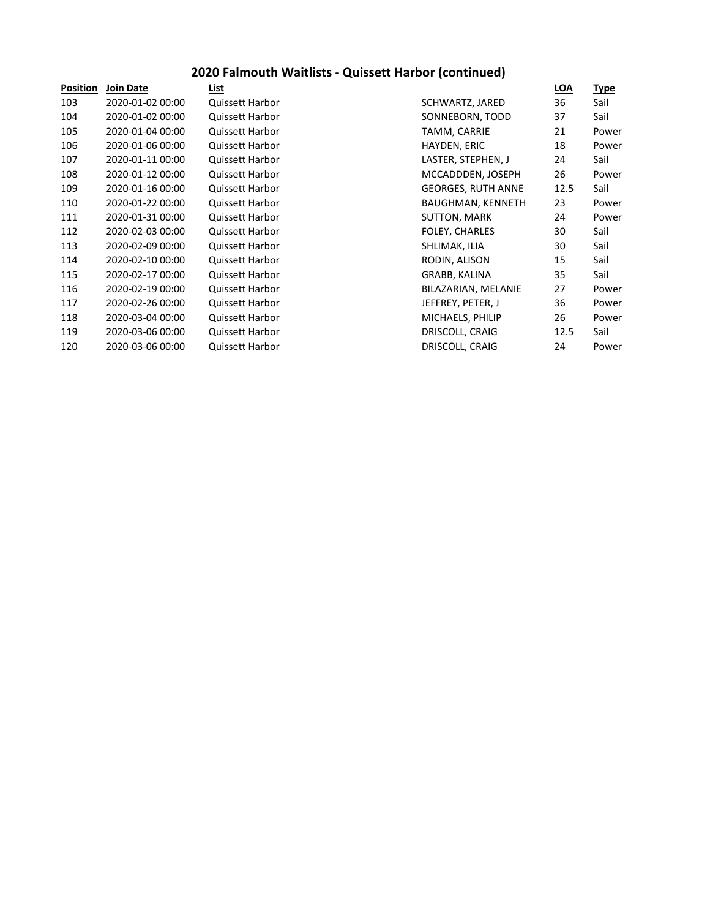## **2020 Falmouth Waitlists - Quissett Harbor (continued)**

| <b>Position</b> | <b>Join Date</b> | List                   |                           | <b>LOA</b> | <u>Type</u> |
|-----------------|------------------|------------------------|---------------------------|------------|-------------|
| 103             | 2020-01-02 00:00 | Quissett Harbor        | SCHWARTZ, JARED           | 36         | Sail        |
| 104             | 2020-01-02 00:00 | Quissett Harbor        | SONNEBORN, TODD           | 37         | Sail        |
| 105             | 2020-01-04 00:00 | Quissett Harbor        | TAMM, CARRIE              | 21         | Power       |
| 106             | 2020-01-06 00:00 | Quissett Harbor        | HAYDEN, ERIC              | 18         | Power       |
| 107             | 2020-01-11 00:00 | Quissett Harbor        | LASTER, STEPHEN, J        | 24         | Sail        |
| 108             | 2020-01-12 00:00 | <b>Quissett Harbor</b> | MCCADDDEN, JOSEPH         | 26         | Power       |
| 109             | 2020-01-16 00:00 | Quissett Harbor        | <b>GEORGES, RUTH ANNE</b> | 12.5       | Sail        |
| 110             | 2020-01-22 00:00 | Quissett Harbor        | BAUGHMAN, KENNETH         | 23         | Power       |
| 111             | 2020-01-31 00:00 | <b>Quissett Harbor</b> | <b>SUTTON, MARK</b>       | 24         | Power       |
| 112             | 2020-02-03 00:00 | Quissett Harbor        | <b>FOLEY, CHARLES</b>     | 30         | Sail        |
| 113             | 2020-02-09 00:00 | Quissett Harbor        | SHLIMAK, ILIA             | 30         | Sail        |
| 114             | 2020-02-10 00:00 | Quissett Harbor        | RODIN, ALISON             | 15         | Sail        |
| 115             | 2020-02-17 00:00 | Quissett Harbor        | GRABB, KALINA             | 35         | Sail        |
| 116             | 2020-02-19 00:00 | Quissett Harbor        | BILAZARIAN, MELANIE       | 27         | Power       |
| 117             | 2020-02-26 00:00 | Quissett Harbor        | JEFFREY, PETER, J         | 36         | Power       |
| 118             | 2020-03-04 00:00 | Quissett Harbor        | MICHAELS, PHILIP          | 26         | Power       |
| 119             | 2020-03-06 00:00 | Quissett Harbor        | DRISCOLL, CRAIG           | 12.5       | Sail        |
| 120             | 2020-03-06 00:00 | <b>Quissett Harbor</b> | DRISCOLL, CRAIG           | 24         | Power       |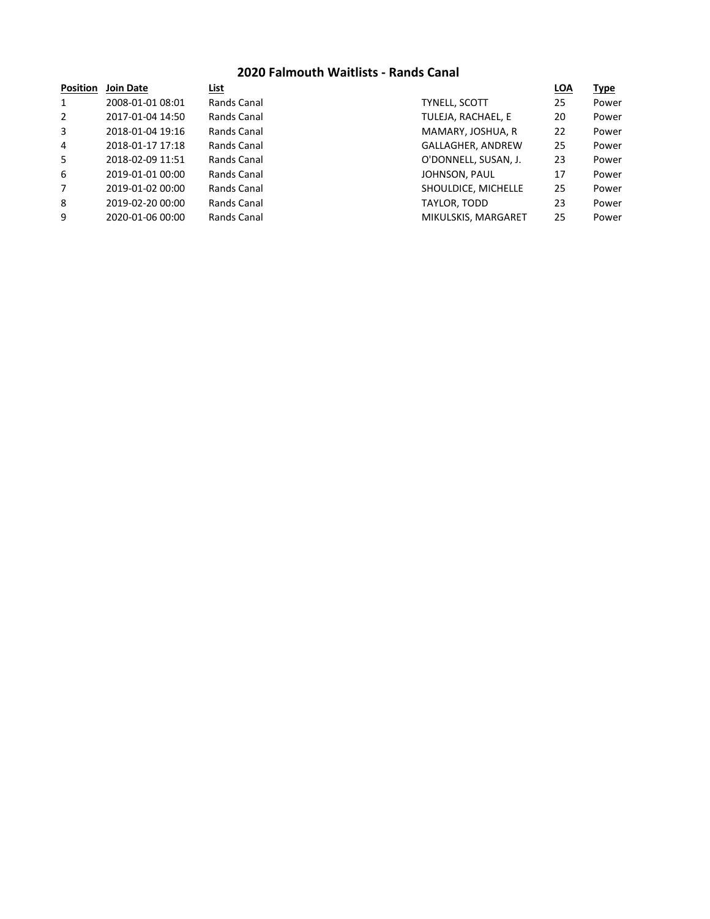### **2020 Falmouth Waitlists - Rands Canal**

| <b>Join Date</b> | List        |                      | <b>LOA</b> | <b>Type</b> |
|------------------|-------------|----------------------|------------|-------------|
| 2008-01-01 08:01 | Rands Canal | <b>TYNELL, SCOTT</b> | 25         | Power       |
| 2017-01-04 14:50 | Rands Canal | TULEJA, RACHAEL, E   | 20         | Power       |
| 2018-01-04 19:16 | Rands Canal | MAMARY, JOSHUA, R    | 22         | Power       |
| 2018-01-17 17:18 | Rands Canal | GALLAGHER, ANDREW    | 25         | Power       |
| 2018-02-09 11:51 | Rands Canal | O'DONNELL, SUSAN, J. | 23         | Power       |
| 2019-01-01 00:00 | Rands Canal | JOHNSON, PAUL        | 17         | Power       |
| 2019-01-02 00:00 | Rands Canal | SHOULDICE, MICHELLE  | 25         | Power       |
| 2019-02-20 00:00 | Rands Canal | TAYLOR, TODD         | 23         | Power       |
| 2020-01-06 00:00 | Rands Canal | MIKULSKIS, MARGARET  | 25         | Power       |
|                  |             |                      |            |             |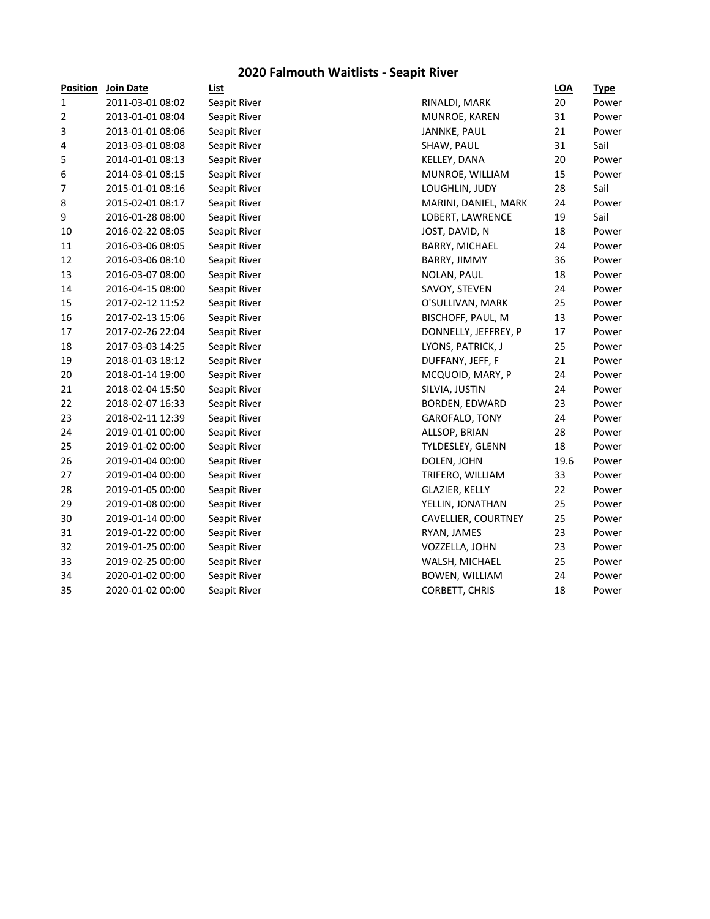## **2020 Falmouth Waitlists - Seapit River**

| <b>Position</b> | <b>Join Date</b> | List         |                       | <b>LOA</b> | <b>Type</b> |
|-----------------|------------------|--------------|-----------------------|------------|-------------|
| $\mathbf{1}$    | 2011-03-01 08:02 | Seapit River | RINALDI, MARK         | 20         | Power       |
| 2               | 2013-01-01 08:04 | Seapit River | MUNROE, KAREN         | 31         | Power       |
| 3               | 2013-01-01 08:06 | Seapit River | JANNKE, PAUL          | 21         | Power       |
| 4               | 2013-03-01 08:08 | Seapit River | SHAW, PAUL            | 31         | Sail        |
| 5               | 2014-01-01 08:13 | Seapit River | KELLEY, DANA          | 20         | Power       |
| 6               | 2014-03-01 08:15 | Seapit River | MUNROE, WILLIAM       | 15         | Power       |
| 7               | 2015-01-01 08:16 | Seapit River | LOUGHLIN, JUDY        | 28         | Sail        |
| 8               | 2015-02-01 08:17 | Seapit River | MARINI, DANIEL, MARK  | 24         | Power       |
| 9               | 2016-01-28 08:00 | Seapit River | LOBERT, LAWRENCE      | 19         | Sail        |
| 10              | 2016-02-22 08:05 | Seapit River | JOST, DAVID, N        | 18         | Power       |
| 11              | 2016-03-06 08:05 | Seapit River | BARRY, MICHAEL        | 24         | Power       |
| 12              | 2016-03-06 08:10 | Seapit River | BARRY, JIMMY          | 36         | Power       |
| 13              | 2016-03-07 08:00 | Seapit River | NOLAN, PAUL           | 18         | Power       |
| 14              | 2016-04-15 08:00 | Seapit River | SAVOY, STEVEN         | 24         | Power       |
| 15              | 2017-02-12 11:52 | Seapit River | O'SULLIVAN, MARK      | 25         | Power       |
| 16              | 2017-02-13 15:06 | Seapit River | BISCHOFF, PAUL, M     | 13         | Power       |
| 17              | 2017-02-26 22:04 | Seapit River | DONNELLY, JEFFREY, P  | 17         | Power       |
| 18              | 2017-03-03 14:25 | Seapit River | LYONS, PATRICK, J     | 25         | Power       |
| 19              | 2018-01-03 18:12 | Seapit River | DUFFANY, JEFF, F      | 21         | Power       |
| 20              | 2018-01-14 19:00 | Seapit River | MCQUOID, MARY, P      | 24         | Power       |
| 21              | 2018-02-04 15:50 | Seapit River | SILVIA, JUSTIN        | 24         | Power       |
| 22              | 2018-02-07 16:33 | Seapit River | <b>BORDEN, EDWARD</b> | 23         | Power       |
| 23              | 2018-02-11 12:39 | Seapit River | GAROFALO, TONY        | 24         | Power       |
| 24              | 2019-01-01 00:00 | Seapit River | ALLSOP, BRIAN         | 28         | Power       |
| 25              | 2019-01-02 00:00 | Seapit River | TYLDESLEY, GLENN      | 18         | Power       |
| 26              | 2019-01-04 00:00 | Seapit River | DOLEN, JOHN           | 19.6       | Power       |
| 27              | 2019-01-04 00:00 | Seapit River | TRIFERO, WILLIAM      | 33         | Power       |
| 28              | 2019-01-05 00:00 | Seapit River | GLAZIER, KELLY        | 22         | Power       |
| 29              | 2019-01-08 00:00 | Seapit River | YELLIN, JONATHAN      | 25         | Power       |
| 30              | 2019-01-14 00:00 | Seapit River | CAVELLIER, COURTNEY   | 25         | Power       |
| 31              | 2019-01-22 00:00 | Seapit River | RYAN, JAMES           | 23         | Power       |
| 32              | 2019-01-25 00:00 | Seapit River | VOZZELLA, JOHN        | 23         | Power       |
| 33              | 2019-02-25 00:00 | Seapit River | WALSH, MICHAEL        | 25         | Power       |
| 34              | 2020-01-02 00:00 | Seapit River | <b>BOWEN, WILLIAM</b> | 24         | Power       |
| 35              | 2020-01-02 00:00 | Seapit River | CORBETT, CHRIS        | 18         | Power       |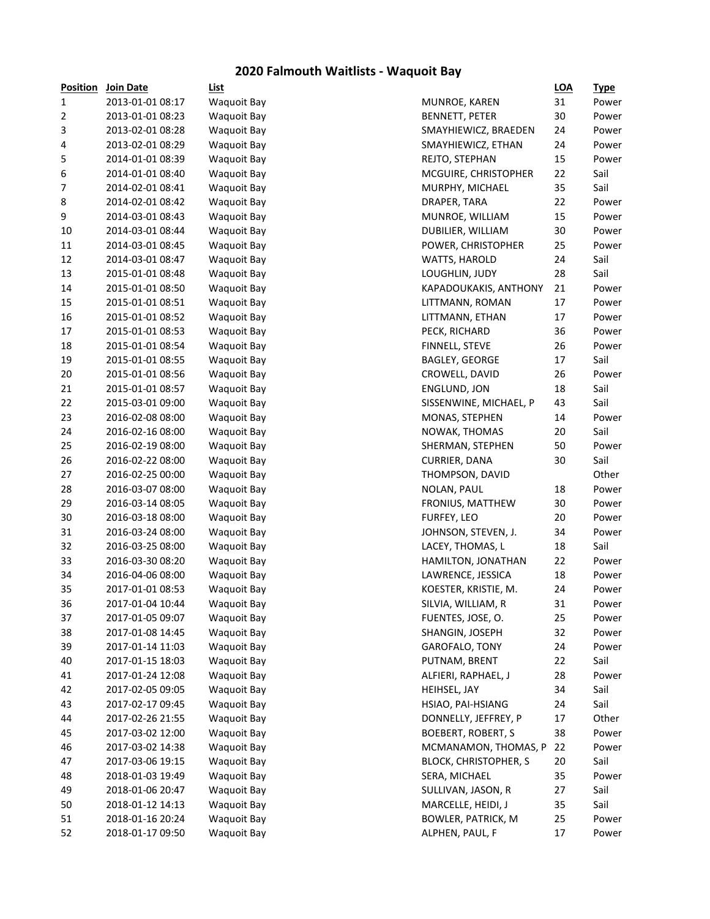## **2020 Falmouth Waitlists - Waquoit Bay**

| <b>Position</b> | Join Date        | List               |                              | <b>LOA</b> | <u>Type</u> |
|-----------------|------------------|--------------------|------------------------------|------------|-------------|
| 1               | 2013-01-01 08:17 | <b>Waquoit Bay</b> | MUNROE, KAREN                | 31         | Power       |
| 2               | 2013-01-01 08:23 | <b>Waquoit Bay</b> | <b>BENNETT, PETER</b>        | 30         | Power       |
| 3               | 2013-02-01 08:28 | <b>Waquoit Bay</b> | SMAYHIEWICZ, BRAEDEN         | 24         | Power       |
| 4               | 2013-02-01 08:29 | <b>Waquoit Bay</b> | SMAYHIEWICZ, ETHAN           | 24         | Power       |
| 5               | 2014-01-01 08:39 | <b>Waquoit Bay</b> | REJTO, STEPHAN               | 15         | Power       |
| 6               | 2014-01-01 08:40 | <b>Waquoit Bay</b> | MCGUIRE, CHRISTOPHER         | 22         | Sail        |
| 7               | 2014-02-01 08:41 | <b>Waquoit Bay</b> | MURPHY, MICHAEL              | 35         | Sail        |
| 8               | 2014-02-01 08:42 | <b>Waquoit Bay</b> | DRAPER, TARA                 | 22         | Power       |
| 9               | 2014-03-01 08:43 | <b>Waquoit Bay</b> | MUNROE, WILLIAM              | 15         | Power       |
| 10              | 2014-03-01 08:44 | <b>Waquoit Bay</b> | DUBILIER, WILLIAM            | 30         | Power       |
| 11              | 2014-03-01 08:45 | <b>Waquoit Bay</b> | POWER, CHRISTOPHER           | 25         | Power       |
| 12              | 2014-03-01 08:47 | <b>Waquoit Bay</b> | WATTS, HAROLD                | 24         | Sail        |
| 13              | 2015-01-01 08:48 | <b>Waquoit Bay</b> | LOUGHLIN, JUDY               | 28         | Sail        |
| 14              | 2015-01-01 08:50 | <b>Waquoit Bay</b> | KAPADOUKAKIS, ANTHONY        | 21         | Power       |
| 15              | 2015-01-01 08:51 | <b>Waquoit Bay</b> | LITTMANN, ROMAN              | 17         | Power       |
| 16              | 2015-01-01 08:52 |                    |                              | 17         |             |
|                 |                  | <b>Waquoit Bay</b> | LITTMANN, ETHAN              |            | Power       |
| 17              | 2015-01-01 08:53 | <b>Waquoit Bay</b> | PECK, RICHARD                | 36         | Power       |
| 18              | 2015-01-01 08:54 | <b>Waquoit Bay</b> | FINNELL, STEVE               | 26         | Power       |
| 19              | 2015-01-01 08:55 | <b>Waquoit Bay</b> | BAGLEY, GEORGE               | 17         | Sail        |
| 20              | 2015-01-01 08:56 | <b>Waquoit Bay</b> | CROWELL, DAVID               | 26         | Power       |
| 21              | 2015-01-01 08:57 | <b>Waquoit Bay</b> | ENGLUND, JON                 | 18         | Sail        |
| 22              | 2015-03-01 09:00 | <b>Waquoit Bay</b> | SISSENWINE, MICHAEL, P       | 43         | Sail        |
| 23              | 2016-02-08 08:00 | Waquoit Bay        | MONAS, STEPHEN               | 14         | Power       |
| 24              | 2016-02-16 08:00 | <b>Waquoit Bay</b> | NOWAK, THOMAS                | 20         | Sail        |
| 25              | 2016-02-19 08:00 | Waquoit Bay        | SHERMAN, STEPHEN             | 50         | Power       |
| 26              | 2016-02-22 08:00 | Waquoit Bay        | CURRIER, DANA                | 30         | Sail        |
| 27              | 2016-02-25 00:00 | Waquoit Bay        | THOMPSON, DAVID              |            | Other       |
| 28              | 2016-03-07 08:00 | Waquoit Bay        | NOLAN, PAUL                  | 18         | Power       |
| 29              | 2016-03-14 08:05 | Waquoit Bay        | FRONIUS, MATTHEW             | 30         | Power       |
| 30              | 2016-03-18 08:00 | <b>Waquoit Bay</b> | FURFEY, LEO                  | 20         | Power       |
| 31              | 2016-03-24 08:00 | <b>Waquoit Bay</b> | JOHNSON, STEVEN, J.          | 34         | Power       |
| 32              | 2016-03-25 08:00 | <b>Waquoit Bay</b> | LACEY, THOMAS, L             | 18         | Sail        |
| 33              | 2016-03-30 08:20 | <b>Waquoit Bay</b> | HAMILTON, JONATHAN           | 22         | Power       |
| 34              | 2016-04-06 08:00 | <b>Waquoit Bay</b> | LAWRENCE, JESSICA            | 18         | Power       |
| 35              | 2017-01-01 08:53 | <b>Waquoit Bay</b> | KOESTER, KRISTIE, M.         | 24         | Power       |
| 36              | 2017-01-04 10:44 | Waquoit Bay        | SILVIA, WILLIAM, R           | 31         | Power       |
| 37              | 2017-01-05 09:07 | <b>Waquoit Bay</b> | FUENTES, JOSE, O.            | 25         | Power       |
| 38              | 2017-01-08 14:45 | <b>Waquoit Bay</b> | SHANGIN, JOSEPH              | 32         | Power       |
| 39              | 2017-01-14 11:03 | <b>Waquoit Bay</b> | GAROFALO, TONY               | 24         | Power       |
| 40              | 2017-01-15 18:03 | <b>Waquoit Bay</b> | PUTNAM, BRENT                | 22         | Sail        |
| 41              | 2017-01-24 12:08 | <b>Waquoit Bay</b> | ALFIERI, RAPHAEL, J          | 28         | Power       |
| 42              | 2017-02-05 09:05 | <b>Waquoit Bay</b> | HEIHSEL, JAY                 | 34         | Sail        |
| 43              | 2017-02-17 09:45 | <b>Waquoit Bay</b> | HSIAO, PAI-HSIANG            | 24         | Sail        |
| 44              | 2017-02-26 21:55 | <b>Waquoit Bay</b> | DONNELLY, JEFFREY, P         | 17         | Other       |
| 45              | 2017-03-02 12:00 | <b>Waquoit Bay</b> | <b>BOEBERT, ROBERT, S</b>    | 38         | Power       |
| 46              | 2017-03-02 14:38 | <b>Waquoit Bay</b> | MCMANAMON, THOMAS, P         | 22         | Power       |
| 47              | 2017-03-06 19:15 | <b>Waquoit Bay</b> | <b>BLOCK, CHRISTOPHER, S</b> | 20         | Sail        |
| 48              | 2018-01-03 19:49 | <b>Waquoit Bay</b> | SERA, MICHAEL                | 35         | Power       |
| 49              | 2018-01-06 20:47 | <b>Waquoit Bay</b> | SULLIVAN, JASON, R           | 27         | Sail        |
| 50              | 2018-01-12 14:13 | <b>Waquoit Bay</b> | MARCELLE, HEIDI, J           | 35         | Sail        |
| 51              | 2018-01-16 20:24 | <b>Waquoit Bay</b> | <b>BOWLER, PATRICK, M</b>    | 25         | Power       |
| 52              | 2018-01-17 09:50 | <b>Waquoit Bay</b> | ALPHEN, PAUL, F              | 17         | Power       |
|                 |                  |                    |                              |            |             |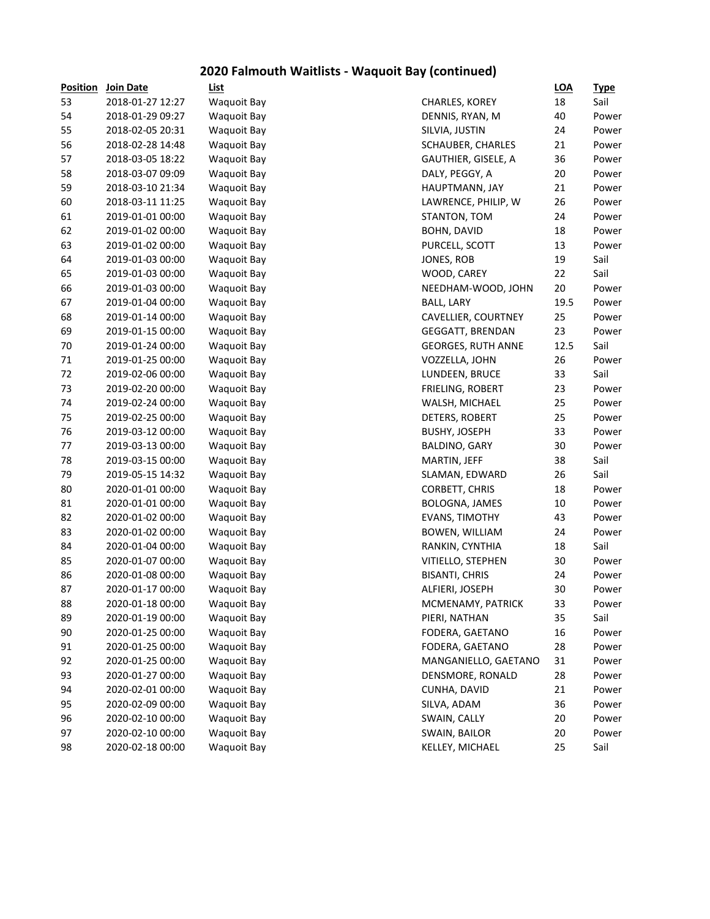# **2020 Falmouth Waitlists - Waquoit Bay (continued)**

| <b>Position</b> | Join Date        | List               |                           | <b>LOA</b> | <u>Type</u> |
|-----------------|------------------|--------------------|---------------------------|------------|-------------|
| 53              | 2018-01-27 12:27 | <b>Waquoit Bay</b> | CHARLES, KOREY            | 18         | Sail        |
| 54              | 2018-01-29 09:27 | <b>Waquoit Bay</b> | DENNIS, RYAN, M           | 40         | Power       |
| 55              | 2018-02-05 20:31 | <b>Waquoit Bay</b> | SILVIA, JUSTIN            | 24         | Power       |
| 56              | 2018-02-28 14:48 | <b>Waquoit Bay</b> | SCHAUBER, CHARLES         | 21         | Power       |
| 57              | 2018-03-05 18:22 | <b>Waquoit Bay</b> | GAUTHIER, GISELE, A       | 36         | Power       |
| 58              | 2018-03-07 09:09 | <b>Waquoit Bay</b> | DALY, PEGGY, A            | 20         | Power       |
| 59              | 2018-03-10 21:34 | <b>Waquoit Bay</b> | HAUPTMANN, JAY            | 21         | Power       |
| 60              | 2018-03-11 11:25 | <b>Waquoit Bay</b> | LAWRENCE, PHILIP, W       | 26         | Power       |
| 61              | 2019-01-01 00:00 | <b>Waquoit Bay</b> | STANTON, TOM              | 24         | Power       |
| 62              | 2019-01-02 00:00 | <b>Waquoit Bay</b> | <b>BOHN, DAVID</b>        | 18         | Power       |
| 63              | 2019-01-02 00:00 | <b>Waquoit Bay</b> | PURCELL, SCOTT            | 13         | Power       |
| 64              | 2019-01-03 00:00 | <b>Waquoit Bay</b> | JONES, ROB                | 19         | Sail        |
| 65              | 2019-01-03 00:00 | <b>Waquoit Bay</b> | WOOD, CAREY               | 22         | Sail        |
| 66              | 2019-01-03 00:00 | <b>Waquoit Bay</b> | NEEDHAM-WOOD, JOHN        | 20         | Power       |
| 67              | 2019-01-04 00:00 | <b>Waquoit Bay</b> | <b>BALL, LARY</b>         | 19.5       | Power       |
| 68              | 2019-01-14 00:00 | <b>Waquoit Bay</b> | CAVELLIER, COURTNEY       | 25         | Power       |
| 69              | 2019-01-15 00:00 | <b>Waquoit Bay</b> | GEGGATT, BRENDAN          | 23         | Power       |
| 70              | 2019-01-24 00:00 | <b>Waquoit Bay</b> | <b>GEORGES, RUTH ANNE</b> | 12.5       | Sail        |
| 71              | 2019-01-25 00:00 | <b>Waquoit Bay</b> | VOZZELLA, JOHN            | 26         | Power       |
| 72              | 2019-02-06 00:00 | <b>Waquoit Bay</b> | LUNDEEN, BRUCE            | 33         | Sail        |
| 73              | 2019-02-20 00:00 | <b>Waquoit Bay</b> | FRIELING, ROBERT          | 23         | Power       |
| 74              | 2019-02-24 00:00 | <b>Waquoit Bay</b> | WALSH, MICHAEL            | 25         | Power       |
| 75              | 2019-02-25 00:00 | <b>Waquoit Bay</b> | DETERS, ROBERT            | 25         | Power       |
| 76              | 2019-03-12 00:00 | <b>Waquoit Bay</b> | <b>BUSHY, JOSEPH</b>      | 33         | Power       |
| 77              | 2019-03-13 00:00 | <b>Waquoit Bay</b> | BALDINO, GARY             | 30         | Power       |
| 78              | 2019-03-15 00:00 | <b>Waquoit Bay</b> | MARTIN, JEFF              | 38         | Sail        |
| 79              | 2019-05-15 14:32 | <b>Waquoit Bay</b> | SLAMAN, EDWARD            | 26         | Sail        |
| 80              | 2020-01-01 00:00 | <b>Waquoit Bay</b> | CORBETT, CHRIS            | 18         | Power       |
| 81              | 2020-01-01 00:00 | <b>Waquoit Bay</b> | BOLOGNA, JAMES            | 10         | Power       |
| 82              | 2020-01-02 00:00 | <b>Waquoit Bay</b> | EVANS, TIMOTHY            | 43         | Power       |
| 83              | 2020-01-02 00:00 | <b>Waquoit Bay</b> | BOWEN, WILLIAM            | 24         | Power       |
| 84              | 2020-01-04 00:00 | <b>Waquoit Bay</b> | RANKIN, CYNTHIA           | 18         | Sail        |
| 85              | 2020-01-07 00:00 | <b>Waquoit Bay</b> | VITIELLO, STEPHEN         | 30         | Power       |
| 86              | 2020-01-08 00:00 | <b>Waquoit Bay</b> | <b>BISANTI, CHRIS</b>     | 24         | Power       |
| 87              | 2020-01-17 00:00 | <b>Waquoit Bay</b> | ALFIERI, JOSEPH           | 30         | Power       |
| 88              | 2020-01-18 00:00 | Waquoit Bay        | MCMENAMY, PATRICK         | 33         | Power       |
| 89              | 2020-01-19 00:00 | <b>Waquoit Bay</b> | PIERI, NATHAN             | 35         | Sail        |
| 90              | 2020-01-25 00:00 | <b>Waquoit Bay</b> | FODERA, GAETANO           | 16         | Power       |
| 91              | 2020-01-25 00:00 | <b>Waquoit Bay</b> | FODERA, GAETANO           | 28         | Power       |
| 92              | 2020-01-25 00:00 | <b>Waquoit Bay</b> | MANGANIELLO, GAETANO      | 31         | Power       |
| 93              | 2020-01-27 00:00 | <b>Waquoit Bay</b> | DENSMORE, RONALD          | 28         | Power       |
| 94              | 2020-02-01 00:00 | <b>Waquoit Bay</b> | CUNHA, DAVID              | 21         | Power       |
| 95              | 2020-02-09 00:00 | <b>Waquoit Bay</b> | SILVA, ADAM               | 36         | Power       |
| 96              | 2020-02-10 00:00 | <b>Waquoit Bay</b> | SWAIN, CALLY              | 20         | Power       |
| 97              | 2020-02-10 00:00 | <b>Waquoit Bay</b> | SWAIN, BAILOR             | 20         | Power       |
| 98              | 2020-02-18 00:00 | <b>Waquoit Bay</b> | KELLEY, MICHAEL           | 25         | Sail        |
|                 |                  |                    |                           |            |             |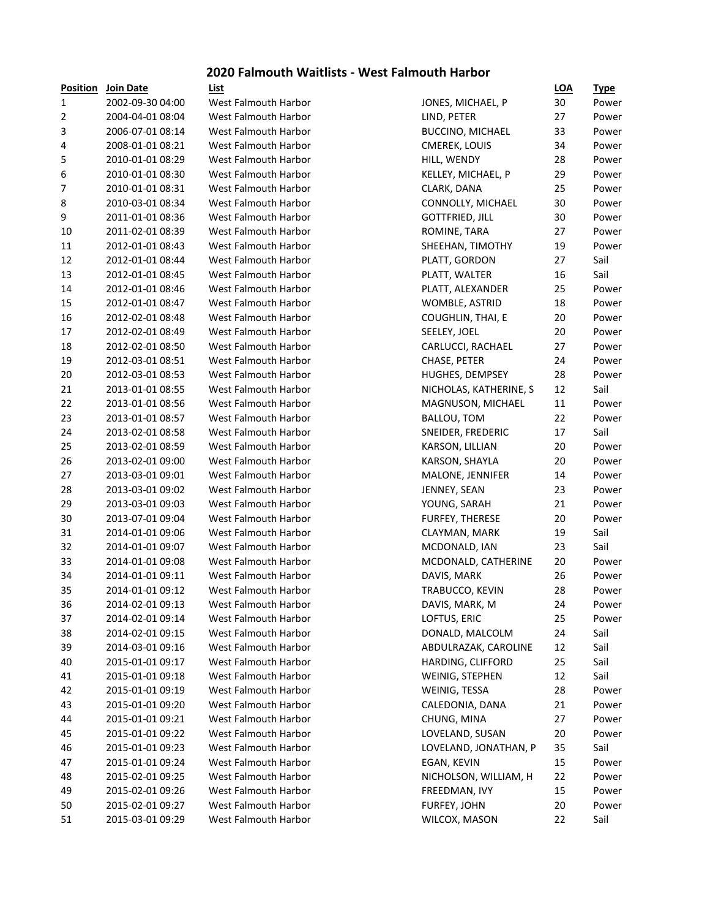#### **2020 Falmouth Waitlists - West Falmouth Harbor**

| <b>Position</b> | Join Date        | List                        |
|-----------------|------------------|-----------------------------|
| 1               | 2002-09-30 04:00 | West Falmouth Harbor        |
| 2               | 2004-04-01 08:04 | West Falmouth Harbor        |
| 3               | 2006-07-01 08:14 | West Falmouth Harbor        |
| 4               | 2008-01-01 08:21 | West Falmouth Harbor        |
| 5               | 2010-01-01 08:29 | West Falmouth Harbor        |
| 6               | 2010-01-01 08:30 | West Falmouth Harbor        |
| 7               | 2010-01-01 08:31 | West Falmouth Harbor        |
| 8               | 2010-03-01 08:34 | West Falmouth Harbor        |
| 9               | 2011-01-01 08:36 | <b>West Falmouth Harbor</b> |
| 10              | 2011-02-01 08:39 | West Falmouth Harbor        |
| 11              | 2012-01-01 08:43 | West Falmouth Harbor        |
| 12              | 2012-01-01 08:44 | West Falmouth Harbor        |
| 13              | 2012-01-01 08:45 | West Falmouth Harbor        |
| 14              | 2012-01-01 08:46 | West Falmouth Harbor        |
| 15              | 2012-01-01 08:47 | West Falmouth Harbor        |
| 16              | 2012-02-01 08:48 | West Falmouth Harbor        |
| 17              | 2012-02-01 08:49 | West Falmouth Harbor        |
| 18              | 2012-02-01 08:50 | West Falmouth Harbor        |
| 19              | 2012-03-01 08:51 | West Falmouth Harbor        |
| 20              | 2012-03-01 08:53 | West Falmouth Harbor        |
| 21              | 2013-01-01 08:55 | <b>West Falmouth Harbor</b> |
| 22              | 2013-01-01 08:56 | West Falmouth Harbor        |
| 23              | 2013-01-01 08:57 | West Falmouth Harbor        |
| 24              | 2013-02-01 08:58 | West Falmouth Harbor        |
| 25              | 2013-02-01 08:59 | West Falmouth Harbor        |
| 26              | 2013-02-01 09:00 | West Falmouth Harbor        |
| 27              | 2013-03-01 09:01 | West Falmouth Harbor        |
| 28              | 2013-03-01 09:02 | West Falmouth Harbor        |
| 29              | 2013-03-01 09:03 | West Falmouth Harbor        |
| 30              | 2013-07-01 09:04 | West Falmouth Harbor        |
| 31              | 2014-01-01 09:06 | West Falmouth Harbor        |
| 32              | 2014-01-01 09:07 | West Falmouth Harbor        |
| 33              | 2014-01-01 09:08 | West Falmouth Harbor        |
| 34              | 2014-01-01 09:11 | West Falmouth Harbor        |
| 35              | 2014-01-01 09:12 | West Falmouth Harbor        |
| 36              | 2014-02-01 09:13 | West Falmouth Harbor        |
| 37              | 2014-02-01 09:14 | West Falmouth Harbor        |
| 38              | 2014-02-01 09:15 | West Falmouth Harbor        |
| 39              | 2014-03-01 09:16 | West Falmouth Harbor        |
| 40              | 2015-01-01 09:17 | West Falmouth Harbor        |
| 41              | 2015-01-01 09:18 | West Falmouth Harbor        |
| 42              | 2015-01-01 09:19 | West Falmouth Harbor        |
| 43              | 2015-01-01 09:20 | West Falmouth Harbor        |
| 44              | 2015-01-01 09:21 | <b>West Falmouth Harbor</b> |
| 45              | 2015-01-01 09:22 | West Falmouth Harbor        |
| 46              | 2015-01-01 09:23 | West Falmouth Harbor        |
| 47              | 2015-01-01 09:24 | West Falmouth Harbor        |
| 48              | 2015-02-01 09:25 | West Falmouth Harbor        |
| 49              | 2015-02-01 09:26 | West Falmouth Harbor        |
| 50              | 2015-02-01 09:27 | West Falmouth Harbor        |
| 51              | 2015-03-01 09:29 | West Falmouth Harbor        |

| <u>Position</u> | Join Date        | List                        |                          | LOA | <u>Type</u> |
|-----------------|------------------|-----------------------------|--------------------------|-----|-------------|
| 1               | 2002-09-30 04:00 | West Falmouth Harbor        | JONES, MICHAEL, P        | 30  | Power       |
| 2               | 2004-04-01 08:04 | West Falmouth Harbor        | LIND, PETER              | 27  | Power       |
| 3               | 2006-07-01 08:14 | West Falmouth Harbor        | <b>BUCCINO, MICHAEL</b>  | 33  | Power       |
| 4               | 2008-01-01 08:21 | West Falmouth Harbor        | CMEREK, LOUIS            | 34  | Power       |
| 5               | 2010-01-01 08:29 | West Falmouth Harbor        | HILL, WENDY              | 28  | Power       |
| 6               | 2010-01-01 08:30 | West Falmouth Harbor        | KELLEY, MICHAEL, P       | 29  | Power       |
| 7               | 2010-01-01 08:31 | West Falmouth Harbor        | CLARK, DANA              | 25  | Power       |
| 8               | 2010-03-01 08:34 | <b>West Falmouth Harbor</b> | CONNOLLY, MICHAEL        | 30  | Power       |
| 9               | 2011-01-01 08:36 | West Falmouth Harbor        | <b>GOTTFRIED, JILL</b>   | 30  | Power       |
| 10              | 2011-02-01 08:39 | West Falmouth Harbor        | ROMINE, TARA             | 27  | Power       |
| 11              | 2012-01-01 08:43 | West Falmouth Harbor        | SHEEHAN, TIMOTHY         | 19  | Power       |
| 12              | 2012-01-01 08:44 | West Falmouth Harbor        | PLATT, GORDON            | 27  | Sail        |
| 13              | 2012-01-01 08:45 | West Falmouth Harbor        | PLATT, WALTER            | 16  | Sail        |
| 14              | 2012-01-01 08:46 | West Falmouth Harbor        | PLATT, ALEXANDER         | 25  | Power       |
| 15              | 2012-01-01 08:47 | West Falmouth Harbor        | WOMBLE, ASTRID           | 18  | Power       |
| 16              | 2012-02-01 08:48 | West Falmouth Harbor        | <b>COUGHLIN, THAI, E</b> | 20  | Power       |
| 17              | 2012-02-01 08:49 | West Falmouth Harbor        | SEELEY, JOEL             | 20  | Power       |
| 18              | 2012-02-01 08:50 | West Falmouth Harbor        | CARLUCCI, RACHAEL        | 27  | Power       |
| 19              | 2012-03-01 08:51 | West Falmouth Harbor        | CHASE, PETER             | 24  | Power       |
| 20              | 2012-03-01 08:53 | West Falmouth Harbor        | HUGHES, DEMPSEY          | 28  | Power       |
| 21              | 2013-01-01 08:55 | West Falmouth Harbor        | NICHOLAS, KATHERINE, S   | 12  | Sail        |
| 22              | 2013-01-01 08:56 | West Falmouth Harbor        | MAGNUSON, MICHAEL        | 11  | Power       |
| 23              | 2013-01-01 08:57 | West Falmouth Harbor        | <b>BALLOU, TOM</b>       | 22  | Power       |
| 24              | 2013-02-01 08:58 | West Falmouth Harbor        | SNEIDER, FREDERIC        | 17  | Sail        |
| 25              | 2013-02-01 08:59 | West Falmouth Harbor        | KARSON, LILLIAN          | 20  | Power       |
| 26              | 2013-02-01 09:00 | West Falmouth Harbor        | KARSON, SHAYLA           | 20  | Power       |
| 27              | 2013-03-01 09:01 | West Falmouth Harbor        | MALONE, JENNIFER         | 14  | Power       |
| 28              | 2013-03-01 09:02 | West Falmouth Harbor        | JENNEY, SEAN             | 23  | Power       |
| 29              | 2013-03-01 09:03 | West Falmouth Harbor        | YOUNG, SARAH             | 21  | Power       |
| 30              | 2013-07-01 09:04 | West Falmouth Harbor        | FURFEY, THERESE          | 20  | Power       |
| 31              | 2014-01-01 09:06 | West Falmouth Harbor        | CLAYMAN, MARK            | 19  | Sail        |
| 32              | 2014-01-01 09:07 | West Falmouth Harbor        | MCDONALD, IAN            | 23  | Sail        |
| 33              | 2014-01-01 09:08 | West Falmouth Harbor        | MCDONALD, CATHERINE      | 20  | Power       |
| 34              | 2014-01-01 09:11 | West Falmouth Harbor        | DAVIS, MARK              | 26  | Power       |
| 35              | 2014-01-01 09:12 | West Falmouth Harbor        | TRABUCCO, KEVIN          | 28  | Power       |
| 36              | 2014-02-01 09:13 | West Falmouth Harbor        | DAVIS, MARK, M           | 24  | Power       |
| 37              | 2014-02-01 09:14 | West Falmouth Harbor        | LOFTUS, ERIC             | 25  | Power       |
| 38              | 2014-02-01 09:15 | West Falmouth Harbor        | DONALD, MALCOLM          | 24  | Sail        |
| 39              | 2014-03-01 09:16 | West Falmouth Harbor        | ABDULRAZAK, CAROLINE     | 12  | Sail        |
| 40              | 2015-01-01 09:17 | West Falmouth Harbor        | HARDING, CLIFFORD        | 25  | Sail        |
| 41              | 2015-01-01 09:18 | West Falmouth Harbor        | WEINIG, STEPHEN          | 12  | Sail        |
| 42              | 2015-01-01 09:19 | West Falmouth Harbor        | WEINIG, TESSA            | 28  | Power       |
| 43              | 2015-01-01 09:20 | West Falmouth Harbor        | CALEDONIA, DANA          | 21  | Power       |
| 44              | 2015-01-01 09:21 | West Falmouth Harbor        | CHUNG, MINA              | 27  | Power       |
| 45              | 2015-01-01 09:22 | West Falmouth Harbor        | LOVELAND, SUSAN          | 20  | Power       |
| 46              | 2015-01-01 09:23 | West Falmouth Harbor        | LOVELAND, JONATHAN, P    | 35  | Sail        |
| 47              | 2015-01-01 09:24 | West Falmouth Harbor        | EGAN, KEVIN              | 15  | Power       |
| 48              | 2015-02-01 09:25 | West Falmouth Harbor        | NICHOLSON, WILLIAM, H    | 22  | Power       |
| 49              | 2015-02-01 09:26 | West Falmouth Harbor        | FREEDMAN, IVY            | 15  | Power       |
| 50              | 2015-02-01 09:27 | West Falmouth Harbor        | FURFEY, JOHN             | 20  | Power       |
| 51              | 2015-03-01 09:29 | West Falmouth Harbor        | WILCOX, MASON            | 22  | Sail        |
|                 |                  |                             |                          |     |             |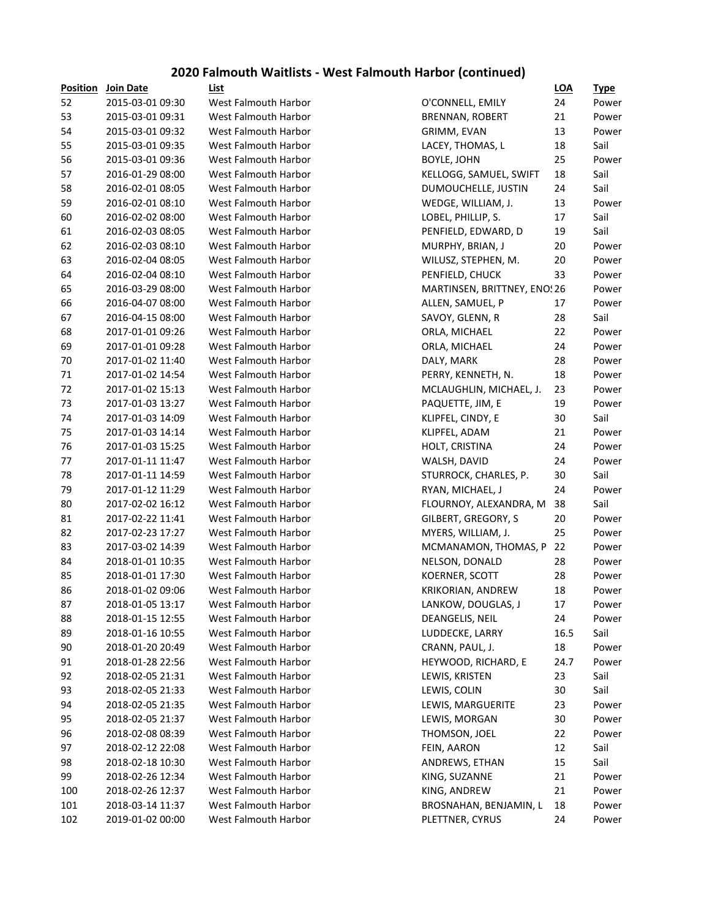#### **2020 Falmouth Waitlists - West Falmouth Harbor (continued)**

| Position | Join Date        | List                        |                              | <b>LOA</b> | <u>Typ</u> |
|----------|------------------|-----------------------------|------------------------------|------------|------------|
| 52       | 2015-03-01 09:30 | West Falmouth Harbor        | O'CONNELL, EMILY             | 24         | Pov        |
| 53       | 2015-03-01 09:31 | West Falmouth Harbor        | <b>BRENNAN, ROBERT</b>       | 21         | Pov        |
| 54       | 2015-03-01 09:32 | West Falmouth Harbor        | GRIMM, EVAN                  | 13         | Ρον        |
| 55       | 2015-03-01 09:35 | West Falmouth Harbor        | LACEY, THOMAS, L             | 18         | Sail       |
| 56       | 2015-03-01 09:36 | West Falmouth Harbor        | <b>BOYLE, JOHN</b>           | 25         | Pov        |
| 57       | 2016-01-29 08:00 | West Falmouth Harbor        | KELLOGG, SAMUEL, SWIFT       | 18         | Sail       |
| 58       | 2016-02-01 08:05 | West Falmouth Harbor        | DUMOUCHELLE, JUSTIN          | 24         | Sail       |
| 59       | 2016-02-01 08:10 | West Falmouth Harbor        | WEDGE, WILLIAM, J.           | 13         | Poy        |
| 60       | 2016-02-02 08:00 | West Falmouth Harbor        | LOBEL, PHILLIP, S.           | 17         | Sail       |
| 61       | 2016-02-03 08:05 | West Falmouth Harbor        | PENFIELD, EDWARD, D          | 19         | Sail       |
| 62       | 2016-02-03 08:10 | <b>West Falmouth Harbor</b> | MURPHY, BRIAN, J             | 20         | Pov        |
| 63       | 2016-02-04 08:05 | West Falmouth Harbor        | WILUSZ, STEPHEN, M.          | 20         | Pov        |
| 64       | 2016-02-04 08:10 | West Falmouth Harbor        | PENFIELD, CHUCK              | 33         | Ρον        |
| 65       | 2016-03-29 08:00 | West Falmouth Harbor        | MARTINSEN, BRITTNEY, ENO! 26 |            | Pov        |
| 66       | 2016-04-07 08:00 | West Falmouth Harbor        | ALLEN, SAMUEL, P             | 17         | Pov        |
| 67       | 2016-04-15 08:00 | West Falmouth Harbor        | SAVOY, GLENN, R              | 28         | Sail       |
| 68       | 2017-01-01 09:26 | West Falmouth Harbor        | ORLA, MICHAEL                | 22         | Pov        |
| 69       | 2017-01-01 09:28 | West Falmouth Harbor        | ORLA, MICHAEL                | 24         | Pov        |
| 70       | 2017-01-02 11:40 | <b>West Falmouth Harbor</b> | DALY, MARK                   | 28         | Ρον        |
| 71       | 2017-01-02 14:54 | <b>West Falmouth Harbor</b> | PERRY, KENNETH, N.           | 18         | Ρον        |
| 72       | 2017-01-02 15:13 | West Falmouth Harbor        | MCLAUGHLIN, MICHAEL, J.      | 23         | Pov        |
| 73       | 2017-01-03 13:27 | <b>West Falmouth Harbor</b> | PAQUETTE, JIM, E             | 19         | Pov        |
| 74       | 2017-01-03 14:09 | West Falmouth Harbor        | KLIPFEL, CINDY, E            | 30         | Sail       |
| 75       | 2017-01-03 14:14 | West Falmouth Harbor        | KLIPFEL, ADAM                | 21         | Pov        |
| 76       | 2017-01-03 15:25 | West Falmouth Harbor        | HOLT, CRISTINA               | 24         | Pov        |
| 77       | 2017-01-11 11:47 | West Falmouth Harbor        | WALSH, DAVID                 | 24         | Pov        |
| 78       | 2017-01-11 14:59 | West Falmouth Harbor        | STURROCK, CHARLES, P.        | 30         | Sail       |
| 79       | 2017-01-12 11:29 | West Falmouth Harbor        | RYAN, MICHAEL, J             | 24         | Pov        |
| 80       | 2017-02-02 16:12 | West Falmouth Harbor        | FLOURNOY, ALEXANDRA, M       | 38         | Sail       |
| 81       | 2017-02-22 11:41 | West Falmouth Harbor        | GILBERT, GREGORY, S          | 20         | Pov        |
| 82       | 2017-02-23 17:27 | West Falmouth Harbor        | MYERS, WILLIAM, J.           | 25         | Pov        |
| 83       | 2017-03-02 14:39 | <b>West Falmouth Harbor</b> | MCMANAMON, THOMAS, P         | 22         | Ρον        |
| 84       | 2018-01-01 10:35 | West Falmouth Harbor        | NELSON, DONALD               | 28         | Ρον        |
| 85       | 2018-01-01 17:30 | <b>West Falmouth Harbor</b> | KOERNER, SCOTT               | 28         | Pov        |
| 86       | 2018-01-02 09:06 | West Falmouth Harbor        | KRIKORIAN, ANDREW            | 18         | Pov        |
| 87       | 2018-01-05 13:17 | West Falmouth Harbor        | LANKOW, DOUGLAS, J           | 17         | Ρον        |
| 88       | 2018-01-15 12:55 | West Falmouth Harbor        | DEANGELIS, NEIL              | 24         | Pov        |
| 89       | 2018-01-16 10:55 | West Falmouth Harbor        | LUDDECKE, LARRY              | 16.5       | Sail       |
| 90       | 2018-01-20 20:49 | <b>West Falmouth Harbor</b> | CRANN, PAUL, J.              | 18         | Pov        |
| 91       | 2018-01-28 22:56 | <b>West Falmouth Harbor</b> | HEYWOOD, RICHARD, E          | 24.7       | Pov        |
| 92       | 2018-02-05 21:31 | West Falmouth Harbor        | LEWIS, KRISTEN               | 23         | Sail       |
| 93       | 2018-02-05 21:33 | West Falmouth Harbor        | LEWIS, COLIN                 | 30         | Sail       |
| 94       | 2018-02-05 21:35 | West Falmouth Harbor        | LEWIS, MARGUERITE            | 23         | Pov        |
| 95       | 2018-02-05 21:37 | West Falmouth Harbor        | LEWIS, MORGAN                | 30         | Pov        |
| 96       | 2018-02-08 08:39 | West Falmouth Harbor        | THOMSON, JOEL                | 22         | Pov        |
| 97       | 2018-02-12 22:08 | West Falmouth Harbor        | FEIN, AARON                  | 12         | Sail       |
| 98       | 2018-02-18 10:30 | West Falmouth Harbor        | ANDREWS, ETHAN               | 15         | Sail       |
| 99       | 2018-02-26 12:34 | West Falmouth Harbor        | KING, SUZANNE                | 21         | Pov        |
| 100      | 2018-02-26 12:37 | West Falmouth Harbor        | KING, ANDREW                 | 21         | Pov        |
| 101      | 2018-03-14 11:37 | West Falmouth Harbor        | BROSNAHAN, BENJAMIN, L       | 18         | Pov        |
| 102      | 2019-01-02 00:00 | West Falmouth Harbor        | PLETTNER, CYRUS              | 24         | Ρον        |

| Position   | Join Date        | List                        |                               | $LOA$    | <u>Type</u>    |
|------------|------------------|-----------------------------|-------------------------------|----------|----------------|
| 52         | 2015-03-01 09:30 | West Falmouth Harbor        | O'CONNELL, EMILY              | 24       | Power          |
| 53         | 2015-03-01 09:31 | West Falmouth Harbor        | <b>BRENNAN, ROBERT</b>        | 21       | Power          |
| 54         | 2015-03-01 09:32 | West Falmouth Harbor        | GRIMM, EVAN                   | 13       | Power          |
| 55         | 2015-03-01 09:35 | <b>West Falmouth Harbor</b> | LACEY, THOMAS, L              | 18       | Sail           |
| 56         | 2015-03-01 09:36 | <b>West Falmouth Harbor</b> | <b>BOYLE, JOHN</b>            | 25       | Power          |
| 57         | 2016-01-29 08:00 | West Falmouth Harbor        | KELLOGG, SAMUEL, SWIFT        | 18       | Sail           |
| 58         | 2016-02-01 08:05 | West Falmouth Harbor        | DUMOUCHELLE, JUSTIN           | 24       | Sail           |
| 59         | 2016-02-01 08:10 | West Falmouth Harbor        | WEDGE, WILLIAM, J.            | 13       | Power          |
| 60         | 2016-02-02 08:00 | West Falmouth Harbor        | LOBEL, PHILLIP, S.            | 17       | Sail           |
| 61         | 2016-02-03 08:05 | West Falmouth Harbor        | PENFIELD, EDWARD, D           | 19       | Sail           |
| 62         | 2016-02-03 08:10 | West Falmouth Harbor        | MURPHY, BRIAN, J              | 20       | Power          |
| 63         | 2016-02-04 08:05 | West Falmouth Harbor        | WILUSZ, STEPHEN, M.           | 20       | Power          |
| 64         | 2016-02-04 08:10 | West Falmouth Harbor        | PENFIELD, CHUCK               | 33       | Power          |
| 65         | 2016-03-29 08:00 | West Falmouth Harbor        | MARTINSEN, BRITTNEY, ENO! 26  |          | Power          |
| 66         | 2016-04-07 08:00 | West Falmouth Harbor        | ALLEN, SAMUEL, P              | 17       | Power          |
| 67         | 2016-04-15 08:00 | <b>West Falmouth Harbor</b> | SAVOY, GLENN, R               | 28       | Sail           |
| 68         | 2017-01-01 09:26 | West Falmouth Harbor        | ORLA, MICHAEL                 | 22       | Power          |
| 69         | 2017-01-01 09:28 | West Falmouth Harbor        | ORLA, MICHAEL                 | 24       | Power          |
| 70         | 2017-01-02 11:40 | West Falmouth Harbor        | DALY, MARK                    | 28       | Power          |
| 71         | 2017-01-02 14:54 | West Falmouth Harbor        | PERRY, KENNETH, N.            | 18       | Power          |
| 72         | 2017-01-02 15:13 | West Falmouth Harbor        | MCLAUGHLIN, MICHAEL, J.       | 23       | Power          |
| 73         | 2017-01-03 13:27 | West Falmouth Harbor        | PAQUETTE, JIM, E              | 19       | Power          |
| 74         | 2017-01-03 14:09 | West Falmouth Harbor        | KLIPFEL, CINDY, E             | 30       | Sail           |
| 75         | 2017-01-03 14:14 | West Falmouth Harbor        | KLIPFEL, ADAM                 | 21       | Power          |
| 76         | 2017-01-03 15:25 | West Falmouth Harbor        | HOLT, CRISTINA                | 24       | Power          |
| 77         | 2017-01-11 11:47 | West Falmouth Harbor        | WALSH, DAVID                  | 24       | Power          |
| 78         | 2017-01-11 14:59 | West Falmouth Harbor        | STURROCK, CHARLES, P.         | 30       | Sail           |
| 79         | 2017-01-12 11:29 | West Falmouth Harbor        | RYAN, MICHAEL, J              | 24       | Power          |
| 80         | 2017-02-02 16:12 | West Falmouth Harbor        | FLOURNOY, ALEXANDRA, M        | 38       | Sail           |
| 81         | 2017-02-22 11:41 | West Falmouth Harbor        | GILBERT, GREGORY, S           | 20       | Power          |
| 82         | 2017-02-23 17:27 | West Falmouth Harbor        | MYERS, WILLIAM, J.            | 25       | Power          |
| 83         | 2017-03-02 14:39 | West Falmouth Harbor        | MCMANAMON, THOMAS, P          | 22       | Power          |
| 84         | 2018-01-01 10:35 | West Falmouth Harbor        | NELSON, DONALD                | 28       | Power          |
| 85         | 2018-01-01 17:30 | West Falmouth Harbor        | KOERNER, SCOTT                | 28       | Power          |
| 86         | 2018-01-02 09:06 | West Falmouth Harbor        | KRIKORIAN, ANDREW             | 18       | Power          |
| 87         | 2018-01-05 13:17 | West Falmouth Harbor        | LANKOW, DOUGLAS, J            | 17       | Power          |
| 88         | 2018-01-15 12:55 | West Falmouth Harbor        | DEANGELIS, NEIL               | 24       | Power          |
| 89         | 2018-01-16 10:55 | West Falmouth Harbor        | LUDDECKE, LARRY               | 16.5     | Sail           |
| 90         | 2018-01-20 20:49 | West Falmouth Harbor        | CRANN, PAUL, J.               | 18       | Power          |
| 91         | 2018-01-28 22:56 | West Falmouth Harbor        | HEYWOOD, RICHARD, E           | 24.7     | Power          |
| 92         | 2018-02-05 21:31 | West Falmouth Harbor        | LEWIS, KRISTEN                | 23       | Sail           |
| 93         | 2018-02-05 21:33 | West Falmouth Harbor        | LEWIS, COLIN                  | 30       | Sail           |
| 94         | 2018-02-05 21:35 | West Falmouth Harbor        | LEWIS, MARGUERITE             | 23       | Power          |
| 95         | 2018-02-05 21:37 | West Falmouth Harbor        | LEWIS, MORGAN                 | 30       | Power          |
| 96         | 2018-02-08 08:39 | West Falmouth Harbor        | THOMSON, JOEL                 | 22       | Power          |
| 97         | 2018-02-12 22:08 | West Falmouth Harbor        |                               | 12       | Sail           |
|            | 2018-02-18 10:30 | West Falmouth Harbor        | FEIN, AARON<br>ANDREWS, ETHAN |          | Sail           |
| 98<br>99   | 2018-02-26 12:34 | West Falmouth Harbor        | KING, SUZANNE                 | 15<br>21 |                |
|            | 2018-02-26 12:37 | West Falmouth Harbor        | KING, ANDREW                  | 21       | Power<br>Power |
| 100<br>101 | 2018-03-14 11:37 | West Falmouth Harbor        | BROSNAHAN, BENJAMIN, L        | 18       | Power          |
|            |                  | West Falmouth Harbor        |                               |          |                |
| 102        | 2019-01-02 00:00 |                             | PLETTNER, CYRUS               | 24       | Power          |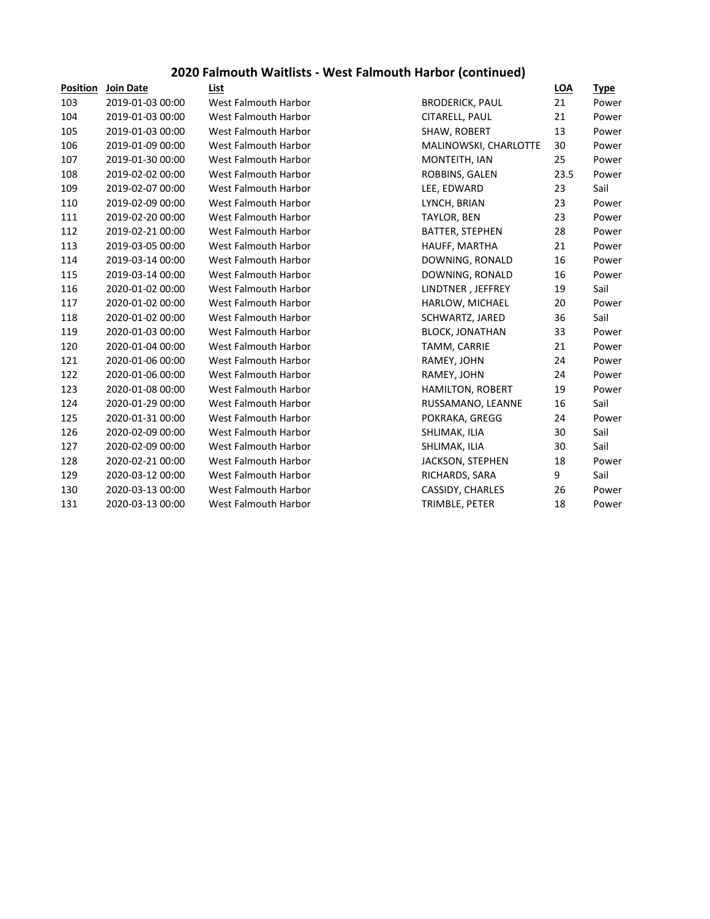## **2020 Falmouth Waitlists - West Falmouth Harbor (continued)**

| <b>Join Date</b> | List                 |                         | LOA  | <b>Type</b> |
|------------------|----------------------|-------------------------|------|-------------|
| 2019-01-03 00:00 | West Falmouth Harbor | <b>BRODERICK, PAUL</b>  | 21   | Power       |
| 2019-01-03 00:00 | West Falmouth Harbor | CITARELL, PAUL          | 21   | Power       |
| 2019-01-03 00:00 | West Falmouth Harbor | SHAW, ROBERT            | 13   | Power       |
| 2019-01-09 00:00 | West Falmouth Harbor | MALINOWSKI, CHARLOTTE   | 30   | Power       |
| 2019-01-30 00:00 | West Falmouth Harbor | MONTEITH, IAN           | 25   | Power       |
| 2019-02-02 00:00 | West Falmouth Harbor | ROBBINS, GALEN          | 23.5 | Power       |
| 2019-02-07 00:00 | West Falmouth Harbor | LEE, EDWARD             | 23   | Sail        |
| 2019-02-09 00:00 | West Falmouth Harbor | LYNCH, BRIAN            | 23   | Power       |
| 2019-02-20 00:00 | West Falmouth Harbor | <b>TAYLOR, BEN</b>      | 23   | Power       |
| 2019-02-21 00:00 | West Falmouth Harbor | BATTER, STEPHEN         | 28   | Power       |
| 2019-03-05 00:00 | West Falmouth Harbor | HAUFF, MARTHA           | 21   | Power       |
| 2019-03-14 00:00 | West Falmouth Harbor | DOWNING, RONALD         | 16   | Power       |
| 2019-03-14 00:00 | West Falmouth Harbor | DOWNING, RONALD         | 16   | Power       |
| 2020-01-02 00:00 | West Falmouth Harbor | LINDTNER, JEFFREY       | 19   | Sail        |
| 2020-01-02 00:00 | West Falmouth Harbor | HARLOW, MICHAEL         | 20   | Power       |
| 2020-01-02 00:00 | West Falmouth Harbor | SCHWARTZ, JARED         | 36   | Sail        |
| 2020-01-03 00:00 | West Falmouth Harbor | <b>BLOCK, JONATHAN</b>  | 33   | Power       |
| 2020-01-04 00:00 | West Falmouth Harbor | TAMM, CARRIE            | 21   | Power       |
| 2020-01-06 00:00 | West Falmouth Harbor | RAMEY, JOHN             | 24   | Power       |
| 2020-01-06 00:00 | West Falmouth Harbor | RAMEY, JOHN             | 24   | Power       |
| 2020-01-08 00:00 | West Falmouth Harbor | <b>HAMILTON, ROBERT</b> | 19   | Power       |
| 2020-01-29 00:00 | West Falmouth Harbor | RUSSAMANO, LEANNE       | 16   | Sail        |
| 2020-01-31 00:00 | West Falmouth Harbor | POKRAKA, GREGG          | 24   | Power       |
| 2020-02-09 00:00 | West Falmouth Harbor | SHLIMAK, ILIA           | 30   | Sail        |
| 2020-02-09 00:00 | West Falmouth Harbor | SHLIMAK, ILIA           | 30   | Sail        |
| 2020-02-21 00:00 | West Falmouth Harbor | <b>JACKSON, STEPHEN</b> | 18   | Power       |
| 2020-03-12 00:00 | West Falmouth Harbor | RICHARDS, SARA          | 9    | Sail        |
| 2020-03-13 00:00 | West Falmouth Harbor | CASSIDY, CHARLES        | 26   | Power       |
| 2020-03-13 00:00 | West Falmouth Harbor | TRIMBLE, PETER          | 18   | Power       |
|                  |                      |                         |      |             |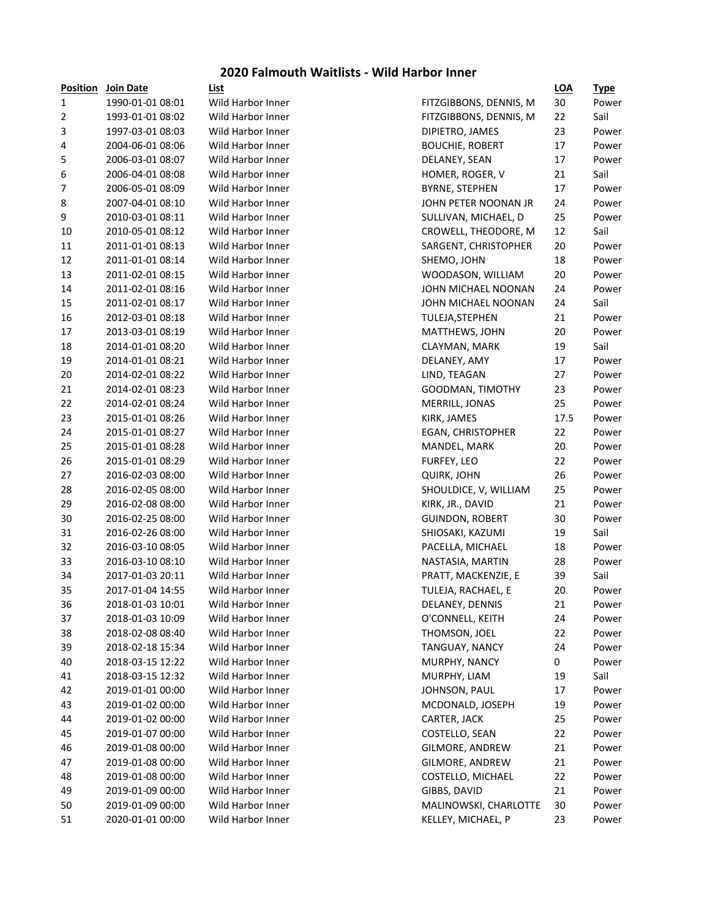#### **2020 Falmouth Waitlists - Wild Harbor Inner**

| <b>Position</b> | Join Date        | List              |                          | <b>LOA</b> | <u>Type</u> |
|-----------------|------------------|-------------------|--------------------------|------------|-------------|
| 1               | 1990-01-01 08:01 | Wild Harbor Inner | FITZGIBBONS, DENNIS, M   | 30         | Power       |
| 2               | 1993-01-01 08:02 | Wild Harbor Inner | FITZGIBBONS, DENNIS, M   | 22         | Sail        |
| 3               | 1997-03-01 08:03 | Wild Harbor Inner | DIPIETRO, JAMES          | 23         | Power       |
| 4               | 2004-06-01 08:06 | Wild Harbor Inner | <b>BOUCHIE, ROBERT</b>   | 17         | Power       |
| 5               | 2006-03-01 08:07 | Wild Harbor Inner | DELANEY, SEAN            | 17         | Power       |
| 6               | 2006-04-01 08:08 | Wild Harbor Inner | HOMER, ROGER, V          | 21         | Sail        |
| $\overline{7}$  | 2006-05-01 08:09 | Wild Harbor Inner | <b>BYRNE, STEPHEN</b>    | 17         | Power       |
| 8               | 2007-04-01 08:10 | Wild Harbor Inner | JOHN PETER NOONAN JR     | 24         | Power       |
| 9               | 2010-03-01 08:11 | Wild Harbor Inner | SULLIVAN, MICHAEL, D     | 25         | Power       |
| 10              | 2010-05-01 08:12 | Wild Harbor Inner | CROWELL, THEODORE, M     | 12         | Sail        |
| 11              | 2011-01-01 08:13 | Wild Harbor Inner | SARGENT, CHRISTOPHER     | 20         | Power       |
| 12              | 2011-01-01 08:14 | Wild Harbor Inner | SHEMO, JOHN              | 18         | Power       |
| 13              | 2011-02-01 08:15 | Wild Harbor Inner | WOODASON, WILLIAM        | 20         | Power       |
| 14              | 2011-02-01 08:16 | Wild Harbor Inner | JOHN MICHAEL NOONAN      | 24         | Power       |
| 15              | 2011-02-01 08:17 | Wild Harbor Inner | JOHN MICHAEL NOONAN      | 24         | Sail        |
| 16              | 2012-03-01 08:18 | Wild Harbor Inner | TULEJA, STEPHEN          | 21         | Power       |
| 17              | 2013-03-01 08:19 | Wild Harbor Inner | MATTHEWS, JOHN           | 20         | Power       |
| 18              | 2014-01-01 08:20 | Wild Harbor Inner | CLAYMAN, MARK            | 19         | Sail        |
| 19              | 2014-01-01 08:21 | Wild Harbor Inner | DELANEY, AMY             | 17         | Power       |
| 20              | 2014-02-01 08:22 | Wild Harbor Inner | LIND, TEAGAN             | 27         | Power       |
| 21              | 2014-02-01 08:23 | Wild Harbor Inner | GOODMAN, TIMOTHY         | 23         | Power       |
| 22              | 2014-02-01 08:24 | Wild Harbor Inner | MERRILL, JONAS           | 25         | Power       |
| 23              | 2015-01-01 08:26 | Wild Harbor Inner | KIRK, JAMES              | 17.5       | Power       |
| 24              | 2015-01-01 08:27 | Wild Harbor Inner | <b>EGAN, CHRISTOPHER</b> | 22         | Power       |
| 25              | 2015-01-01 08:28 | Wild Harbor Inner | MANDEL, MARK             | 20         | Power       |
| 26              | 2015-01-01 08:29 | Wild Harbor Inner | FURFEY, LEO              | 22         | Power       |
| 27              | 2016-02-03 08:00 | Wild Harbor Inner | <b>QUIRK, JOHN</b>       | 26         | Power       |
| 28              | 2016-02-05 08:00 | Wild Harbor Inner | SHOULDICE, V, WILLIAM    | 25         | Power       |
| 29              | 2016-02-08 08:00 | Wild Harbor Inner | KIRK, JR., DAVID         | 21         | Power       |
| 30              | 2016-02-25 08:00 | Wild Harbor Inner | <b>GUINDON, ROBERT</b>   | 30         | Power       |
| 31              | 2016-02-26 08:00 | Wild Harbor Inner | SHIOSAKI, KAZUMI         | 19         | Sail        |
| 32              | 2016-03-10 08:05 | Wild Harbor Inner | PACELLA, MICHAEL         | 18         | Power       |
| 33              | 2016-03-10 08:10 | Wild Harbor Inner | NASTASIA, MARTIN         | 28         | Power       |
| 34              | 2017-01-03 20:11 | Wild Harbor Inner | PRATT, MACKENZIE, E      | 39         | Sail        |
| 35              | 2017-01-04 14:55 | Wild Harbor Inner | TULEJA, RACHAEL, E       | 20         | Power       |
| 36              | 2018-01-03 10:01 | Wild Harbor Inner | DELANEY, DENNIS          | 21         | Power       |
| 37              | 2018-01-03 10:09 | Wild Harbor Inner | O'CONNELL, KEITH         | 24         | Power       |
| 38              | 2018-02-08 08:40 | Wild Harbor Inner | THOMSON, JOEL            | 22         | Power       |
| 39              | 2018-02-18 15:34 | Wild Harbor Inner | TANGUAY, NANCY           | 24         | Power       |
| 40              | 2018-03-15 12:22 | Wild Harbor Inner | MURPHY, NANCY            | 0          | Power       |
| 41              | 2018-03-15 12:32 | Wild Harbor Inner | MURPHY, LIAM             | 19         | Sail        |
| 42              | 2019-01-01 00:00 | Wild Harbor Inner | JOHNSON, PAUL            | 17         | Power       |
| 43              | 2019-01-02 00:00 | Wild Harbor Inner | MCDONALD, JOSEPH         | 19         | Power       |
| 44              | 2019-01-02 00:00 | Wild Harbor Inner | CARTER, JACK             | 25         | Power       |
| 45              | 2019-01-07 00:00 | Wild Harbor Inner | COSTELLO, SEAN           | 22         | Power       |
| 46              | 2019-01-08 00:00 | Wild Harbor Inner | GILMORE, ANDREW          | 21         | Power       |
| 47              | 2019-01-08 00:00 | Wild Harbor Inner | GILMORE, ANDREW          | 21         | Power       |
| 48              | 2019-01-08 00:00 | Wild Harbor Inner | COSTELLO, MICHAEL        | 22         | Power       |
| 49              | 2019-01-09 00:00 | Wild Harbor Inner | GIBBS, DAVID             | 21         | Power       |
| 50              | 2019-01-09 00:00 | Wild Harbor Inner | MALINOWSKI, CHARLOTTE    | 30         | Power       |
| 51              | 2020-01-01 00:00 | Wild Harbor Inner | KELLEY, MICHAEL, P       | 23         | Power       |
|                 |                  |                   |                          |            |             |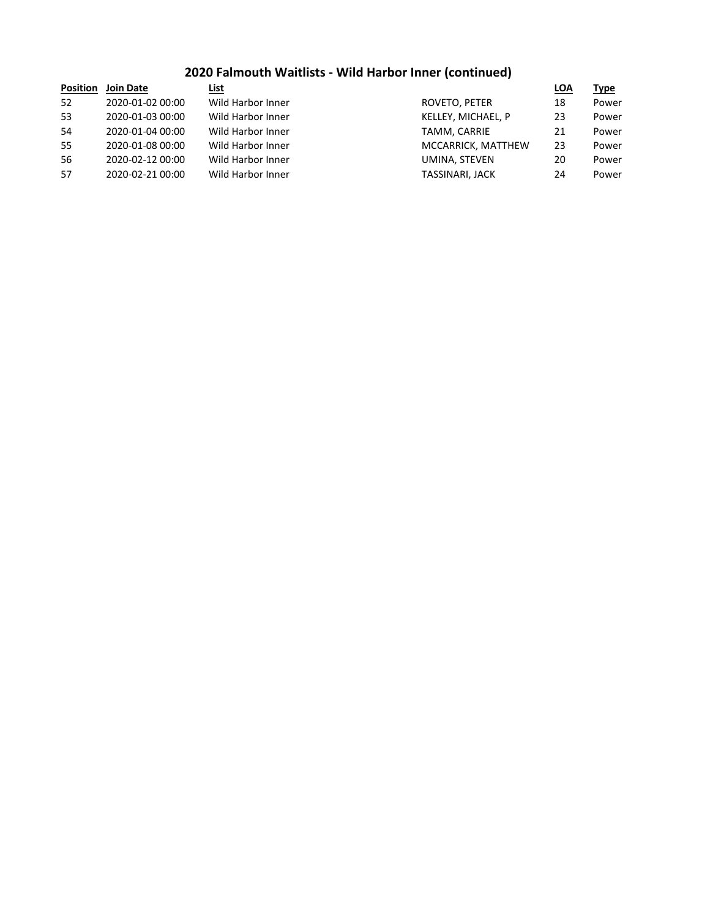## **2020 Falmouth Waitlists - Wild Harbor Inner (continued)**

| <b>Position</b> | <b>Join Date</b> | List              |                        | <b>LOA</b> | Type  |
|-----------------|------------------|-------------------|------------------------|------------|-------|
| 52              | 2020-01-02 00:00 | Wild Harbor Inner | ROVETO, PETER          | 18         | Power |
| 53              | 2020-01-03 00:00 | Wild Harbor Inner | KELLEY, MICHAEL, P     | 23         | Power |
| 54              | 2020-01-04 00:00 | Wild Harbor Inner | TAMM, CARRIE           | 21         | Power |
| 55              | 2020-01-08 00:00 | Wild Harbor Inner | MCCARRICK, MATTHEW     | 23         | Power |
| 56              | 2020-02-12 00:00 | Wild Harbor Inner | UMINA, STEVEN          | 20         | Power |
| 57              | 2020-02-21 00:00 | Wild Harbor Inner | <b>TASSINARI, JACK</b> | 24         | Power |
|                 |                  |                   |                        |            |       |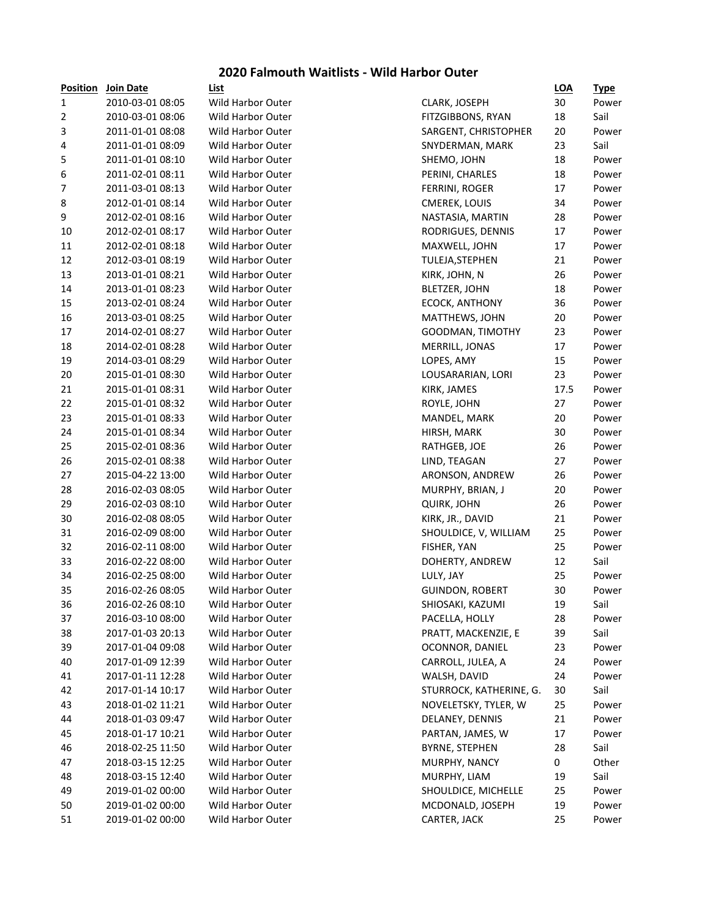#### **2020 Falmouth Waitlists - Wild Harbor Outer**

| <b>Position</b> | Join Date        | <b>List</b>              |                         | <u>LOA</u> | <u>Type</u> |
|-----------------|------------------|--------------------------|-------------------------|------------|-------------|
| $\mathbf{1}$    | 2010-03-01 08:05 | Wild Harbor Outer        | CLARK, JOSEPH           | 30         | Power       |
| $\overline{2}$  | 2010-03-01 08:06 | Wild Harbor Outer        | FITZGIBBONS, RYAN       | 18         | Sail        |
| 3               | 2011-01-01 08:08 | Wild Harbor Outer        | SARGENT, CHRISTOPHER    | 20         | Power       |
| 4               | 2011-01-01 08:09 | Wild Harbor Outer        | SNYDERMAN, MARK         | 23         | Sail        |
| 5               | 2011-01-01 08:10 | <b>Wild Harbor Outer</b> | SHEMO, JOHN             | 18         | Power       |
| 6               | 2011-02-01 08:11 | <b>Wild Harbor Outer</b> | PERINI, CHARLES         | 18         | Power       |
| 7               | 2011-03-01 08:13 | <b>Wild Harbor Outer</b> | FERRINI, ROGER          | 17         | Power       |
| 8               | 2012-01-01 08:14 | <b>Wild Harbor Outer</b> | CMEREK, LOUIS           | 34         | Power       |
| 9               | 2012-02-01 08:16 | <b>Wild Harbor Outer</b> | NASTASIA, MARTIN        | 28         | Power       |
| 10              | 2012-02-01 08:17 | Wild Harbor Outer        | RODRIGUES, DENNIS       | 17         | Power       |
| 11              | 2012-02-01 08:18 | <b>Wild Harbor Outer</b> | MAXWELL, JOHN           | 17         | Power       |
| 12              | 2012-03-01 08:19 | Wild Harbor Outer        | TULEJA, STEPHEN         | 21         | Power       |
| 13              | 2013-01-01 08:21 | <b>Wild Harbor Outer</b> | KIRK, JOHN, N           | 26         | Power       |
| 14              | 2013-01-01 08:23 | Wild Harbor Outer        | <b>BLETZER, JOHN</b>    | 18         | Power       |
| 15              | 2013-02-01 08:24 | <b>Wild Harbor Outer</b> | ECOCK, ANTHONY          | 36         | Power       |
| 16              | 2013-03-01 08:25 | <b>Wild Harbor Outer</b> | MATTHEWS, JOHN          | 20         | Power       |
| 17              | 2014-02-01 08:27 | <b>Wild Harbor Outer</b> | GOODMAN, TIMOTHY        | 23         | Power       |
| 18              | 2014-02-01 08:28 | Wild Harbor Outer        | MERRILL, JONAS          | 17         | Power       |
| 19              | 2014-03-01 08:29 | Wild Harbor Outer        | LOPES, AMY              | 15         | Power       |
| 20              | 2015-01-01 08:30 | Wild Harbor Outer        | LOUSARARIAN, LORI       | 23         | Power       |
| 21              | 2015-01-01 08:31 | <b>Wild Harbor Outer</b> | KIRK, JAMES             | 17.5       | Power       |
| 22              | 2015-01-01 08:32 | Wild Harbor Outer        | ROYLE, JOHN             | 27         | Power       |
| 23              | 2015-01-01 08:33 | <b>Wild Harbor Outer</b> | MANDEL, MARK            | 20         | Power       |
| 24              | 2015-01-01 08:34 | Wild Harbor Outer        | HIRSH, MARK             | 30         | Power       |
| 25              | 2015-02-01 08:36 | Wild Harbor Outer        | RATHGEB, JOE            | 26         | Power       |
| 26              | 2015-02-01 08:38 | Wild Harbor Outer        | LIND, TEAGAN            | 27         | Power       |
| 27              | 2015-04-22 13:00 | Wild Harbor Outer        | ARONSON, ANDREW         | 26         | Power       |
| 28              | 2016-02-03 08:05 | Wild Harbor Outer        | MURPHY, BRIAN, J        | 20         | Power       |
| 29              | 2016-02-03 08:10 | Wild Harbor Outer        | <b>QUIRK, JOHN</b>      | 26         | Power       |
| 30              | 2016-02-08 08:05 | Wild Harbor Outer        | KIRK, JR., DAVID        | 21         | Power       |
| 31              | 2016-02-09 08:00 | Wild Harbor Outer        | SHOULDICE, V, WILLIAM   | 25         | Power       |
| 32              | 2016-02-11 08:00 | Wild Harbor Outer        | FISHER, YAN             | 25         | Power       |
| 33              | 2016-02-22 08:00 | Wild Harbor Outer        | DOHERTY, ANDREW         | 12         | Sail        |
| 34              | 2016-02-25 08:00 | Wild Harbor Outer        | LULY, JAY               | 25         | Power       |
| 35              | 2016-02-26 08:05 | <b>Wild Harbor Outer</b> | <b>GUINDON, ROBERT</b>  | 30         | Power       |
| 36              | 2016-02-26 08:10 | Wild Harbor Outer        | SHIOSAKI, KAZUMI        | 19         | Sail        |
| 37              | 2016-03-10 08:00 | Wild Harbor Outer        | PACELLA, HOLLY          | 28         | Power       |
| 38              | 2017-01-03 20:13 | Wild Harbor Outer        | PRATT, MACKENZIE, E     | 39         | Sail        |
| 39              | 2017-01-04 09:08 | Wild Harbor Outer        | OCONNOR, DANIEL         | 23         | Power       |
| 40              | 2017-01-09 12:39 | Wild Harbor Outer        | CARROLL, JULEA, A       | 24         | Power       |
| 41              | 2017-01-11 12:28 | Wild Harbor Outer        | WALSH, DAVID            | 24         | Power       |
| 42              | 2017-01-14 10:17 | Wild Harbor Outer        | STURROCK, KATHERINE, G. | 30         | Sail        |
| 43              | 2018-01-02 11:21 | Wild Harbor Outer        | NOVELETSKY, TYLER, W    | 25         | Power       |
| 44              | 2018-01-03 09:47 | Wild Harbor Outer        | DELANEY, DENNIS         | 21         | Power       |
| 45              | 2018-01-17 10:21 | Wild Harbor Outer        | PARTAN, JAMES, W        | 17         | Power       |
| 46              | 2018-02-25 11:50 | Wild Harbor Outer        | <b>BYRNE, STEPHEN</b>   | 28         | Sail        |
| 47              | 2018-03-15 12:25 | Wild Harbor Outer        | MURPHY, NANCY           | 0          | Other       |
| 48              | 2018-03-15 12:40 | Wild Harbor Outer        | MURPHY, LIAM            | 19         | Sail        |
| 49              | 2019-01-02 00:00 | Wild Harbor Outer        | SHOULDICE, MICHELLE     | 25         | Power       |
| 50              | 2019-01-02 00:00 | Wild Harbor Outer        | MCDONALD, JOSEPH        | 19         | Power       |
| 51              | 2019-01-02 00:00 | Wild Harbor Outer        | CARTER, JACK            | 25         | Power       |
|                 |                  |                          |                         |            |             |

|                         | יי   | <u>турс</u> |
|-------------------------|------|-------------|
| CLARK, JOSEPH           | 30   | Power       |
| FITZGIBBONS, RYAN       | 18   | Sail        |
| SARGENT, CHRISTOPHER    | 20   | Power       |
| SNYDERMAN, MARK         | 23   | Sail        |
| SHEMO, JOHN             | 18   | Power       |
| PERINI, CHARLES         | 18   | Power       |
| <b>FERRINI, ROGER</b>   | 17   | Power       |
| <b>CMEREK, LOUIS</b>    | 34   | Power       |
| NASTASIA, MARTIN        | 28   | Power       |
| RODRIGUES, DENNIS       | 17   | Power       |
| MAXWELL, JOHN           | 17   | Power       |
| TULEJA, STEPHEN         | 21   | Power       |
| KIRK, JOHN, N           | 26   | Power       |
| <b>BLETZER, JOHN</b>    | 18   | Power       |
| <b>ECOCK, ANTHONY</b>   | 36   | Power       |
| MATTHEWS, JOHN          | 20   | Power       |
| GOODMAN, TIMOTHY        | 23   | Power       |
| MERRILL, JONAS          | 17   | Power       |
| LOPES, AMY              | 15   | Power       |
| LOUSARARIAN, LORI       | 23   | Power       |
| KIRK, JAMES             | 17.5 | Power       |
| ROYLE, JOHN             | 27   | Power       |
| MANDEL, MARK            | 20   | Power       |
| HIRSH, MARK             | 30   | Power       |
| RATHGEB, JOE            | 26   | Power       |
| LIND, TEAGAN            | 27   | Power       |
| ARONSON, ANDREW         | 26   | Power       |
| MURPHY, BRIAN, J        | 20   | Power       |
| <b>QUIRK, JOHN</b>      | 26   | Power       |
| KIRK, JR., DAVID        | 21   | Power       |
| SHOULDICE, V, WILLIAM   | 25   | Power       |
| FISHER, YAN             | 25   | Power       |
| DOHERTY, ANDREW         | 12   | Sail        |
| LULY, JAY               | 25   | Power       |
| <b>GUINDON, ROBERT</b>  | 30   | Power       |
| SHIOSAKI, KAZUMI        | 19   | Sail        |
| PACELLA, HOLLY          | 28   | Power       |
| PRATT, MACKENZIE, E     | 39   | Sail        |
| OCONNOR, DANIEL         | 23   | Power       |
| CARROLL, JULEA, A       | 24   | Power       |
| WALSH, DAVID            | 24   | Power       |
| STURROCK, KATHERINE, G. | 30   | Sail        |
| NOVELETSKY, TYLER, W    | 25   | Power       |
| DELANEY, DENNIS         | 21   | Power       |
| PARTAN, JAMES, W        | 17   | Power       |
| <b>BYRNE, STEPHEN</b>   | 28   | Sail        |
| MURPHY, NANCY           | 0    | Other       |
| MURPHY, LIAM            | 19   | Sail        |
| SHOULDICE, MICHELLE     | 25   | Power       |
| MCDONALD, JOSEPH        | 19   | Power       |
|                         | 25   | Power       |
| CARTER, JACK            |      |             |